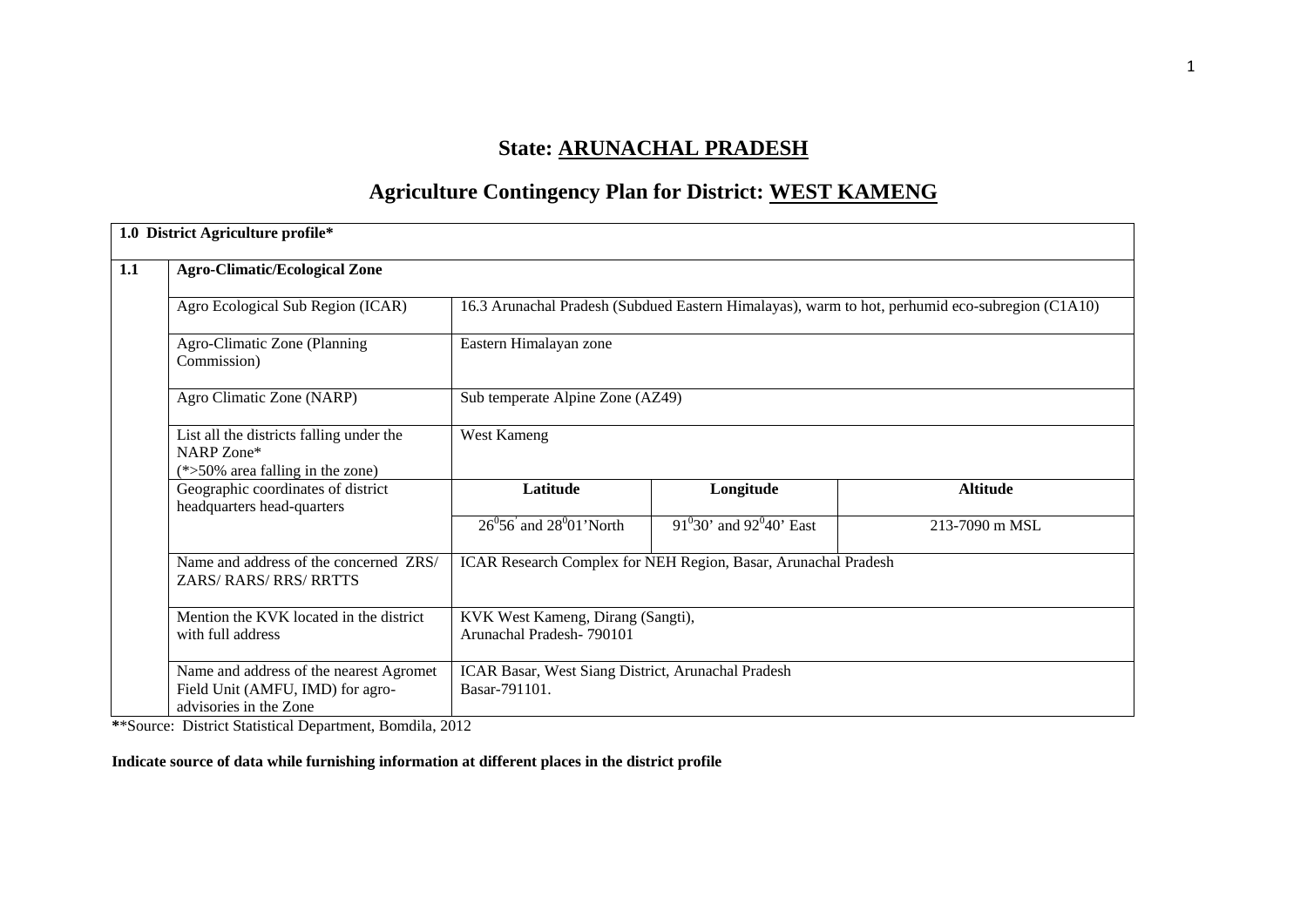# **State: ARUNACHAL PRADESH**

# **Agriculture Contingency Plan for District: WEST KAMENG**

|     | 1.0 District Agriculture profile*                                                                     |                                                                     |                              |                                                                                                 |  |  |  |  |
|-----|-------------------------------------------------------------------------------------------------------|---------------------------------------------------------------------|------------------------------|-------------------------------------------------------------------------------------------------|--|--|--|--|
| 1.1 | <b>Agro-Climatic/Ecological Zone</b>                                                                  |                                                                     |                              |                                                                                                 |  |  |  |  |
|     | Agro Ecological Sub Region (ICAR)                                                                     |                                                                     |                              | 16.3 Arunachal Pradesh (Subdued Eastern Himalayas), warm to hot, perhumid eco-subregion (C1A10) |  |  |  |  |
|     | Agro-Climatic Zone (Planning<br>Commission)                                                           | Eastern Himalayan zone                                              |                              |                                                                                                 |  |  |  |  |
|     | Agro Climatic Zone (NARP)                                                                             | Sub temperate Alpine Zone (AZ49)                                    |                              |                                                                                                 |  |  |  |  |
|     | List all the districts falling under the<br>NARP Zone*<br>$(*>50\%$ area falling in the zone)         | West Kameng                                                         |                              |                                                                                                 |  |  |  |  |
|     | Geographic coordinates of district<br>headquarters head-quarters                                      | Latitude                                                            | Longitude                    | <b>Altitude</b>                                                                                 |  |  |  |  |
|     |                                                                                                       | $26^{\circ}56$ and $28^{\circ}01$ North                             | $91^030'$ and $92^040'$ East | 213-7090 m MSL                                                                                  |  |  |  |  |
|     | Name and address of the concerned ZRS/<br>ZARS/RARS/RRS/RRTTS                                         | ICAR Research Complex for NEH Region, Basar, Arunachal Pradesh      |                              |                                                                                                 |  |  |  |  |
|     | Mention the KVK located in the district<br>with full address                                          | KVK West Kameng, Dirang (Sangti),<br>Arunachal Pradesh-790101       |                              |                                                                                                 |  |  |  |  |
|     | Name and address of the nearest Agromet<br>Field Unit (AMFU, IMD) for agro-<br>advisories in the Zone | ICAR Basar, West Siang District, Arunachal Pradesh<br>Basar-791101. |                              |                                                                                                 |  |  |  |  |

**\***\*Source: District Statistical Department, Bomdila, 2012

**Indicate source of data while furnishing information at different places in the district profile**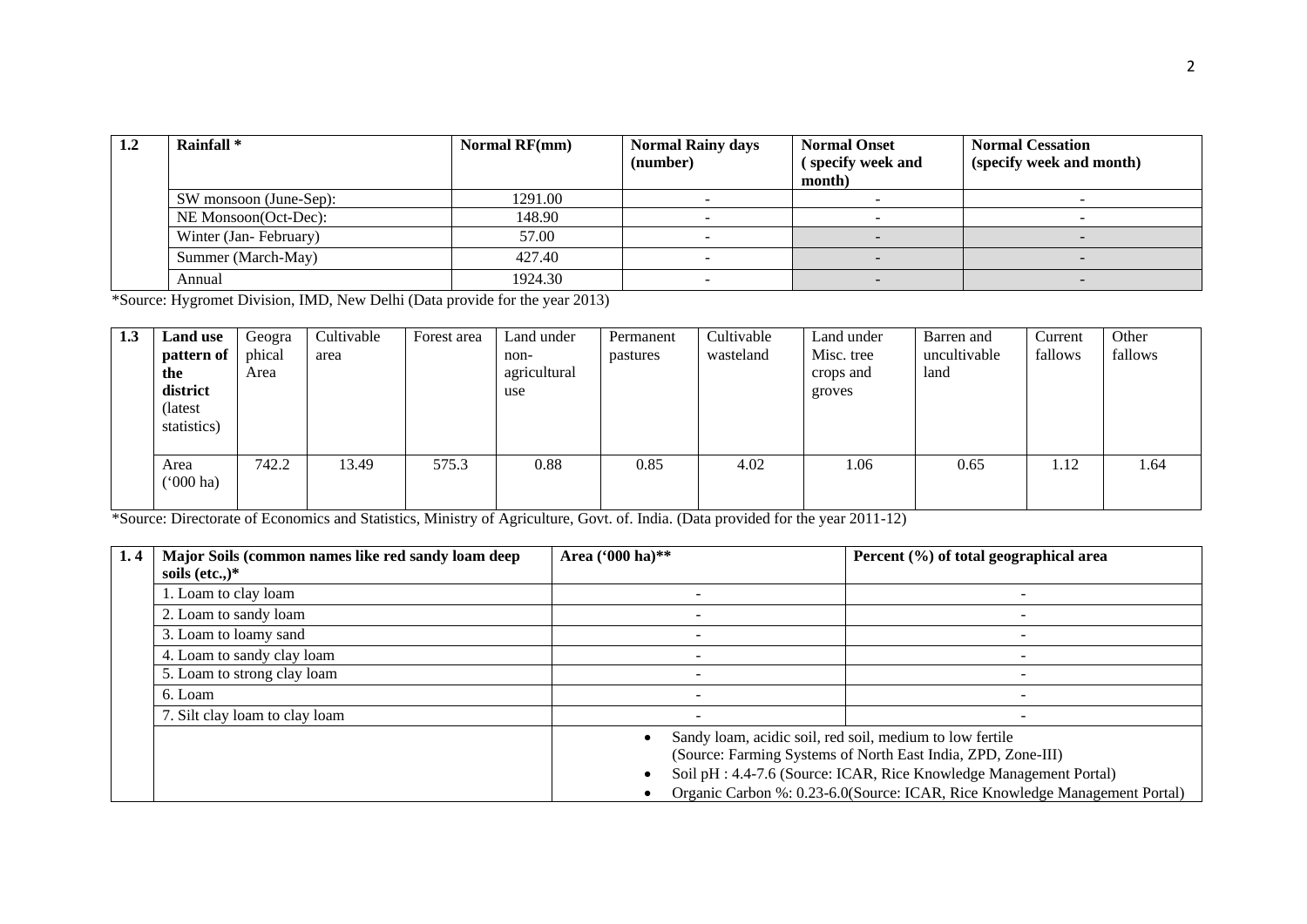| 1.2 | Rainfall <sup>*</sup>  | <b>Normal RF(mm)</b> | <b>Normal Rainy days</b><br>(number) | <b>Normal Onset</b><br>(specify week and<br>month) | <b>Normal Cessation</b><br>(specify week and month) |
|-----|------------------------|----------------------|--------------------------------------|----------------------------------------------------|-----------------------------------------------------|
|     | SW monsoon (June-Sep): | 1291.00              |                                      |                                                    |                                                     |
|     | NE Monsoon(Oct-Dec):   | 148.90               |                                      |                                                    |                                                     |
|     | Winter (Jan-February)  | 57.00                |                                      |                                                    |                                                     |
|     | Summer (March-May)     | 427.40               |                                      |                                                    |                                                     |
|     | Annual                 | 1924.30              |                                      |                                                    |                                                     |

\*Source: Hygromet Division, IMD, New Delhi (Data provide for the year 2013)

| 1.3 | Land use    | Geogra | Cultivable | Forest area | Land under   | Permanent | Cultivable | Land under | Barren and   | Current | Other   |
|-----|-------------|--------|------------|-------------|--------------|-----------|------------|------------|--------------|---------|---------|
|     | pattern of  | phical | area       |             | non-         | pastures  | wasteland  | Misc. tree | uncultivable | fallows | fallows |
|     | the         | Area   |            |             | agricultural |           |            | crops and  | land         |         |         |
|     | district    |        |            |             | use          |           |            | groves     |              |         |         |
|     | (latest     |        |            |             |              |           |            |            |              |         |         |
|     | statistics) |        |            |             |              |           |            |            |              |         |         |
|     |             |        |            |             |              |           |            |            |              |         |         |
|     | Area        | 742.2  | 13.49      | 575.3       | 0.88         | 0.85      | 4.02       | .06        | 0.65         | 1.12    | 1.64    |
|     | ('000 ha)   |        |            |             |              |           |            |            |              |         |         |
|     |             |        |            |             |              |           |            |            |              |         |         |

\*Source: Directorate of Economics and Statistics, Ministry of Agriculture, Govt. of. India. (Data provided for the year 2011-12)

| 1.4 | Major Soils (common names like red sandy loam deep | Area ('000 ha)**                                                   | Percent (%) of total geographical area                                     |  |  |  |  |
|-----|----------------------------------------------------|--------------------------------------------------------------------|----------------------------------------------------------------------------|--|--|--|--|
|     | soils (etc.,) $*$                                  |                                                                    |                                                                            |  |  |  |  |
|     | 1. Loam to clay loam                               |                                                                    |                                                                            |  |  |  |  |
|     | 2. Loam to sandy loam                              |                                                                    |                                                                            |  |  |  |  |
|     | 3. Loam to loamy sand                              |                                                                    |                                                                            |  |  |  |  |
|     | 4. Loam to sandy clay loam                         |                                                                    |                                                                            |  |  |  |  |
|     | 5. Loam to strong clay loam                        |                                                                    |                                                                            |  |  |  |  |
|     | 6. Loam                                            |                                                                    |                                                                            |  |  |  |  |
|     | 7. Silt clay loam to clay loam                     |                                                                    |                                                                            |  |  |  |  |
|     |                                                    | Sandy loam, acidic soil, red soil, medium to low fertile           |                                                                            |  |  |  |  |
|     |                                                    | (Source: Farming Systems of North East India, ZPD, Zone-III)       |                                                                            |  |  |  |  |
|     |                                                    | Soil pH : 4.4-7.6 (Source: ICAR, Rice Knowledge Management Portal) |                                                                            |  |  |  |  |
|     |                                                    |                                                                    | Organic Carbon %: 0.23-6.0(Source: ICAR, Rice Knowledge Management Portal) |  |  |  |  |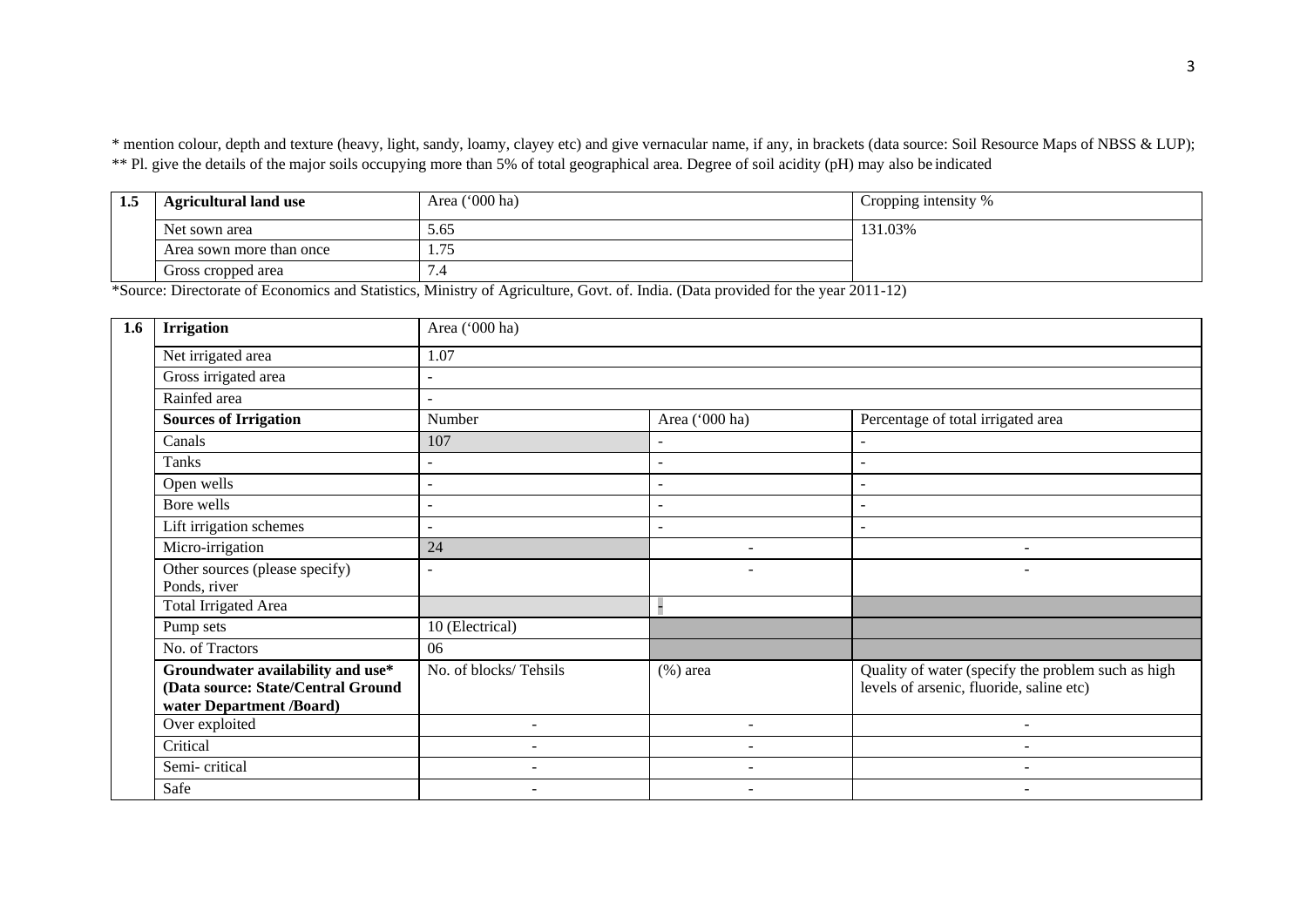\* mention colour, depth and texture (heavy, light, sandy, loamy, clayey etc) and give vernacular name, if any, in brackets (data source: Soil Resource Maps of NBSS & LUP); \*\* Pl. give the details of the major soils occupying more than 5% of total geographical area. Degree of soil acidity (pH) may also be indicated

| 1.5 | <b>Agricultural land use</b> | Area ('000 ha) | Cropping intensity % |
|-----|------------------------------|----------------|----------------------|
|     | Net sown area                | 5.65           | 131.03%              |
|     | Area sown more than once     |                |                      |
|     | Gross cropped area           | -. ا           |                      |

\*Source: Directorate of Economics and Statistics, Ministry of Agriculture, Govt. of. India. (Data provided for the year 2011-12)

| 1.6 | <b>Irrigation</b>                                                                                   | Area ('000 ha)           |                          |                                                                                                |  |  |  |  |  |  |
|-----|-----------------------------------------------------------------------------------------------------|--------------------------|--------------------------|------------------------------------------------------------------------------------------------|--|--|--|--|--|--|
|     | Net irrigated area                                                                                  | 1.07                     |                          |                                                                                                |  |  |  |  |  |  |
|     | Gross irrigated area                                                                                |                          |                          |                                                                                                |  |  |  |  |  |  |
|     | Rainfed area                                                                                        | ٠                        |                          |                                                                                                |  |  |  |  |  |  |
|     | <b>Sources of Irrigation</b>                                                                        | Number                   | Area ('000 ha)           | Percentage of total irrigated area                                                             |  |  |  |  |  |  |
|     | Canals                                                                                              | 107                      |                          |                                                                                                |  |  |  |  |  |  |
|     | Tanks                                                                                               | $\blacksquare$           | $\blacksquare$           | $\overline{\phantom{a}}$                                                                       |  |  |  |  |  |  |
|     | Open wells                                                                                          | $\sim$                   | $\blacksquare$           | $\overline{\phantom{a}}$                                                                       |  |  |  |  |  |  |
|     | Bore wells                                                                                          | $\blacksquare$           | $\overline{\phantom{a}}$ |                                                                                                |  |  |  |  |  |  |
|     | Lift irrigation schemes                                                                             | ÷.                       | ÷.                       | $\overline{\phantom{0}}$                                                                       |  |  |  |  |  |  |
|     | Micro-irrigation                                                                                    | 24                       | $\overline{\phantom{a}}$ | $\overline{\phantom{a}}$                                                                       |  |  |  |  |  |  |
|     | Other sources (please specify)<br>Ponds, river                                                      | $\sim$                   | $\overline{\phantom{a}}$ | $\overline{\phantom{a}}$                                                                       |  |  |  |  |  |  |
|     | <b>Total Irrigated Area</b>                                                                         |                          |                          |                                                                                                |  |  |  |  |  |  |
|     | Pump sets                                                                                           | 10 (Electrical)          |                          |                                                                                                |  |  |  |  |  |  |
|     | No. of Tractors                                                                                     | 06                       |                          |                                                                                                |  |  |  |  |  |  |
|     | Groundwater availability and use*<br>(Data source: State/Central Ground<br>water Department /Board) | No. of blocks/Tehsils    | $(\%)$ area              | Quality of water (specify the problem such as high<br>levels of arsenic, fluoride, saline etc) |  |  |  |  |  |  |
|     | Over exploited                                                                                      | $\overline{\phantom{a}}$ | $\overline{\phantom{a}}$ | $\overline{\phantom{a}}$                                                                       |  |  |  |  |  |  |
|     | Critical                                                                                            | $\equiv$                 |                          |                                                                                                |  |  |  |  |  |  |
|     | Semi-critical                                                                                       | ۰                        | $\overline{\phantom{0}}$ | $\overline{\phantom{0}}$                                                                       |  |  |  |  |  |  |
|     | Safe                                                                                                | $\overline{\phantom{a}}$ | $\overline{\phantom{a}}$ | $\overline{\phantom{0}}$                                                                       |  |  |  |  |  |  |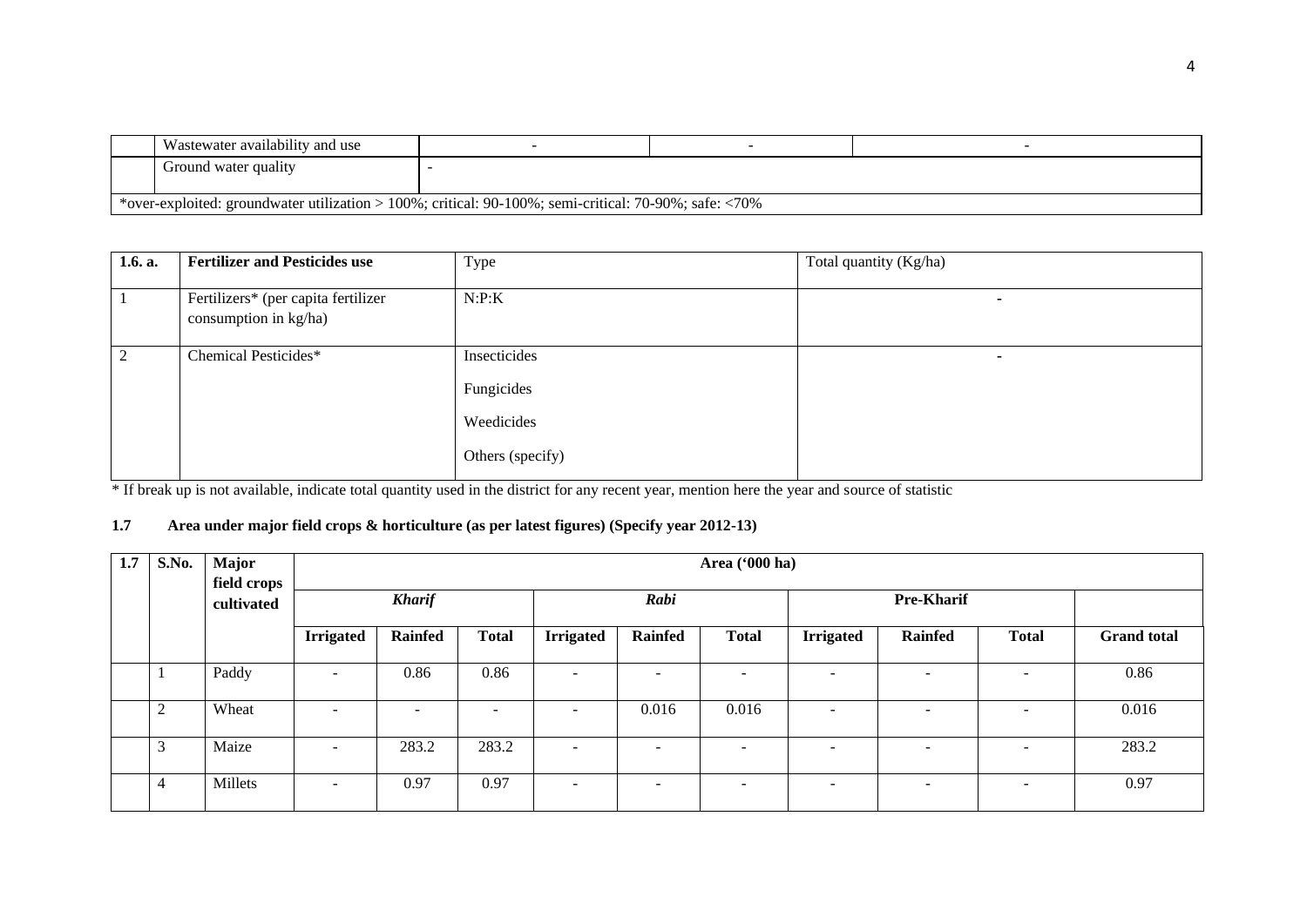| Wastewater availability and use                                                                               |  |  |  |  |  |  |
|---------------------------------------------------------------------------------------------------------------|--|--|--|--|--|--|
| Ground water quality                                                                                          |  |  |  |  |  |  |
| *over-exploited: groundwater utilization > 100%; critical: $90-100\%$ ; semi-critical: $70-90\%$ ; safe: <70% |  |  |  |  |  |  |

| 1.6. a. | <b>Fertilizer and Pesticides use</b>                         | Type                                                         | Total quantity (Kg/ha) |  |
|---------|--------------------------------------------------------------|--------------------------------------------------------------|------------------------|--|
|         | Fertilizers* (per capita fertilizer<br>consumption in kg/ha) | N:P:K                                                        |                        |  |
| 2       | Chemical Pesticides*                                         | Insecticides<br>Fungicides<br>Weedicides<br>Others (specify) |                        |  |

\* If break up is not available, indicate total quantity used in the district for any recent year, mention here the year and source of statistic

## **1.7 Area under major field crops & horticulture (as per latest figures) (Specify year 2012-13)**

| 1.7 | S.No. | Major<br>field crops |                          | Area ('000 ha)           |              |                          |                          |                          |                          |                              |                          |                    |
|-----|-------|----------------------|--------------------------|--------------------------|--------------|--------------------------|--------------------------|--------------------------|--------------------------|------------------------------|--------------------------|--------------------|
|     |       | cultivated           |                          | <b>Kharif</b>            |              |                          | Rabi                     |                          |                          | <b>Pre-Kharif</b>            |                          |                    |
|     |       |                      | <b>Irrigated</b>         | <b>Rainfed</b>           | <b>Total</b> | <b>Irrigated</b>         | Rainfed                  | <b>Total</b>             | <b>Irrigated</b>         | <b>Rainfed</b>               | <b>Total</b>             | <b>Grand</b> total |
|     |       | Paddy                | $\overline{\phantom{a}}$ | 0.86                     | 0.86         | $\overline{\phantom{a}}$ | ۰                        | $\overline{\phantom{0}}$ | $\overline{\phantom{a}}$ | $\overline{\phantom{0}}$     | $\overline{\phantom{a}}$ | 0.86               |
|     | 2     | Wheat                | $\overline{a}$           | $\overline{\phantom{a}}$ | $\sim$       | $\overline{\phantom{a}}$ | 0.016                    | 0.016                    | $\overline{\phantom{a}}$ | -                            | $\overline{\phantom{a}}$ | 0.016              |
|     | 3     | Maize                | $\overline{\phantom{0}}$ | 283.2                    | 283.2        | $\overline{\phantom{0}}$ | $\overline{\phantom{0}}$ | $\overline{\phantom{0}}$ | -                        | $\qquad \qquad \blacksquare$ | $\overline{\phantom{a}}$ | 283.2              |
|     | 4     | Millets              | $\overline{\phantom{a}}$ | 0.97                     | 0.97         | $\overline{\phantom{0}}$ | ۰                        | $\overline{\phantom{0}}$ | -                        | -                            | $\overline{\phantom{a}}$ | 0.97               |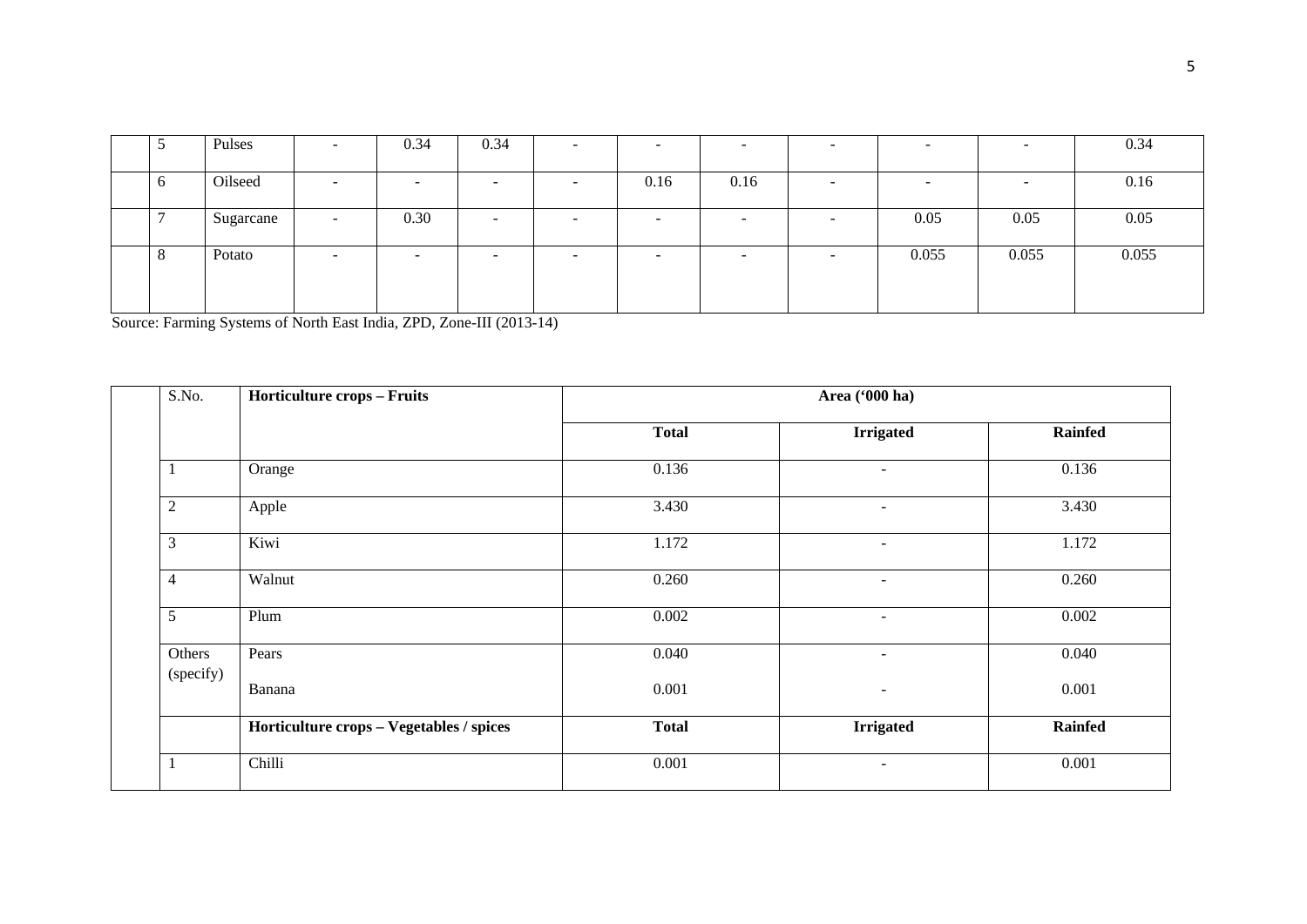|         | Pulses    | $\overline{\phantom{a}}$ | 0.34                     | 0.34 | -      | $\overline{\phantom{0}}$ | -                        |       |                          | 0.34  |
|---------|-----------|--------------------------|--------------------------|------|--------|--------------------------|--------------------------|-------|--------------------------|-------|
|         |           |                          |                          |      |        |                          |                          |       |                          |       |
| O       | Oilseed   | $\overline{\phantom{a}}$ | $\overline{\phantom{0}}$ | -    | 0.16   | 0.16                     | $\overline{\phantom{a}}$ |       | $\overline{\phantom{a}}$ | 0.16  |
|         |           |                          |                          |      |        |                          |                          |       |                          |       |
|         | Sugarcane | $\overline{\phantom{0}}$ | 0.30                     | -    | $\sim$ | $\overline{\phantom{a}}$ | -                        | 0.05  | 0.05                     | 0.05  |
|         |           |                          |                          |      |        |                          |                          |       |                          |       |
| $\circ$ | Potato    | -                        | $\overline{\phantom{0}}$ | -    | -      | -                        |                          | 0.055 | 0.055                    | 0.055 |
|         |           |                          |                          |      |        |                          |                          |       |                          |       |
|         |           |                          |                          |      |        |                          |                          |       |                          |       |
|         |           |                          |                          |      |        |                          |                          |       |                          |       |

Source: Farming Systems of North East India, ZPD, Zone-III (2013-14)

| S.No.          | <b>Horticulture crops - Fruits</b>       | Area ('000 ha) |                          |                |  |  |  |  |
|----------------|------------------------------------------|----------------|--------------------------|----------------|--|--|--|--|
|                |                                          | <b>Total</b>   | <b>Irrigated</b>         | <b>Rainfed</b> |  |  |  |  |
| $\perp$        | Orange                                   | 0.136          | $\sim$                   | 0.136          |  |  |  |  |
| $\overline{c}$ | Apple                                    | 3.430          | $\overline{\phantom{a}}$ | 3.430          |  |  |  |  |
| 3              | Kiwi                                     | 1.172          | ٠                        | 1.172          |  |  |  |  |
| $\overline{4}$ | Walnut                                   | 0.260          | $\sim$                   | 0.260          |  |  |  |  |
| 5              | Plum                                     | 0.002          | $\overline{\phantom{a}}$ | 0.002          |  |  |  |  |
| Others         | Pears                                    | 0.040          | ٠                        | 0.040          |  |  |  |  |
| (specify)      | Banana                                   | 0.001          | $\overline{\phantom{a}}$ | 0.001          |  |  |  |  |
|                | Horticulture crops - Vegetables / spices | <b>Total</b>   | <b>Irrigated</b>         | <b>Rainfed</b> |  |  |  |  |
|                | Chilli                                   | 0.001          | $\overline{\phantom{a}}$ | 0.001          |  |  |  |  |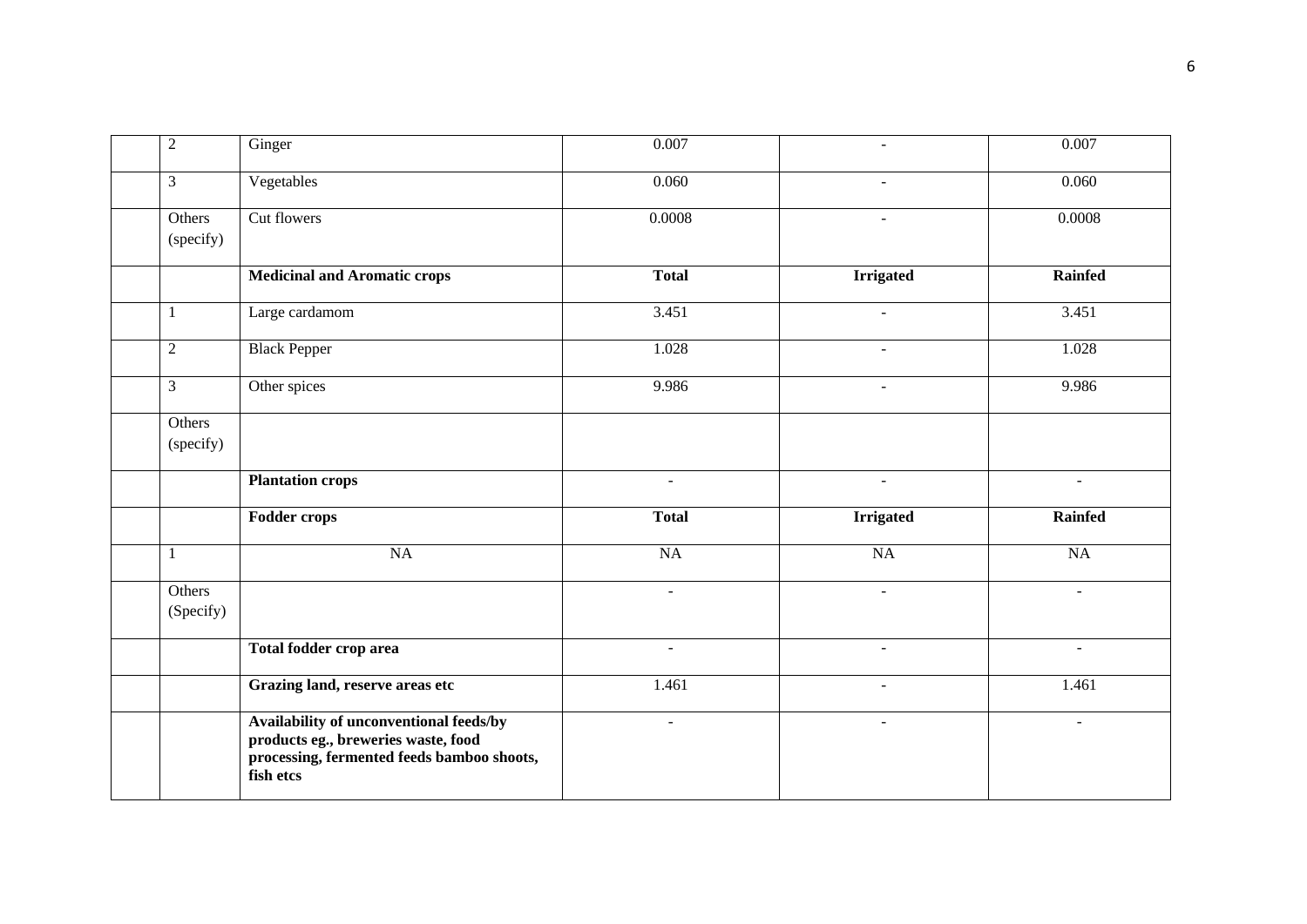| $\overline{2}$      | Ginger                                                                                                                                    | 0.007                | $\sim$                   | 0.007                |
|---------------------|-------------------------------------------------------------------------------------------------------------------------------------------|----------------------|--------------------------|----------------------|
| $\mathfrak{Z}$      | Vegetables                                                                                                                                | 0.060                | $\sim$                   | 0.060                |
| Others<br>(specify) | Cut flowers                                                                                                                               | 0.0008               | $\sim$                   | 0.0008               |
|                     | <b>Medicinal and Aromatic crops</b>                                                                                                       | <b>Total</b>         | <b>Irrigated</b>         | <b>Rainfed</b>       |
| $\mathbf{1}$        | Large cardamom                                                                                                                            | 3.451                | $\blacksquare$           | 3.451                |
| $\overline{c}$      | <b>Black Pepper</b>                                                                                                                       | 1.028                | $\blacksquare$           | 1.028                |
| $\mathfrak{Z}$      | Other spices                                                                                                                              | 9.986                | $\blacksquare$           | 9.986                |
| Others<br>(specify) |                                                                                                                                           |                      |                          |                      |
|                     | <b>Plantation crops</b>                                                                                                                   |                      |                          |                      |
|                     | <b>Fodder crops</b>                                                                                                                       | <b>Total</b>         | <b>Irrigated</b>         | <b>Rainfed</b>       |
| $\mathbf{1}$        | NA                                                                                                                                        | NA                   | NA                       | NA                   |
| Others<br>(Specify) |                                                                                                                                           | $\blacksquare$       | $\blacksquare$           | $\blacksquare$       |
|                     | Total fodder crop area                                                                                                                    | $\ddot{\phantom{1}}$ | $\overline{\phantom{a}}$ | ÷,                   |
|                     | Grazing land, reserve areas etc                                                                                                           | 1.461                | $\overline{\phantom{a}}$ | 1.461                |
|                     | Availability of unconventional feeds/by<br>products eg., breweries waste, food<br>processing, fermented feeds bamboo shoots,<br>fish etcs | $\blacksquare$       | $\blacksquare$           | $\ddot{\phantom{1}}$ |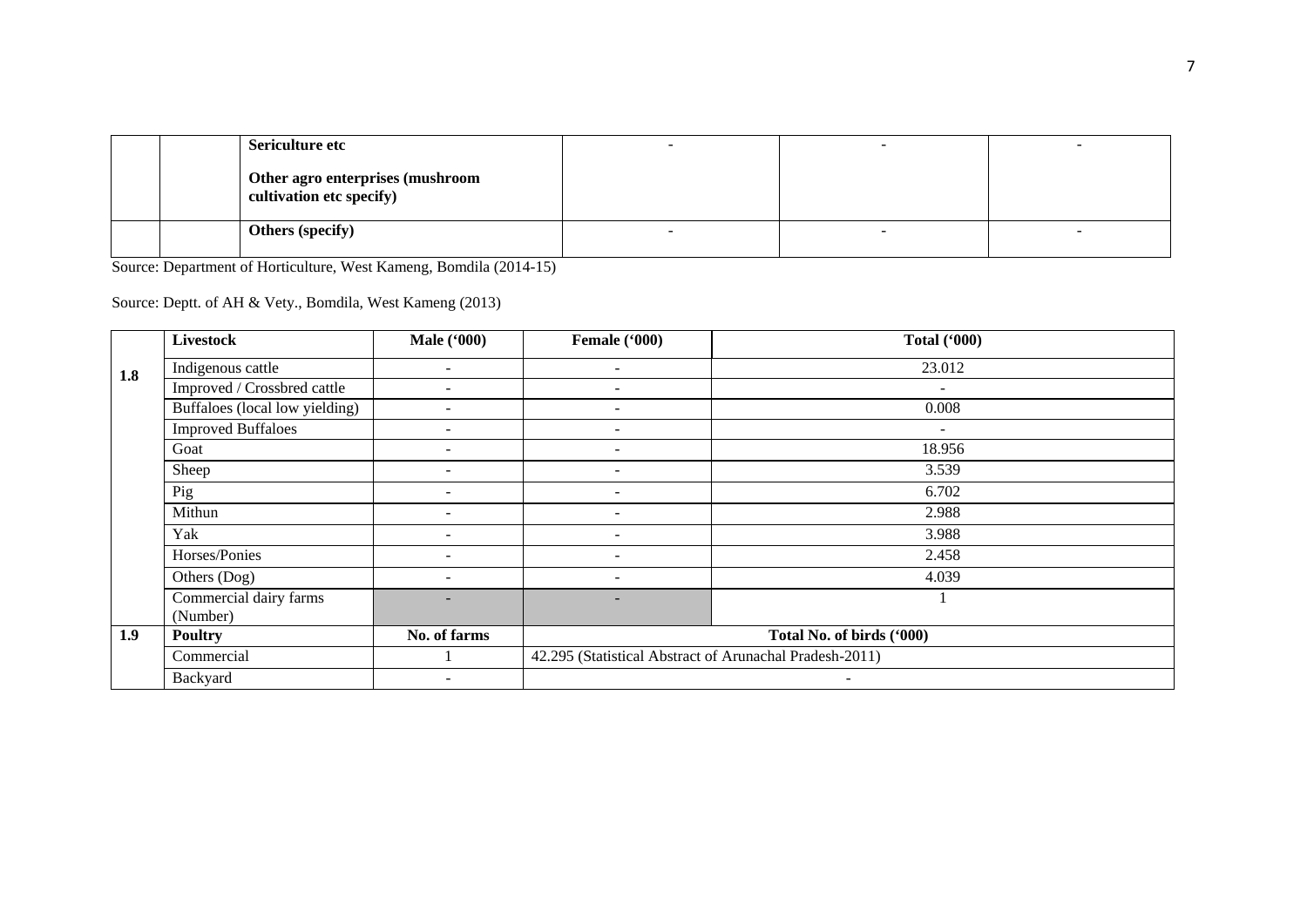|  | Sericulture etc                                              |  |  |
|--|--------------------------------------------------------------|--|--|
|  | Other agro enterprises (mushroom<br>cultivation etc specify) |  |  |
|  | <b>Others (specify)</b>                                      |  |  |

Source: Department of Horticulture, West Kameng, Bomdila (2014-15)

Source: Deptt. of AH & Vety., Bomdila, West Kameng (2013)

|                  | <b>Livestock</b>               | <b>Male</b> ('000)       | Female ('000)                                           | <b>Total ('000)</b>       |
|------------------|--------------------------------|--------------------------|---------------------------------------------------------|---------------------------|
| 1.8              | Indigenous cattle              | $\overline{\phantom{a}}$ | $\overline{\phantom{0}}$                                | 23.012                    |
|                  | Improved / Crossbred cattle    |                          | $\overline{\phantom{0}}$                                | $\overline{\phantom{a}}$  |
|                  | Buffaloes (local low yielding) |                          | $\overline{\phantom{a}}$                                | 0.008                     |
|                  | <b>Improved Buffaloes</b>      |                          | $\overline{\phantom{0}}$                                | $\overline{\phantom{a}}$  |
|                  | Goat                           |                          |                                                         | 18.956                    |
|                  | Sheep                          |                          |                                                         | 3.539                     |
|                  | Pig                            | $\overline{\phantom{0}}$ | $\overline{\phantom{0}}$                                | 6.702                     |
|                  | Mithun                         |                          | $\overline{\phantom{0}}$                                | 2.988                     |
|                  | Yak                            |                          |                                                         | 3.988                     |
|                  | Horses/Ponies                  |                          |                                                         | 2.458                     |
|                  | Others (Dog)                   |                          | $\overline{\phantom{a}}$                                | 4.039                     |
|                  | Commercial dairy farms         |                          | $\overline{\phantom{a}}$                                |                           |
|                  | (Number)                       |                          |                                                         |                           |
| 1.9 <sub>2</sub> | <b>Poultry</b>                 | No. of farms             |                                                         | Total No. of birds ('000) |
|                  | Commercial                     |                          | 42.295 (Statistical Abstract of Arunachal Pradesh-2011) |                           |
|                  | Backyard                       |                          |                                                         |                           |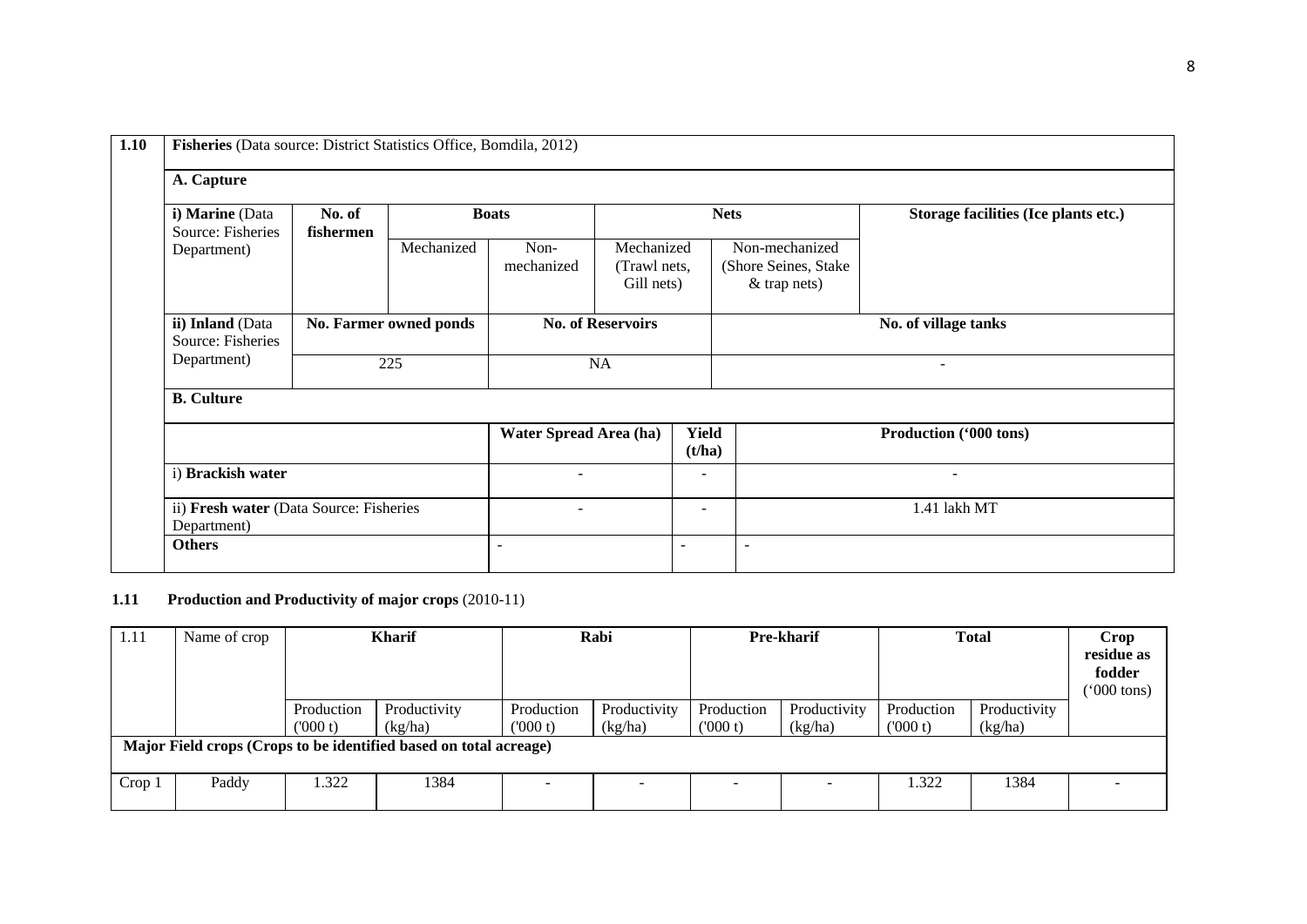| i) Marine (Data<br>Source: Fisheries                   | No. of<br>fishermen |                        | <b>Boats</b>           |                                          |                          | <b>Nets</b>                                               | Storage facilities (Ice plants etc.) |
|--------------------------------------------------------|---------------------|------------------------|------------------------|------------------------------------------|--------------------------|-----------------------------------------------------------|--------------------------------------|
| Department)                                            |                     | Mechanized             | Non-<br>mechanized     | Mechanized<br>(Trawl nets,<br>Gill nets) |                          | Non-mechanized<br>(Shore Seines, Stake)<br>$&$ trap nets) |                                      |
| ii) Inland (Data<br>Source: Fisheries                  |                     | No. Farmer owned ponds |                        | <b>No. of Reservoirs</b>                 |                          | No. of village tanks                                      |                                      |
| Department)                                            |                     | 225                    |                        | <b>NA</b>                                |                          |                                                           | $\overline{\phantom{a}}$             |
| <b>B.</b> Culture                                      |                     |                        |                        |                                          |                          |                                                           |                                      |
|                                                        |                     |                        |                        |                                          |                          |                                                           |                                      |
|                                                        |                     |                        | Water Spread Area (ha) |                                          | Yield<br>(t/ha)          |                                                           | Production ('000 tons)               |
| i) Brackish water                                      |                     |                        |                        |                                          | $\overline{\phantom{0}}$ |                                                           | $\overline{\phantom{a}}$             |
| ii) Fresh water (Data Source: Fisheries<br>Department) |                     |                        | $\blacksquare$         |                                          | $\overline{\phantom{0}}$ |                                                           | 1.41 lakh MT                         |

# **1.10 Fisheries** (Data source: District Statistics Office, Bomdila, 2012)

# **1.11 Production and Productivity of major crops** (2010-11)

| 1.11                                                              | Name of crop |                       | <b>Kharif</b>           |                       | Rabi                    | Pre-kharif            |                         | <b>Total</b>          |                         | Crop<br>residue as<br>fodder<br>$(000 \text{ tons})$ |
|-------------------------------------------------------------------|--------------|-----------------------|-------------------------|-----------------------|-------------------------|-----------------------|-------------------------|-----------------------|-------------------------|------------------------------------------------------|
|                                                                   |              | Production<br>(000 t) | Productivity<br>(kg/ha) | Production<br>(000 t) | Productivity<br>(kg/ha) | Production<br>(000 t) | Productivity<br>(kg/ha) | Production<br>(000 t) | Productivity<br>(kg/ha) |                                                      |
| Major Field crops (Crops to be identified based on total acreage) |              |                       |                         |                       |                         |                       |                         |                       |                         |                                                      |
| Crop <sub>1</sub>                                                 | Paddy        | .322                  | 1384                    |                       | -                       |                       |                         | 1.322                 | 1384                    |                                                      |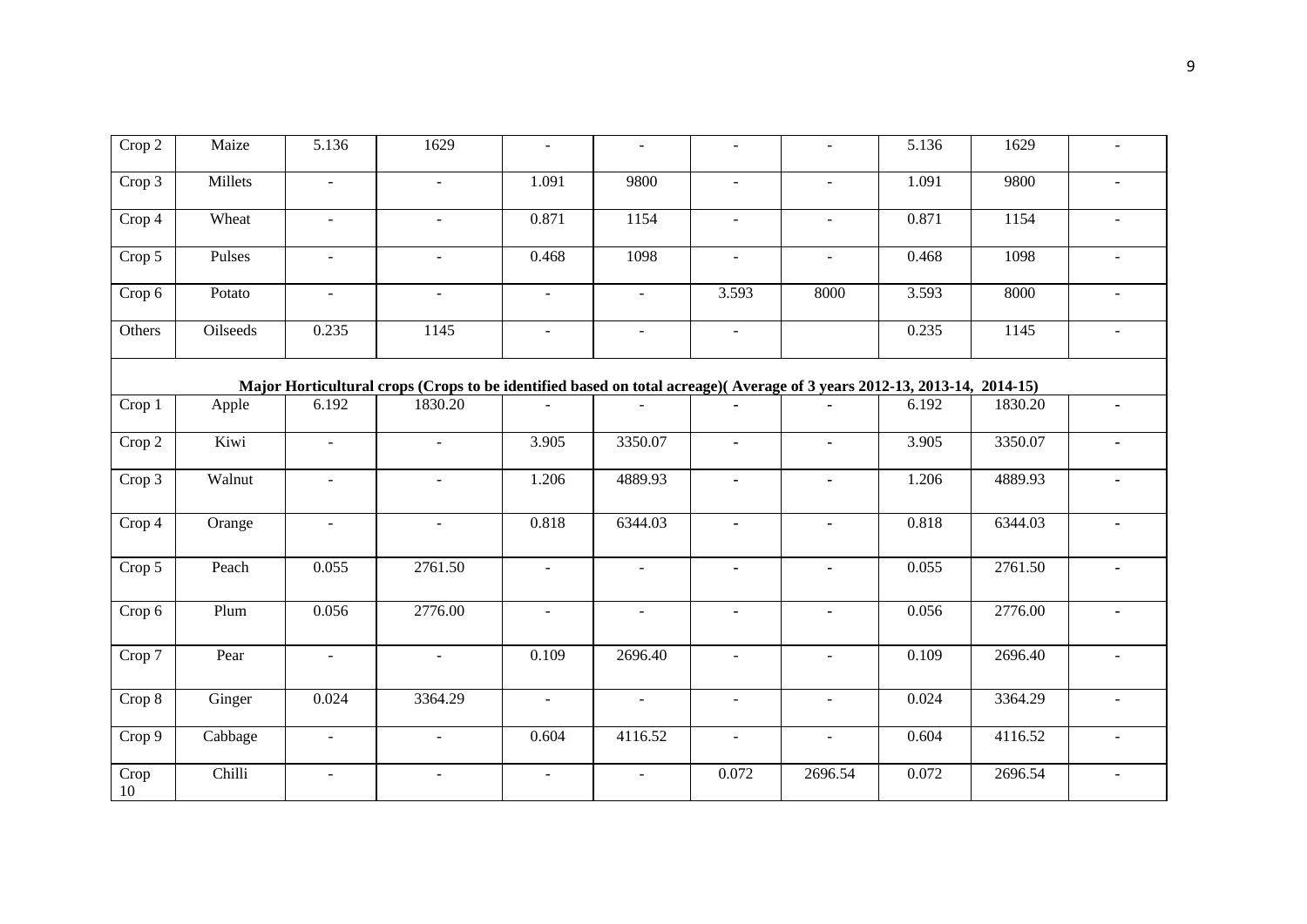| Crop 2     | Maize    | 5.136          | 1629                                                                                                                    | $\omega$       | $\blacksquare$ | $\omega$       | $\sim$               | 5.136 | 1629    | $\blacksquare$           |
|------------|----------|----------------|-------------------------------------------------------------------------------------------------------------------------|----------------|----------------|----------------|----------------------|-------|---------|--------------------------|
| Crop 3     | Millets  | $\sim$         | $\mathcal{L}$                                                                                                           | 1.091          | 9800           | $\omega$       | $\sim$               | 1.091 | 9800    | $\sim$                   |
| Crop 4     | Wheat    | $\equiv$       | $\blacksquare$                                                                                                          | 0.871          | 1154           | $\blacksquare$ | $\omega$             | 0.871 | 1154    | $\sim$                   |
| Crop 5     | Pulses   |                | $\ddot{\phantom{1}}$                                                                                                    | 0.468          | 1098           | $\blacksquare$ | $\ddot{\phantom{1}}$ | 0.468 | 1098    |                          |
| Crop 6     | Potato   | $\sim$         | $\omega$                                                                                                                | $\blacksquare$ | $\sim$         | 3.593          | 8000                 | 3.593 | 8000    |                          |
| Others     | Oilseeds | 0.235          | 1145                                                                                                                    | $\blacksquare$ | $\blacksquare$ | $\blacksquare$ |                      | 0.235 | 1145    | $\sim$                   |
|            |          |                | Major Horticultural crops (Crops to be identified based on total acreage)(Average of 3 years 2012-13, 2013-14, 2014-15) |                |                |                |                      |       |         |                          |
| Crop 1     | Apple    | 6.192          | 1830.20                                                                                                                 |                |                | $\blacksquare$ |                      | 6.192 | 1830.20 | $\blacksquare$           |
| Crop 2     | Kiwi     | $\blacksquare$ | $\sim$                                                                                                                  | 3.905          | 3350.07        | ٠              | $\blacksquare$       | 3.905 | 3350.07 |                          |
| Crop 3     | Walnut   | $\sim$         | $\overline{a}$                                                                                                          | 1.206          | 4889.93        | $\blacksquare$ | $\blacksquare$       | 1.206 | 4889.93 |                          |
| Crop 4     | Orange   | $\blacksquare$ | $\blacksquare$                                                                                                          | 0.818          | 6344.03        | $\blacksquare$ | ä,                   | 0.818 | 6344.03 |                          |
| Crop 5     | Peach    | 0.055          | 2761.50                                                                                                                 | $\equiv$       | $\blacksquare$ | $\blacksquare$ | $\blacksquare$       | 0.055 | 2761.50 |                          |
| Crop 6     | Plum     | 0.056          | 2776.00                                                                                                                 | $\mathbf{r}$   | $\blacksquare$ | $\blacksquare$ | $\blacksquare$       | 0.056 | 2776.00 |                          |
| Crop 7     | Pear     | $\sim$         | $\mathbf{r}$                                                                                                            | 0.109          | 2696.40        | $\omega$       | $\sim$               | 0.109 | 2696.40 | $\sim$                   |
| Crop 8     | Ginger   | 0.024          | 3364.29                                                                                                                 | $\blacksquare$ | $\blacksquare$ | $\blacksquare$ | $\omega$             | 0.024 | 3364.29 | $\overline{\phantom{a}}$ |
| Crop 9     | Cabbage  | $\blacksquare$ | $\sim$                                                                                                                  | 0.604          | 4116.52        | $\blacksquare$ | $\sim$               | 0.604 | 4116.52 | $\sim$                   |
| Crop<br>10 | Chilli   |                | $\overline{a}$                                                                                                          | $\overline{a}$ |                | 0.072          | 2696.54              | 0.072 | 2696.54 |                          |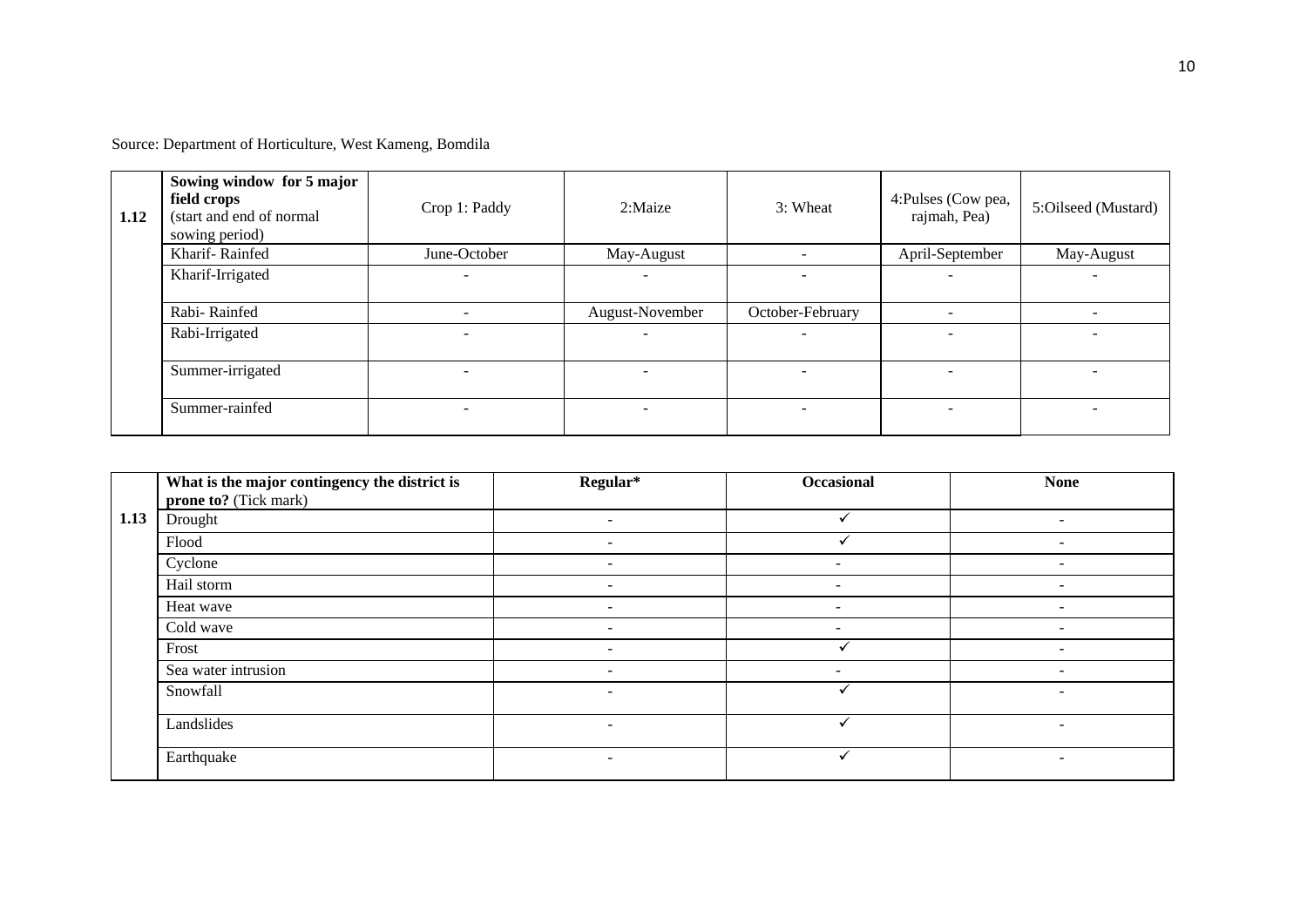Source: Department of Horticulture, West Kameng, Bomdila

| 1.12 | Sowing window for 5 major<br>field crops<br>(start and end of normal<br>sowing period) | Crop 1: Paddy            | 2:Maize                  | 3: Wheat                 | 4: Pulses (Cow pea,<br>rajmah, Pea) | 5:Oilseed (Mustard) |
|------|----------------------------------------------------------------------------------------|--------------------------|--------------------------|--------------------------|-------------------------------------|---------------------|
|      | Kharif-Rainfed                                                                         | June-October             | May-August               |                          | April-September                     | May-August          |
|      | Kharif-Irrigated                                                                       | $\overline{\phantom{a}}$ |                          |                          | -                                   |                     |
|      | Rabi-Rainfed                                                                           |                          | August-November          | October-February         | $\overline{\phantom{a}}$            |                     |
|      | Rabi-Irrigated                                                                         | $\overline{\phantom{0}}$ | $\overline{\phantom{0}}$ |                          | $\equiv$                            |                     |
|      | Summer-irrigated                                                                       |                          |                          |                          |                                     |                     |
|      | Summer-rainfed                                                                         | $\sim$                   |                          | $\overline{\phantom{0}}$ | $\overline{\phantom{0}}$            |                     |

|      | What is the major contingency the district is | Regular*                 | <b>Occasional</b>        | <b>None</b>              |
|------|-----------------------------------------------|--------------------------|--------------------------|--------------------------|
|      | prone to? (Tick mark)                         |                          |                          |                          |
| 1.13 | Drought                                       | $\sim$                   | $\checkmark$             | $\sim$                   |
|      | Flood                                         | $\overline{\phantom{a}}$ |                          | $\overline{\phantom{0}}$ |
|      | Cyclone                                       | $\sim$                   | $\overline{\phantom{0}}$ | $\overline{\phantom{0}}$ |
|      | Hail storm                                    | $\sim$                   | $\overline{\phantom{a}}$ | -                        |
|      | Heat wave                                     | $\sim$                   | $\overline{\phantom{a}}$ | $\sim$                   |
|      | Cold wave                                     | $\overline{\phantom{a}}$ | ۰                        | ۰                        |
|      | Frost                                         | $\overline{\phantom{0}}$ |                          |                          |
|      | Sea water intrusion                           | $\sim$                   | $\sim$                   | $\sim$                   |
|      | Snowfall                                      | $\overline{\phantom{a}}$ |                          |                          |
|      | Landslides                                    | $\overline{\phantom{a}}$ |                          | ۰                        |
|      | Earthquake                                    | $\equiv$                 |                          | ۰                        |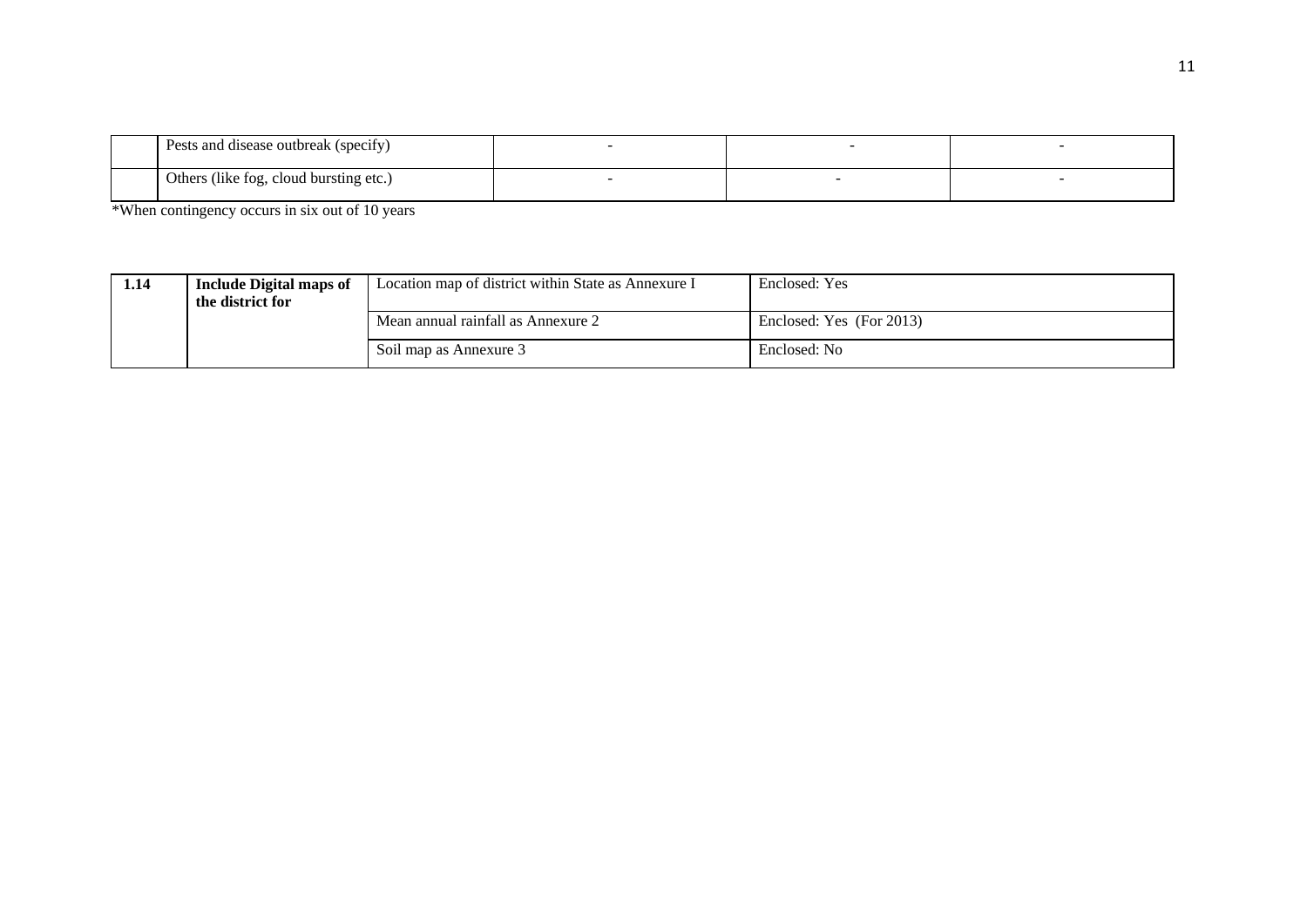| Pests and disease outbreak (specify)              |  |  |
|---------------------------------------------------|--|--|
| $\uparrow$ Others (like fog, cloud bursting etc.) |  |  |

\*When contingency occurs in six out of 10 years

| 1.14 | <b>Include Digital maps of</b><br>the district for | Location map of district within State as Annexure I | Enclosed: Yes            |
|------|----------------------------------------------------|-----------------------------------------------------|--------------------------|
|      |                                                    | Mean annual rainfall as Annexure 2                  | Enclosed: Yes (For 2013) |
|      |                                                    | Soil map as Annexure 3                              | Enclosed: No             |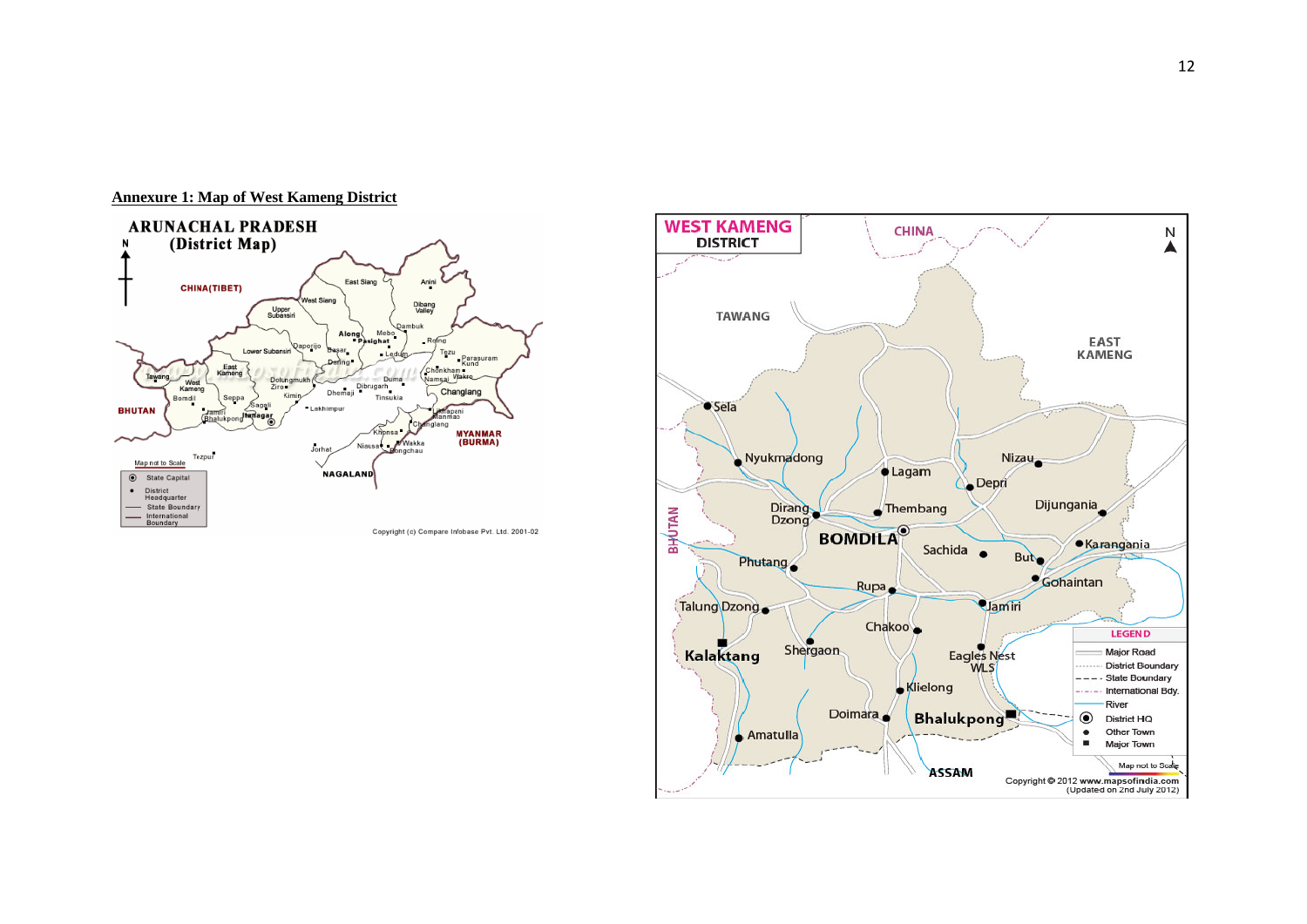

#### **Annexure 1: Map of West Kameng District**

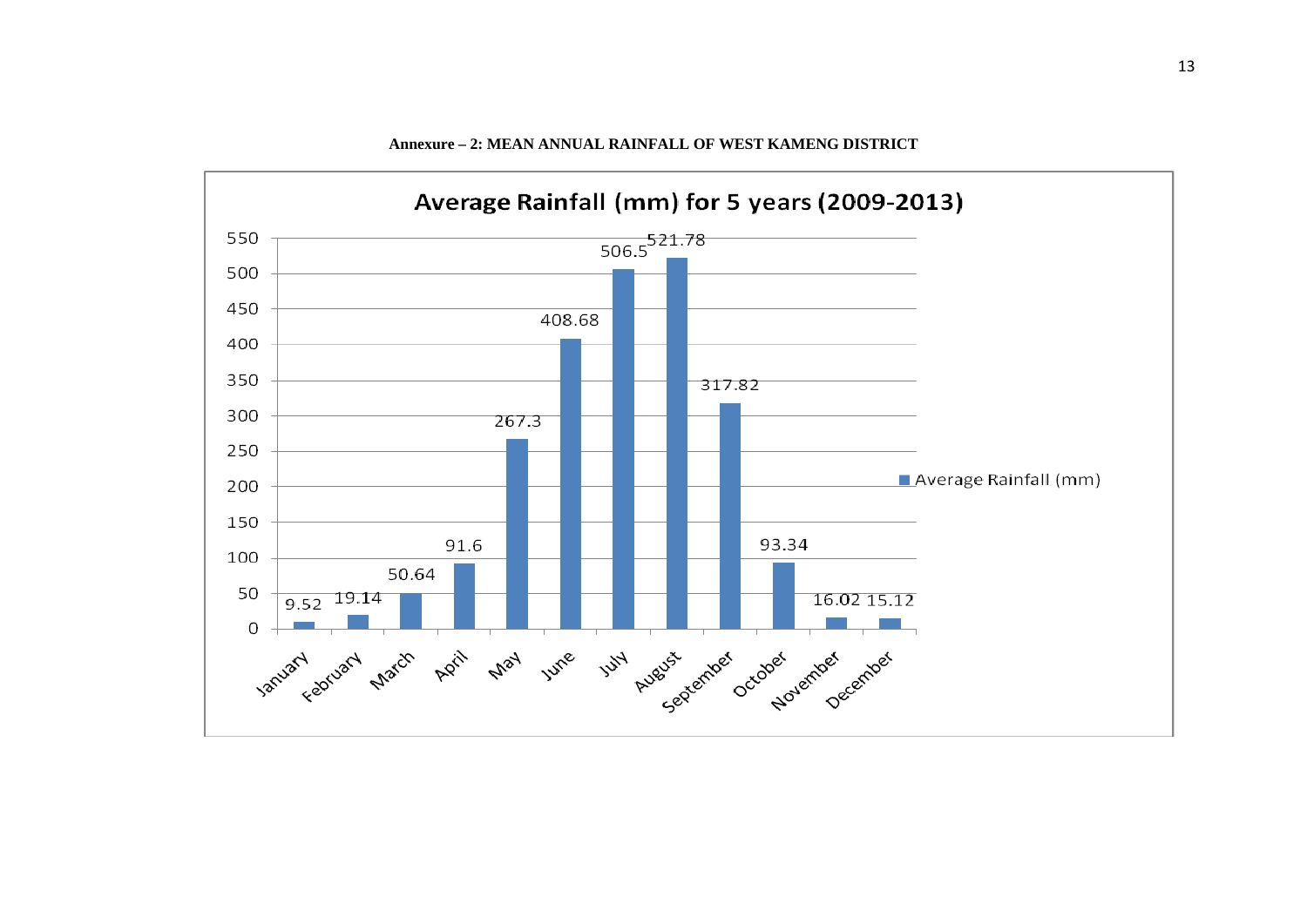

#### **Annexure – 2: MEAN ANNUAL RAINFALL OF WEST KAMENG DISTRICT**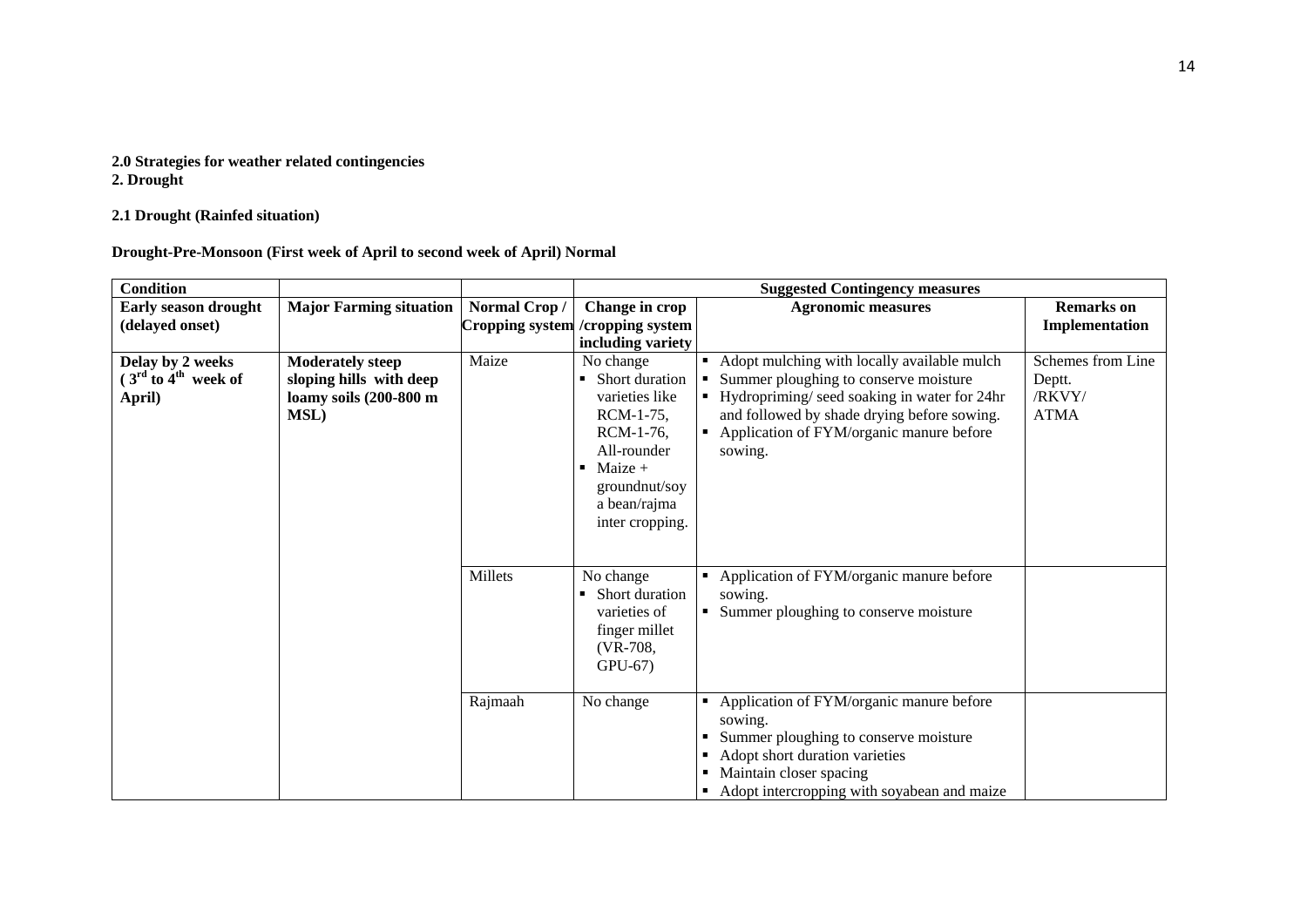#### **2.0 Strategies for weather related contingencies 2. Drought**

## **2.1 Drought (Rainfed situation)**

**Drought-Pre-Monsoon (First week of April to second week of April) Normal**

| <b>Condition</b>                                      |                                                                                             |              |                                                                                                                                                                   | <b>Suggested Contingency measures</b>                                                                                                                                                                                                       |                                                      |
|-------------------------------------------------------|---------------------------------------------------------------------------------------------|--------------|-------------------------------------------------------------------------------------------------------------------------------------------------------------------|---------------------------------------------------------------------------------------------------------------------------------------------------------------------------------------------------------------------------------------------|------------------------------------------------------|
| <b>Early season drought</b>                           | <b>Major Farming situation</b>                                                              | Normal Crop/ | Change in crop                                                                                                                                                    | <b>Agronomic measures</b>                                                                                                                                                                                                                   | <b>Remarks</b> on                                    |
| (delayed onset)                                       |                                                                                             |              | Cropping system / cropping system                                                                                                                                 |                                                                                                                                                                                                                                             | Implementation                                       |
|                                                       |                                                                                             |              | including variety                                                                                                                                                 |                                                                                                                                                                                                                                             |                                                      |
| Delay by 2 weeks<br>$(3rd$ to $4th$ week of<br>April) | <b>Moderately steep</b><br>sloping hills with deep<br>loamy soils (200-800 m<br><b>MSL)</b> | Maize        | No change<br>Short duration<br>٠<br>varieties like<br>RCM-1-75,<br>RCM-1-76.<br>All-rounder<br>Maize $+$<br>٠<br>groundnut/soy<br>a bean/rajma<br>inter cropping. | Adopt mulching with locally available mulch<br>Summer ploughing to conserve moisture<br>Hydropriming/seed soaking in water for 24hr<br>and followed by shade drying before sowing.<br>• Application of FYM/organic manure before<br>sowing. | Schemes from Line<br>Deptt.<br>/RKVY/<br><b>ATMA</b> |
|                                                       |                                                                                             | Millets      | No change<br>Short duration<br>varieties of<br>finger millet<br>$(VR-708,$<br>$GPU-67$                                                                            | Application of FYM/organic manure before<br>sowing.<br>Summer ploughing to conserve moisture                                                                                                                                                |                                                      |
|                                                       |                                                                                             | Rajmaah      | No change                                                                                                                                                         | Application of FYM/organic manure before<br>sowing.<br>Summer ploughing to conserve moisture<br>Adopt short duration varieties<br>Maintain closer spacing<br>Adopt intercropping with soyabean and maize                                    |                                                      |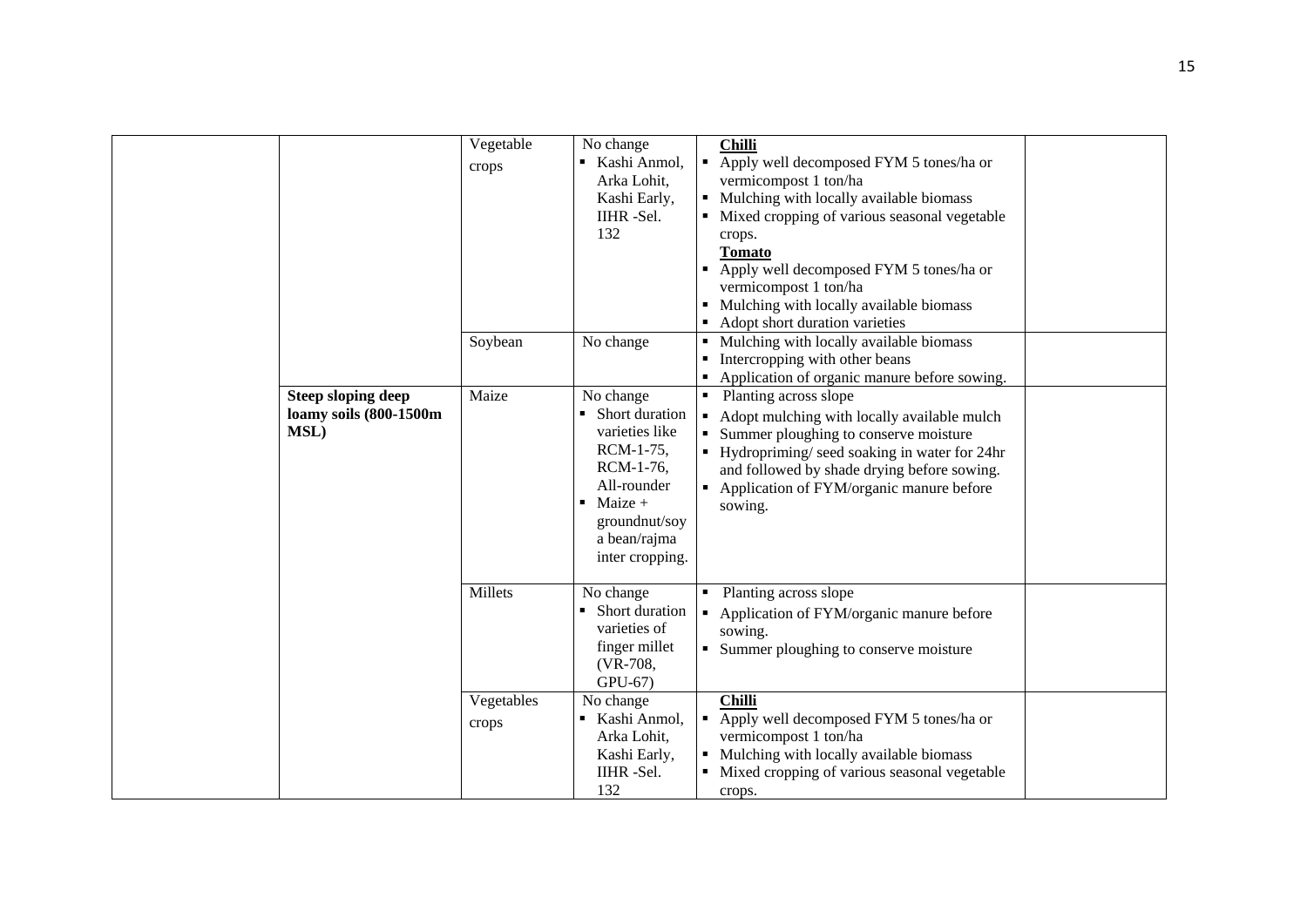|                                                                     | Vegetable<br>crops  | No change<br>Kashi Anmol,<br>Arka Lohit,<br>Kashi Early,<br>IIHR-Sel.<br>132                                                                                           |                | <b>Chilli</b><br>• Apply well decomposed FYM 5 tones/ha or<br>vermicompost 1 ton/ha<br>• Mulching with locally available biomass<br>• Mixed cropping of various seasonal vegetable<br>crops.<br>Tomato<br>• Apply well decomposed FYM 5 tones/ha or<br>vermicompost 1 ton/ha<br>• Mulching with locally available biomass<br>• Adopt short duration varieties |  |
|---------------------------------------------------------------------|---------------------|------------------------------------------------------------------------------------------------------------------------------------------------------------------------|----------------|---------------------------------------------------------------------------------------------------------------------------------------------------------------------------------------------------------------------------------------------------------------------------------------------------------------------------------------------------------------|--|
|                                                                     | Soybean             | No change                                                                                                                                                              |                | • Mulching with locally available biomass<br>• Intercropping with other beans<br>• Application of organic manure before sowing.                                                                                                                                                                                                                               |  |
| <b>Steep sloping deep</b><br>loamy soils (800-1500m<br><b>MSL</b> ) | Maize               | No change<br>• Short duration<br>varieties like<br>RCM-1-75,<br>RCM-1-76,<br>All-rounder<br>$\blacksquare$ Maize +<br>groundnut/soy<br>a bean/rajma<br>inter cropping. |                | • Planting across slope<br>Adopt mulching with locally available mulch<br>Summer ploughing to conserve moisture<br>Hydropriming/seed soaking in water for 24hr<br>and followed by shade drying before sowing.<br>Application of FYM/organic manure before<br>sowing.                                                                                          |  |
|                                                                     | Millets             | No change<br>• Short duration<br>varieties of<br>finger millet<br>(VR-708,<br>$GPU-67$                                                                                 | $\blacksquare$ | Planting across slope<br>Application of FYM/organic manure before<br>sowing.<br>• Summer ploughing to conserve moisture                                                                                                                                                                                                                                       |  |
|                                                                     | Vegetables<br>crops | No change<br>Kashi Anmol,<br>Arka Lohit,<br>Kashi Early,<br>IIHR-Sel.<br>132                                                                                           |                | <b>Chilli</b><br>• Apply well decomposed FYM 5 tones/ha or<br>vermicompost 1 ton/ha<br>• Mulching with locally available biomass<br>• Mixed cropping of various seasonal vegetable<br>crops.                                                                                                                                                                  |  |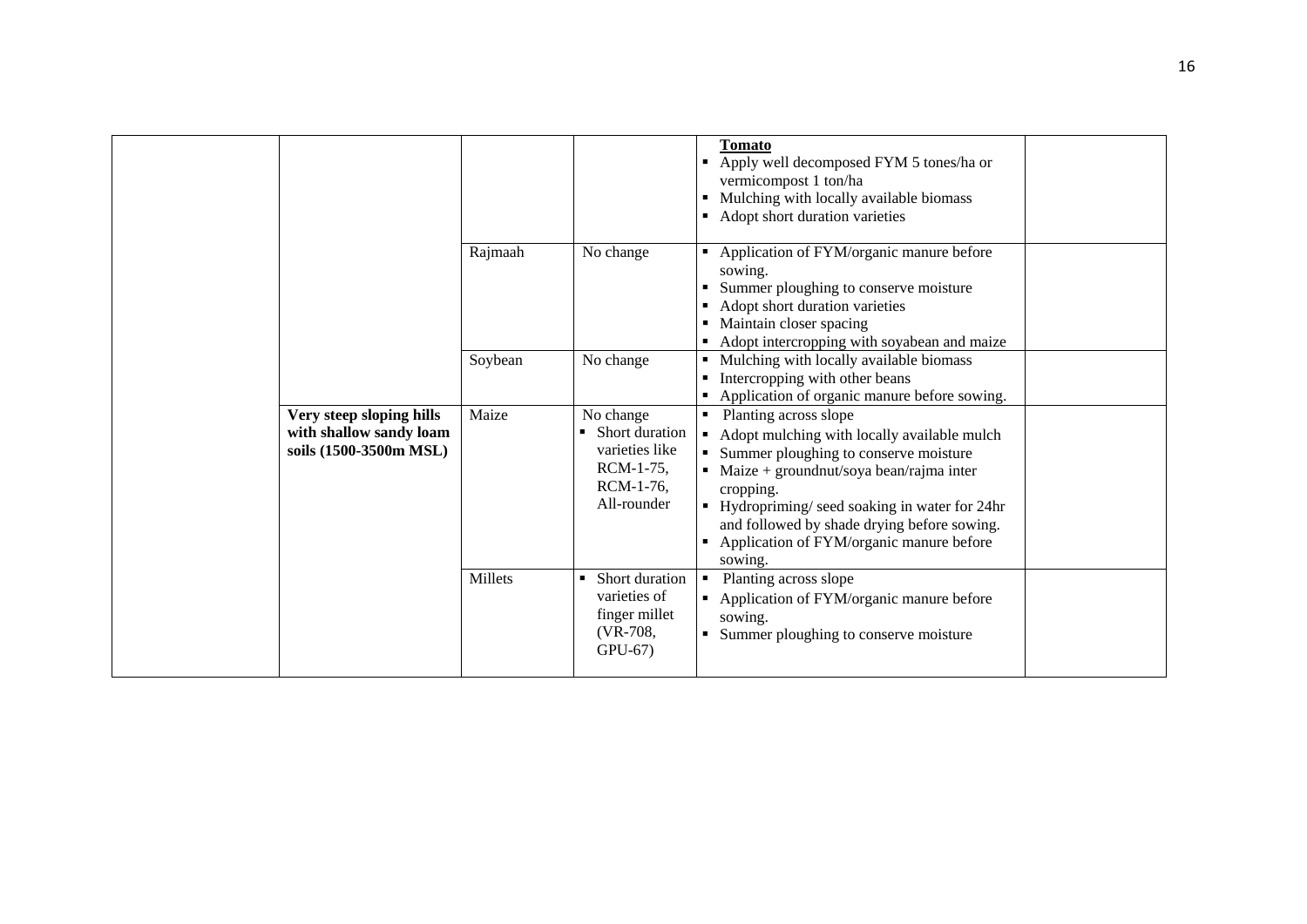|                                                                               | Rajmaah | No change                                                                                   | <b>Tomato</b><br>• Apply well decomposed FYM 5 tones/ha or<br>vermicompost 1 ton/ha<br>• Mulching with locally available biomass<br>• Adopt short duration varieties<br>Application of FYM/organic manure before                                                                                                                                    |  |
|-------------------------------------------------------------------------------|---------|---------------------------------------------------------------------------------------------|-----------------------------------------------------------------------------------------------------------------------------------------------------------------------------------------------------------------------------------------------------------------------------------------------------------------------------------------------------|--|
|                                                                               |         |                                                                                             | sowing.<br>Summer ploughing to conserve moisture<br>Adopt short duration varieties<br>Maintain closer spacing<br>Adopt intercropping with soyabean and maize                                                                                                                                                                                        |  |
|                                                                               | Soybean | No change                                                                                   | Mulching with locally available biomass<br>Intercropping with other beans<br>• Application of organic manure before sowing.                                                                                                                                                                                                                         |  |
| Very steep sloping hills<br>with shallow sandy loam<br>soils (1500-3500m MSL) | Maize   | No change<br>• Short duration<br>varieties like<br>$RCM-1-75$ ,<br>RCM-1-76,<br>All-rounder | Planting across slope<br>Adopt mulching with locally available mulch<br>٠<br>Summer ploughing to conserve moisture<br>$\blacksquare$ Maize + groundnut/soya bean/rajma inter<br>cropping.<br>• Hydropriming/ seed soaking in water for 24hr<br>and followed by shade drying before sowing.<br>• Application of FYM/organic manure before<br>sowing. |  |
|                                                                               | Millets | • Short duration<br>varieties of<br>finger millet<br>(VR-708,<br>$GPU-67$                   | Planting across slope<br>٠<br>• Application of FYM/organic manure before<br>sowing.<br>Summer ploughing to conserve moisture                                                                                                                                                                                                                        |  |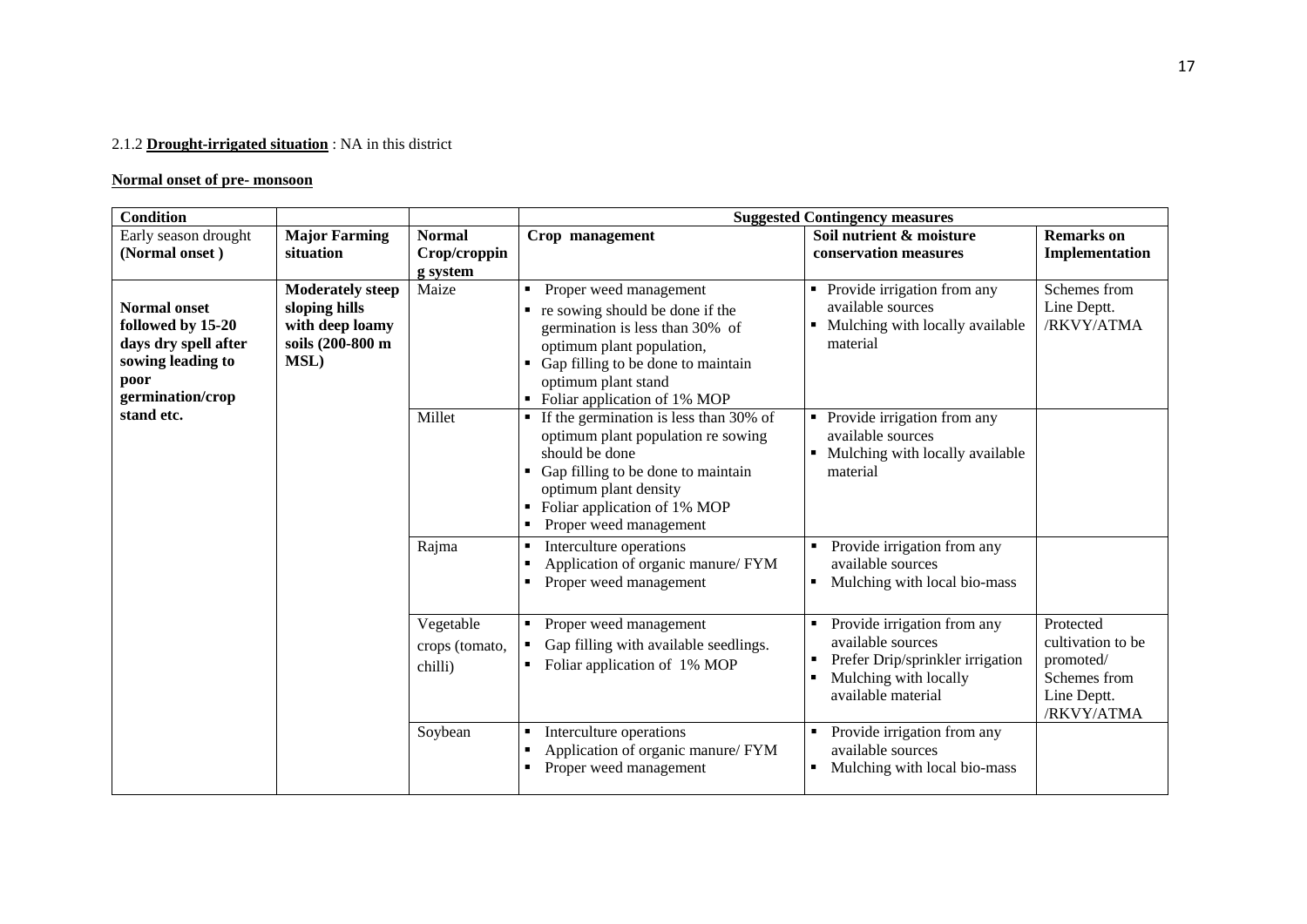## 2.1.2 **Drought-irrigated situation** : NA in this district

## **Normal onset of pre- monsoon**

| <b>Condition</b>                                                                                                  |                                                                                         |                                           |                                                                                                                                                                                                                                             | <b>Suggested Contingency measures</b>                                                                                               |                                                                                          |
|-------------------------------------------------------------------------------------------------------------------|-----------------------------------------------------------------------------------------|-------------------------------------------|---------------------------------------------------------------------------------------------------------------------------------------------------------------------------------------------------------------------------------------------|-------------------------------------------------------------------------------------------------------------------------------------|------------------------------------------------------------------------------------------|
| Early season drought<br>(Normal onset)                                                                            | <b>Major Farming</b><br>situation                                                       | <b>Normal</b><br>Crop/croppin<br>g system | Crop management                                                                                                                                                                                                                             | Soil nutrient & moisture<br>conservation measures                                                                                   | <b>Remarks</b> on<br>Implementation                                                      |
| <b>Normal onset</b><br>followed by 15-20<br>days dry spell after<br>sowing leading to<br>poor<br>germination/crop | <b>Moderately steep</b><br>sloping hills<br>with deep loamy<br>soils (200-800 m<br>MSL) | Maize                                     | Proper weed management<br>٠<br>re sowing should be done if the<br>germination is less than 30% of<br>optimum plant population,<br>• Gap filling to be done to maintain<br>optimum plant stand<br>• Foliar application of 1% MOP             | Provide irrigation from any<br>available sources<br>Mulching with locally available<br>material                                     | Schemes from<br>Line Deptt.<br>/RKVY/ATMA                                                |
| stand etc.                                                                                                        |                                                                                         | Millet                                    | $\blacksquare$ If the germination is less than 30% of<br>optimum plant population re sowing<br>should be done<br>Gap filling to be done to maintain<br>optimum plant density<br>Foliar application of 1% MOP<br>٠<br>Proper weed management | Provide irrigation from any<br>available sources<br>Mulching with locally available<br>material                                     |                                                                                          |
|                                                                                                                   |                                                                                         | Rajma                                     | Interculture operations<br>٠<br>Application of organic manure/ FYM<br>Proper weed management<br>$\blacksquare$                                                                                                                              | Provide irrigation from any<br>available sources<br>Mulching with local bio-mass                                                    |                                                                                          |
|                                                                                                                   |                                                                                         | Vegetable<br>crops (tomato,<br>chilli)    | Proper weed management<br>٠<br>Gap filling with available seedlings.<br>Foliar application of 1% MOP<br>$\blacksquare$                                                                                                                      | Provide irrigation from any<br>available sources<br>Prefer Drip/sprinkler irrigation<br>Mulching with locally<br>available material | Protected<br>cultivation to be<br>promoted/<br>Schemes from<br>Line Deptt.<br>/RKVY/ATMA |
|                                                                                                                   |                                                                                         | Soybean                                   | Interculture operations<br>٠<br>Application of organic manure/ FYM<br>Proper weed management<br>٠                                                                                                                                           | Provide irrigation from any<br>available sources<br>Mulching with local bio-mass<br>٠                                               |                                                                                          |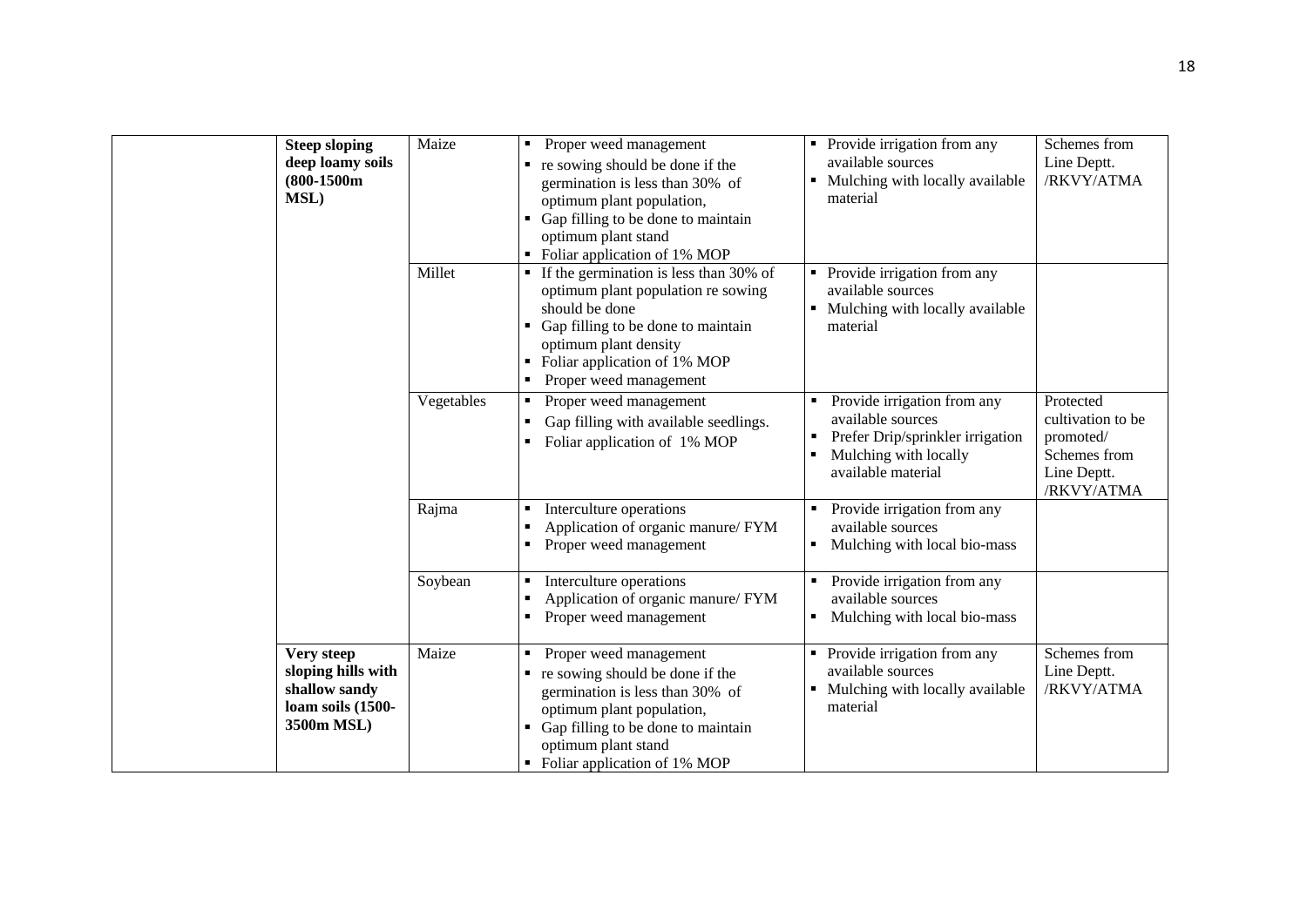| <b>Steep sloping</b><br>deep loamy soils<br>$(800-1500m)$<br>MSL)                    | Maize      | Proper weed management<br>٠<br>$\blacksquare$ re sowing should be done if the<br>germination is less than 30% of<br>optimum plant population,<br>• Gap filling to be done to maintain<br>optimum plant stand<br>• Foliar application of 1% MOP | • Provide irrigation from any<br>available sources<br>Mulching with locally available<br>material                                   | Schemes from<br>Line Deptt.<br>/RKVY/ATMA                                                |
|--------------------------------------------------------------------------------------|------------|------------------------------------------------------------------------------------------------------------------------------------------------------------------------------------------------------------------------------------------------|-------------------------------------------------------------------------------------------------------------------------------------|------------------------------------------------------------------------------------------|
|                                                                                      | Millet     | $\blacksquare$ If the germination is less than 30% of<br>optimum plant population re sowing<br>should be done<br>• Gap filling to be done to maintain<br>optimum plant density<br>Foliar application of 1% MOP<br>Proper weed management       | Provide irrigation from any<br>available sources<br>Mulching with locally available<br>material                                     |                                                                                          |
|                                                                                      | Vegetables | Proper weed management<br>٠<br>Gap filling with available seedlings.<br>٠<br>Foliar application of 1% MOP                                                                                                                                      | Provide irrigation from any<br>available sources<br>Prefer Drip/sprinkler irrigation<br>Mulching with locally<br>available material | Protected<br>cultivation to be<br>promoted/<br>Schemes from<br>Line Deptt.<br>/RKVY/ATMA |
|                                                                                      | Rajma      | Interculture operations<br>Е<br>Application of organic manure/ FYM<br>Proper weed management                                                                                                                                                   | Provide irrigation from any<br>available sources<br>Mulching with local bio-mass<br>٠                                               |                                                                                          |
|                                                                                      | Soybean    | Interculture operations<br>Application of organic manure/ FYM<br>Proper weed management                                                                                                                                                        | Provide irrigation from any<br>٠<br>available sources<br>Mulching with local bio-mass                                               |                                                                                          |
| Very steep<br>sloping hills with<br>shallow sandy<br>loam soils (1500-<br>3500m MSL) | Maize      | Proper weed management<br>٠<br>re sowing should be done if the<br>germination is less than 30% of<br>optimum plant population,<br>• Gap filling to be done to maintain<br>optimum plant stand<br>• Foliar application of 1% MOP                | Provide irrigation from any<br>available sources<br>Mulching with locally available<br>material                                     | Schemes from<br>Line Deptt.<br>/RKVY/ATMA                                                |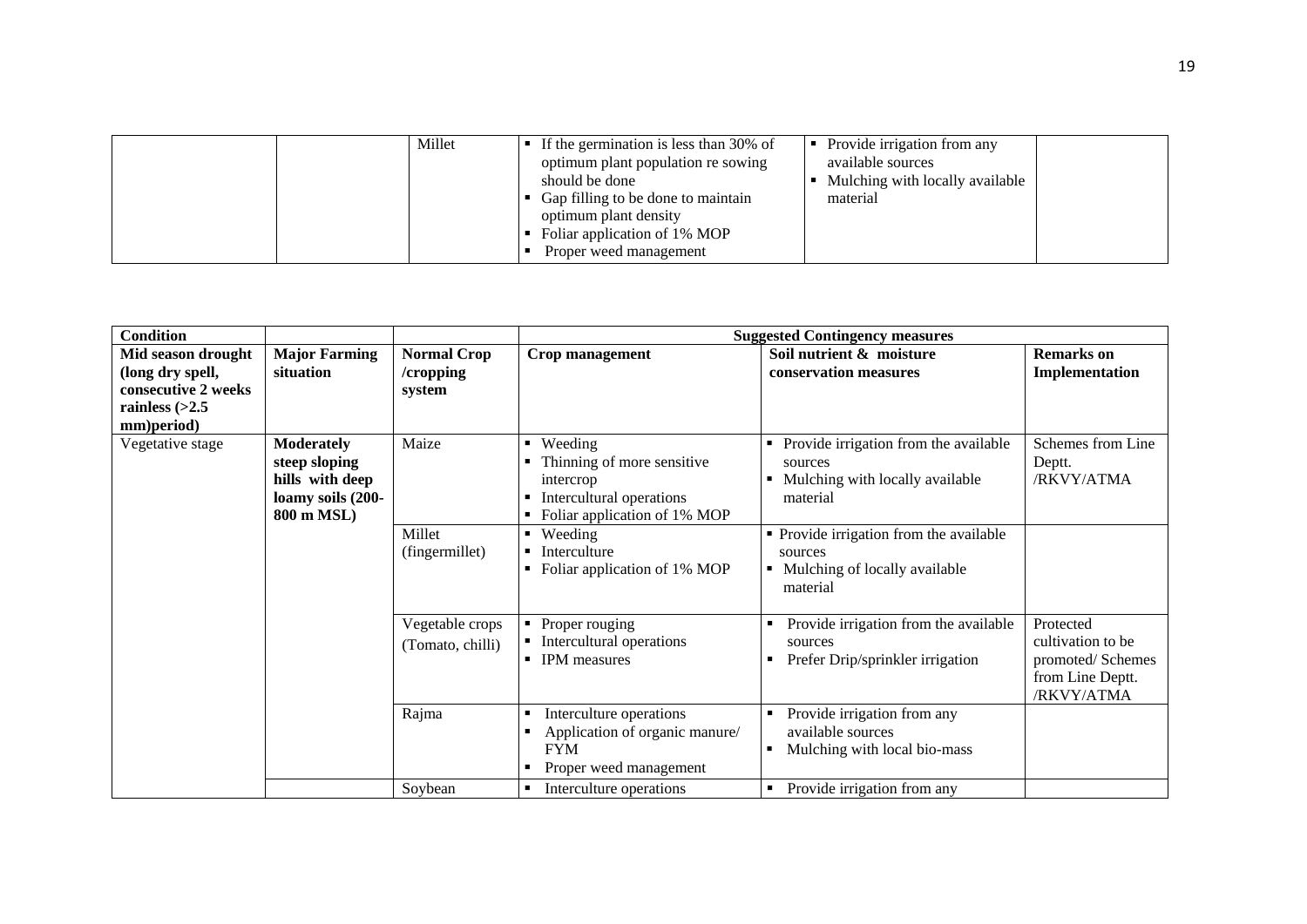| Millet | If the germination is less than 30% of<br>optimum plant population re sowing<br>should be done<br>Gap filling to be done to maintain<br>optimum plant density<br>Foliar application of 1% MOP<br>Proper weed management | Provide irrigation from any<br>available sources<br>Mulching with locally available<br>material |  |
|--------|-------------------------------------------------------------------------------------------------------------------------------------------------------------------------------------------------------------------------|-------------------------------------------------------------------------------------------------|--|
|--------|-------------------------------------------------------------------------------------------------------------------------------------------------------------------------------------------------------------------------|-------------------------------------------------------------------------------------------------|--|

| <b>Condition</b>                                                                                |                                                                                          |                                           |                                                                                                                                                  | <b>Suggested Contingency measures</b>                                                                                                      |                                                                                      |
|-------------------------------------------------------------------------------------------------|------------------------------------------------------------------------------------------|-------------------------------------------|--------------------------------------------------------------------------------------------------------------------------------------------------|--------------------------------------------------------------------------------------------------------------------------------------------|--------------------------------------------------------------------------------------|
| Mid season drought<br>(long dry spell,<br>consecutive 2 weeks<br>rainless $(>2.5$<br>mm)period) | <b>Major Farming</b><br>situation                                                        | <b>Normal Crop</b><br>/cropping<br>system | Crop management                                                                                                                                  | Soil nutrient & moisture<br>conservation measures                                                                                          | <b>Remarks</b> on<br>Implementation                                                  |
| Vegetative stage                                                                                | <b>Moderately</b><br>steep sloping<br>hills with deep<br>loamy soils (200-<br>800 m MSL) | Maize<br>Millet                           | Weeding<br>٠<br>Thinning of more sensitive<br>intercrop<br>Intercultural operations<br>Foliar application of 1% MOP<br>Weeding<br>$\blacksquare$ | Provide irrigation from the available<br>sources<br>Mulching with locally available<br>material<br>• Provide irrigation from the available | Schemes from Line<br>Deptt.<br>/RKVY/ATMA                                            |
|                                                                                                 |                                                                                          | (fingermillet)                            | Interculture<br>Foliar application of 1% MOP                                                                                                     | sources<br>Mulching of locally available<br>material                                                                                       |                                                                                      |
|                                                                                                 |                                                                                          | Vegetable crops<br>(Tomato, chilli)       | • Proper rouging<br>• Intercultural operations<br><b>IPM</b> measures                                                                            | Provide irrigation from the available<br>sources<br>Prefer Drip/sprinkler irrigation                                                       | Protected<br>cultivation to be<br>promoted/Schemes<br>from Line Deptt.<br>/RKVY/ATMA |
|                                                                                                 |                                                                                          | Rajma                                     | Interculture operations<br>п<br>Application of organic manure/<br>п<br><b>FYM</b><br>Proper weed management<br>п                                 | Provide irrigation from any<br>available sources<br>Mulching with local bio-mass                                                           |                                                                                      |
|                                                                                                 |                                                                                          | Soybean                                   | Interculture operations<br>٠                                                                                                                     | Provide irrigation from any<br>$\blacksquare$                                                                                              |                                                                                      |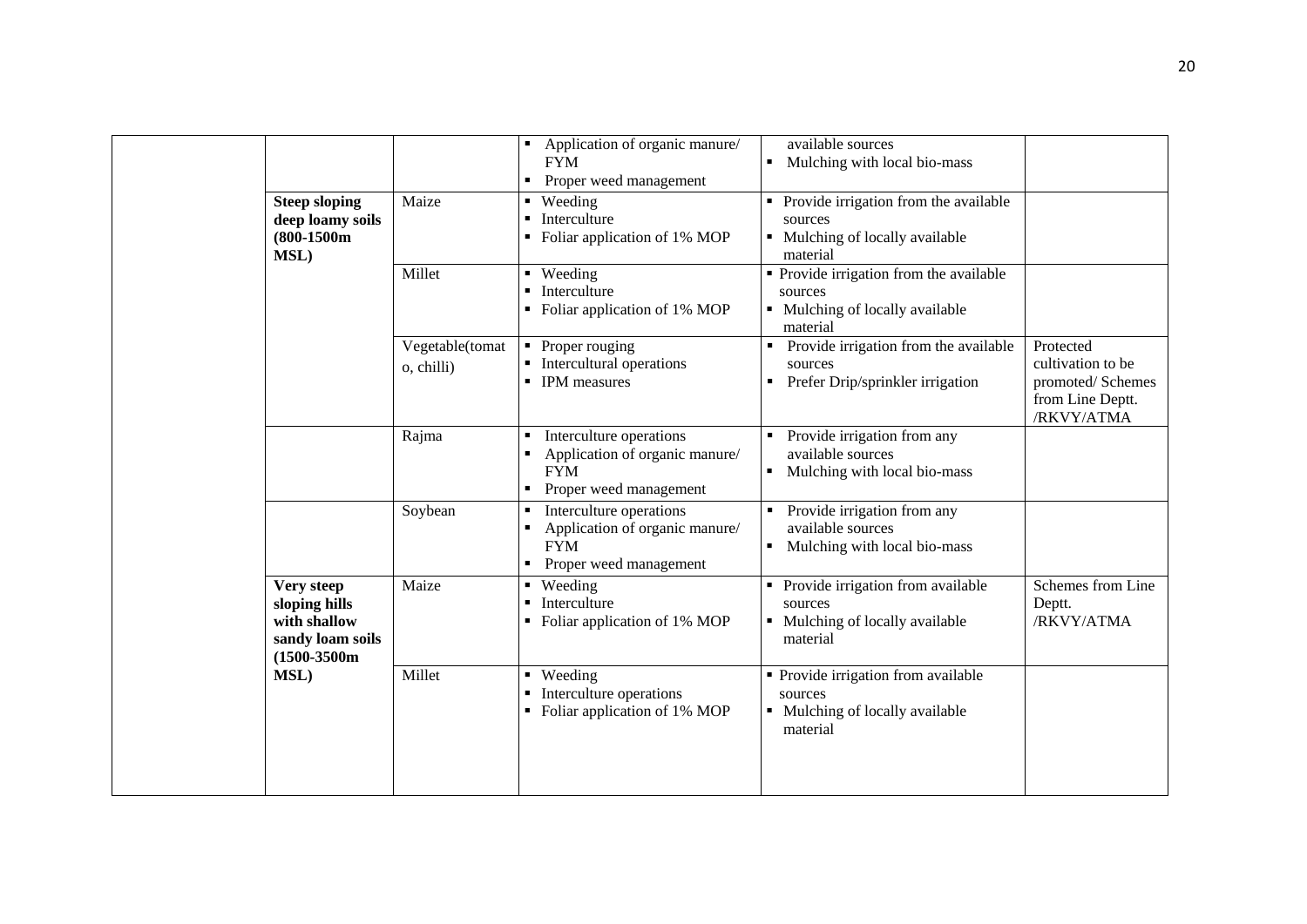|  | <b>Steep sloping</b>                                                              | Maize                         | Application of organic manure/<br><b>FYM</b><br>Proper weed management<br>• Weeding                    | available sources<br>Mulching with local bio-mass<br>Provide irrigation from the available      |                                                                                      |
|--|-----------------------------------------------------------------------------------|-------------------------------|--------------------------------------------------------------------------------------------------------|-------------------------------------------------------------------------------------------------|--------------------------------------------------------------------------------------|
|  | deep loamy soils<br>$(800-1500m$<br>MSL)                                          |                               | $\blacksquare$ Interculture<br>• Foliar application of 1% MOP                                          | sources<br>• Mulching of locally available<br>material                                          |                                                                                      |
|  |                                                                                   | Millet                        | • Weeding<br><b>Interculture</b><br>• Foliar application of 1% MOP                                     | • Provide irrigation from the available<br>sources<br>Mulching of locally available<br>material |                                                                                      |
|  |                                                                                   | Vegetable(tomat<br>o, chilli) | $\overline{\phantom{a}}$ Proper rouging<br>• Intercultural operations<br>• IPM measures                | Provide irrigation from the available<br>sources<br>Prefer Drip/sprinkler irrigation            | Protected<br>cultivation to be<br>promoted/Schemes<br>from Line Deptt.<br>/RKVY/ATMA |
|  |                                                                                   | Rajma                         | Interculture operations<br>٠<br>Application of organic manure/<br><b>FYM</b><br>Proper weed management | Provide irrigation from any<br>٠<br>available sources<br>Mulching with local bio-mass           |                                                                                      |
|  |                                                                                   | Soybean                       | Interculture operations<br>٠<br>Application of organic manure/<br><b>FYM</b><br>Proper weed management | Provide irrigation from any<br>available sources<br>Mulching with local bio-mass<br>٠           |                                                                                      |
|  | Very steep<br>sloping hills<br>with shallow<br>sandy loam soils<br>$(1500-3500m)$ | Maize                         | • Weeding<br>• Interculture<br>• Foliar application of 1% MOP                                          | Provide irrigation from available<br>sources<br>• Mulching of locally available<br>material     | Schemes from Line<br>Deptt.<br>/RKVY/ATMA                                            |
|  | <b>MSL)</b>                                                                       | Millet                        | • Weeding<br>• Interculture operations<br>• Foliar application of 1% MOP                               | • Provide irrigation from available<br>sources<br>• Mulching of locally available<br>material   |                                                                                      |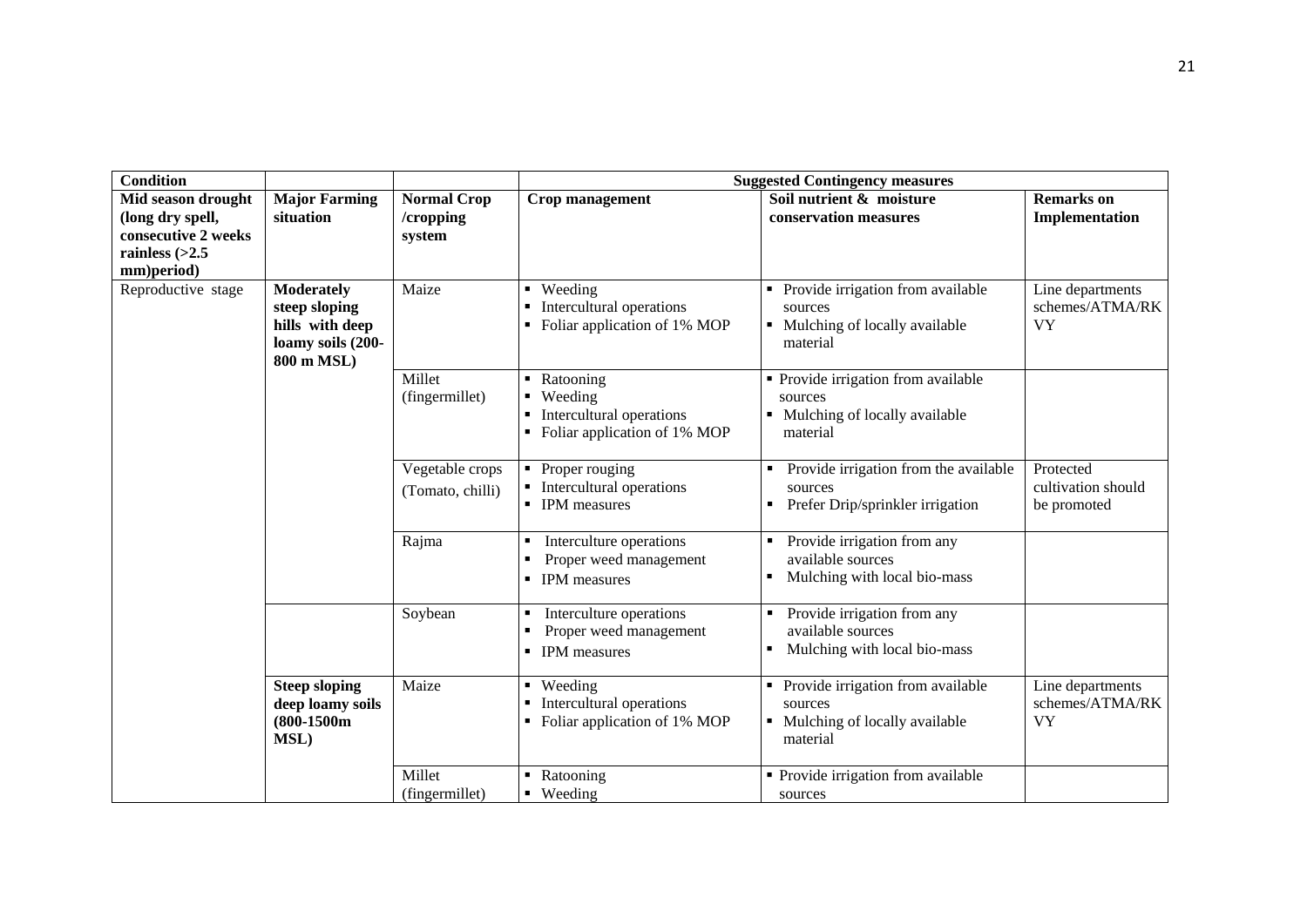| <b>Condition</b>                                                                                |                                                                                          |                                           | <b>Suggested Contingency measures</b>                                                           |                                                                                             |                                                  |  |  |
|-------------------------------------------------------------------------------------------------|------------------------------------------------------------------------------------------|-------------------------------------------|-------------------------------------------------------------------------------------------------|---------------------------------------------------------------------------------------------|--------------------------------------------------|--|--|
| Mid season drought<br>(long dry spell,<br>consecutive 2 weeks<br>rainless $(>2.5$<br>mm)period) | <b>Major Farming</b><br>situation                                                        | <b>Normal Crop</b><br>/cropping<br>system | Crop management                                                                                 | Soil nutrient & moisture<br>conservation measures                                           | <b>Remarks</b> on<br>Implementation              |  |  |
| Reproductive stage                                                                              | <b>Moderately</b><br>steep sloping<br>hills with deep<br>loamy soils (200-<br>800 m MSL) | Maize                                     | • Weeding<br>• Intercultural operations<br>• Foliar application of 1% MOP                       | Provide irrigation from available<br>sources<br>• Mulching of locally available<br>material | Line departments<br>schemes/ATMA/RK<br><b>VY</b> |  |  |
|                                                                                                 |                                                                                          | Millet<br>(fingermillet)                  | • Ratooning<br>• Weeding<br>Intercultural operations<br>• Foliar application of 1% MOP          | • Provide irrigation from available<br>sources<br>Mulching of locally available<br>material |                                                  |  |  |
|                                                                                                 |                                                                                          | Vegetable crops<br>(Tomato, chilli)       | • Proper rouging<br>• Intercultural operations<br>• IPM measures                                | Provide irrigation from the available<br>sources<br>Prefer Drip/sprinkler irrigation        | Protected<br>cultivation should<br>be promoted   |  |  |
|                                                                                                 |                                                                                          | Rajma                                     | Interculture operations<br>٠<br>Proper weed management<br><b>IPM</b> measures<br>$\blacksquare$ | Provide irrigation from any<br>available sources<br>Mulching with local bio-mass            |                                                  |  |  |
|                                                                                                 |                                                                                          | Soybean                                   | Interculture operations<br>٠<br>Proper weed management<br>٠<br><b>IPM</b> measures              | Provide irrigation from any<br>available sources<br>Mulching with local bio-mass            |                                                  |  |  |
|                                                                                                 | <b>Steep sloping</b><br>deep loamy soils<br>$(800-1500m)$<br>MSL)                        | Maize                                     | • Weeding<br>Intercultural operations<br>٠<br>• Foliar application of 1% MOP                    | Provide irrigation from available<br>sources<br>• Mulching of locally available<br>material | Line departments<br>schemes/ATMA/RK<br><b>VY</b> |  |  |
|                                                                                                 |                                                                                          | Millet<br>(fingermillet)                  | • Ratooning<br>• Weeding                                                                        | • Provide irrigation from available<br>sources                                              |                                                  |  |  |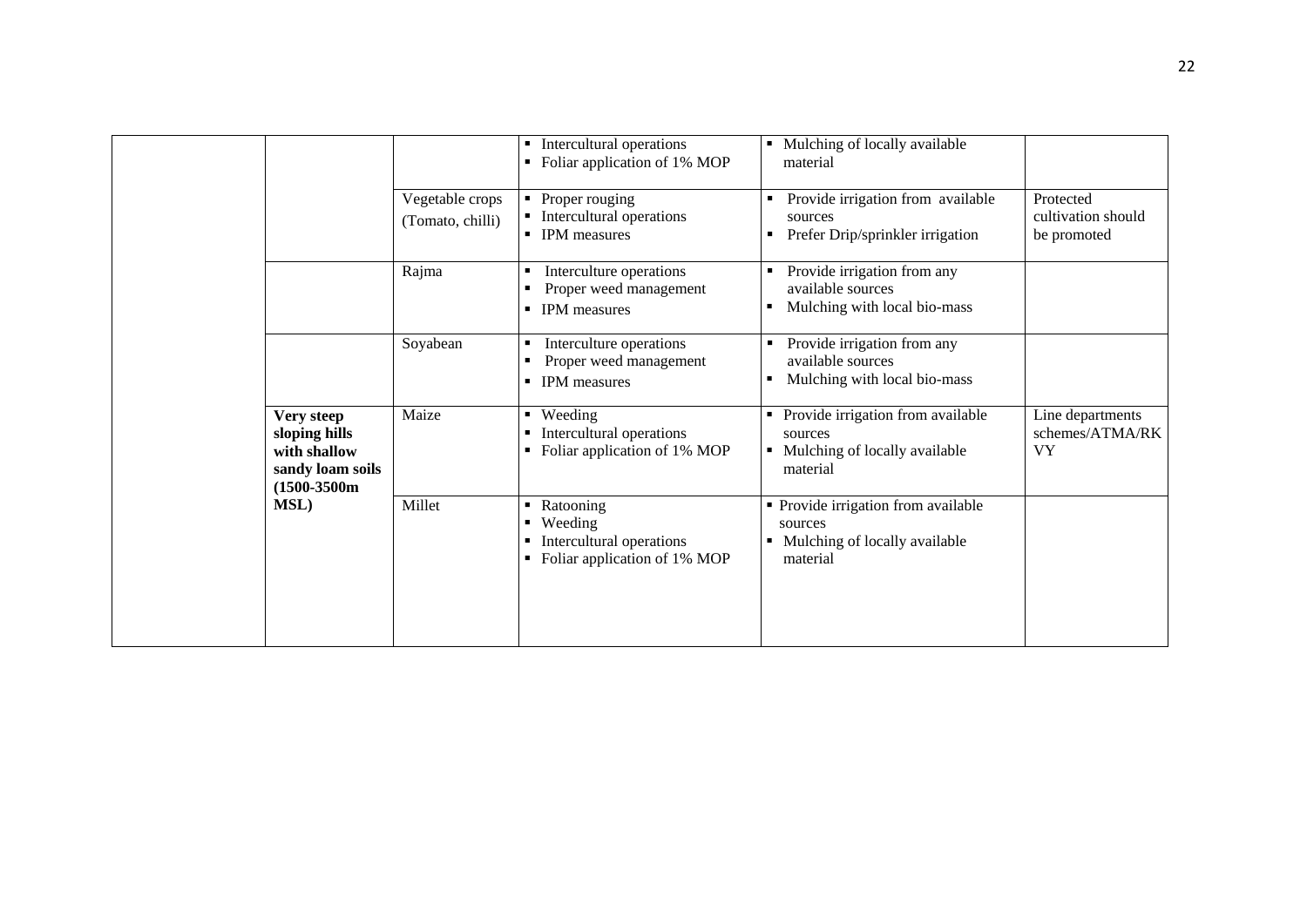|  |                                                                                   |                                     | Intercultural operations<br>Foliar application of 1% MOP                                 | Mulching of locally available<br>material                                                   |                                                  |
|--|-----------------------------------------------------------------------------------|-------------------------------------|------------------------------------------------------------------------------------------|---------------------------------------------------------------------------------------------|--------------------------------------------------|
|  |                                                                                   | Vegetable crops<br>(Tomato, chilli) | • Proper rouging<br>• Intercultural operations<br>• IPM measures                         | Provide irrigation from available<br>sources<br>Prefer Drip/sprinkler irrigation            | Protected<br>cultivation should<br>be promoted   |
|  |                                                                                   | Rajma                               | Interculture operations<br>Proper weed management<br><b>IPM</b> measures                 | Provide irrigation from any<br>available sources<br>Mulching with local bio-mass            |                                                  |
|  |                                                                                   | Soyabean                            | Interculture operations<br>Proper weed management<br><b>IPM</b> measures                 | Provide irrigation from any<br>available sources<br>Mulching with local bio-mass            |                                                  |
|  | Very steep<br>sloping hills<br>with shallow<br>sandy loam soils<br>$(1500-3500m)$ | Maize                               | ■ Weeding<br>Intercultural operations<br>• Foliar application of 1% MOP                  | Provide irrigation from available<br>sources<br>• Mulching of locally available<br>material | Line departments<br>schemes/ATMA/RK<br><b>VY</b> |
|  | <b>MSL</b> )                                                                      | Millet                              | Ratooning<br>٠.<br>Weeding<br>Intercultural operations<br>• Foliar application of 1% MOP | • Provide irrigation from available<br>sources<br>Mulching of locally available<br>material |                                                  |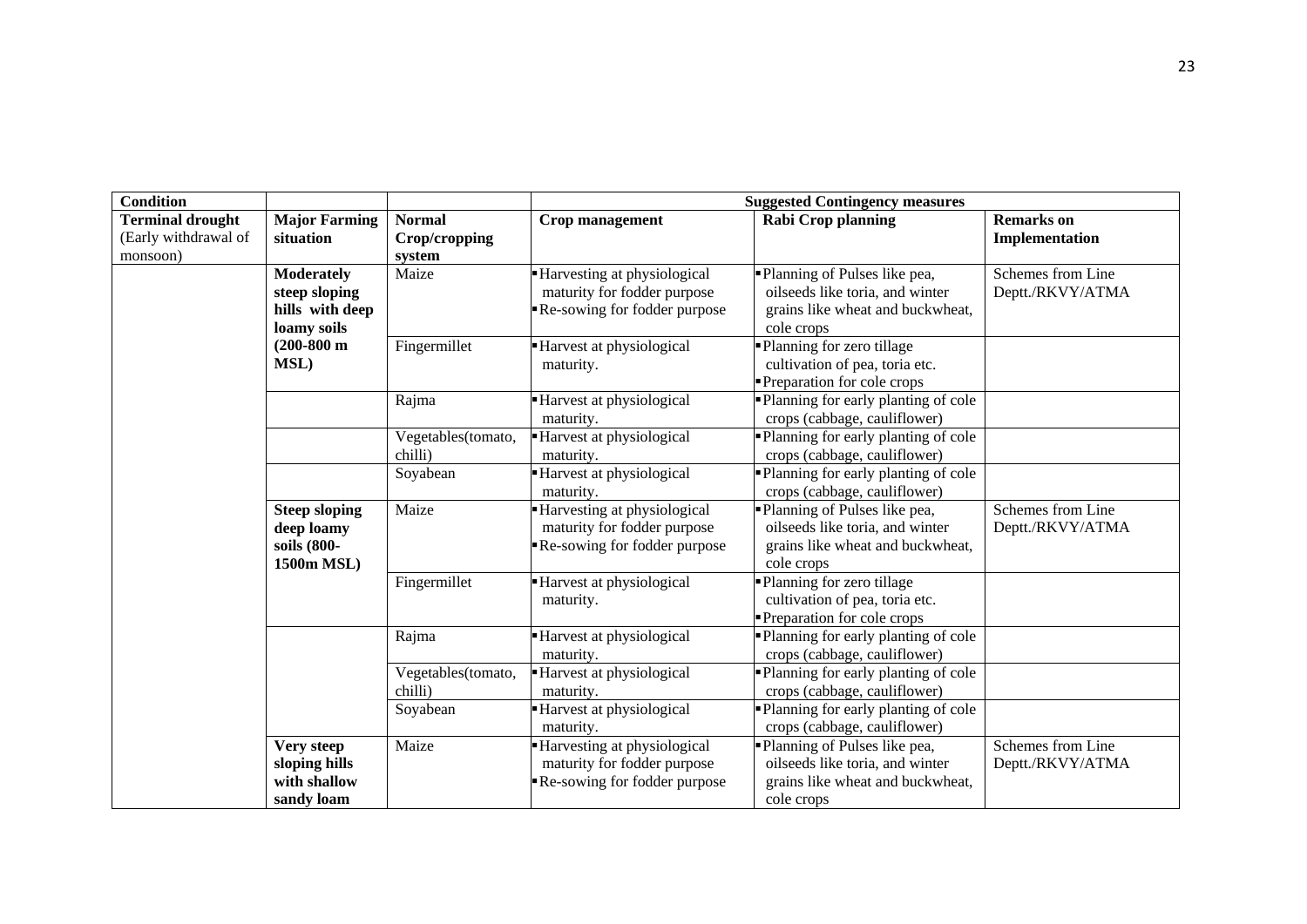| <b>Condition</b>                                            |                                                                      |                                          | <b>Suggested Contingency measures</b>                                                      |                                                                                                                     |                                       |  |  |
|-------------------------------------------------------------|----------------------------------------------------------------------|------------------------------------------|--------------------------------------------------------------------------------------------|---------------------------------------------------------------------------------------------------------------------|---------------------------------------|--|--|
| <b>Terminal drought</b><br>(Early withdrawal of<br>monsoon) | <b>Major Farming</b><br>situation                                    | <b>Normal</b><br>Crop/cropping<br>system | Crop management                                                                            | <b>Rabi Crop planning</b>                                                                                           | <b>Remarks</b> on<br>Implementation   |  |  |
|                                                             | <b>Moderately</b><br>steep sloping<br>hills with deep<br>loamy soils | Maize                                    | Harvesting at physiological<br>maturity for fodder purpose<br>Re-sowing for fodder purpose | Planning of Pulses like pea,<br>oilseeds like toria, and winter<br>grains like wheat and buckwheat,<br>cole crops   | Schemes from Line<br>Deptt./RKVY/ATMA |  |  |
|                                                             | $(200-800 \text{ m})$<br><b>MSL)</b>                                 | Fingermillet                             | Harvest at physiological<br>maturity.                                                      | Planning for zero tillage<br>cultivation of pea, toria etc.<br>Preparation for cole crops                           |                                       |  |  |
|                                                             |                                                                      | Rajma                                    | Harvest at physiological<br>maturity.                                                      | Planning for early planting of cole<br>crops (cabbage, cauliflower)                                                 |                                       |  |  |
|                                                             |                                                                      | Vegetables(tomato,<br>chilli)            | Harvest at physiological<br>maturity.                                                      | Planning for early planting of cole<br>crops (cabbage, cauliflower)                                                 |                                       |  |  |
|                                                             |                                                                      | Soyabean                                 | Harvest at physiological<br>maturity.                                                      | Planning for early planting of cole<br>crops (cabbage, cauliflower)                                                 |                                       |  |  |
|                                                             | <b>Steep sloping</b><br>deep loamy<br>soils (800-<br>1500m MSL)      | Maize                                    | Harvesting at physiological<br>maturity for fodder purpose<br>Re-sowing for fodder purpose | Planning of Pulses like pea,<br>oilseeds like toria, and winter<br>grains like wheat and buckwheat,<br>cole crops   | Schemes from Line<br>Deptt./RKVY/ATMA |  |  |
|                                                             |                                                                      | Fingermillet                             | - Harvest at physiological<br>maturity.                                                    | -Planning for zero tillage<br>cultivation of pea, toria etc.<br>Preparation for cole crops                          |                                       |  |  |
|                                                             |                                                                      | Rajma                                    | - Harvest at physiological<br>maturity.                                                    | Planning for early planting of cole<br>crops (cabbage, cauliflower)                                                 |                                       |  |  |
|                                                             |                                                                      | Vegetables(tomato,<br>chilli)            | - Harvest at physiological<br>maturity.                                                    | "Planning for early planting of cole<br>crops (cabbage, cauliflower)                                                |                                       |  |  |
|                                                             |                                                                      | Soyabean                                 | Harvest at physiological<br>maturity.                                                      | Planning for early planting of cole<br>crops (cabbage, cauliflower)                                                 |                                       |  |  |
|                                                             | Very steep<br>sloping hills<br>with shallow<br>sandy loam            | Maize                                    | Harvesting at physiological<br>maturity for fodder purpose<br>Re-sowing for fodder purpose | • Planning of Pulses like pea,<br>oilseeds like toria, and winter<br>grains like wheat and buckwheat,<br>cole crops | Schemes from Line<br>Deptt./RKVY/ATMA |  |  |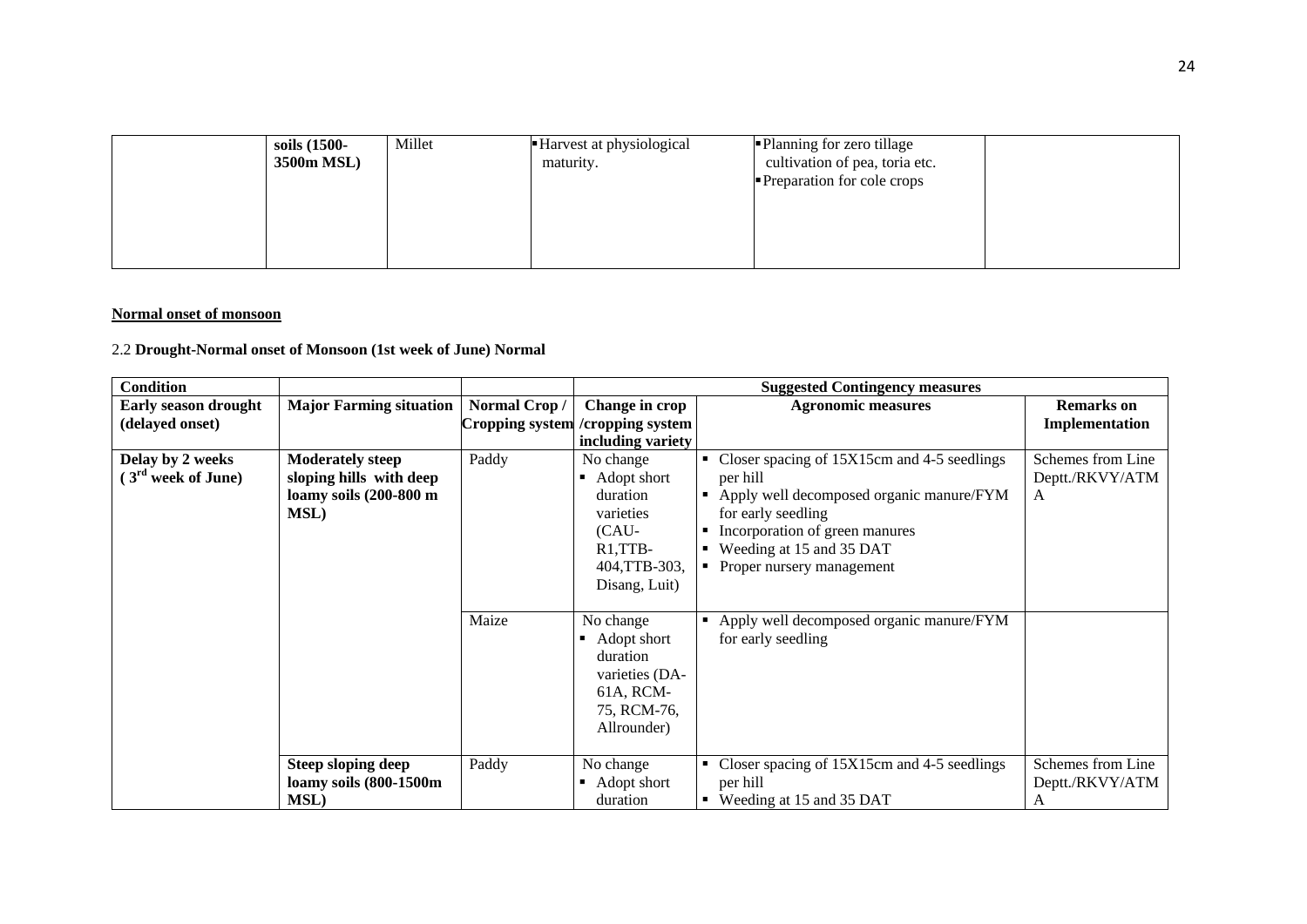| soils (1500-<br>3500m MSL) | Millet | Harvest at physiological<br>maturity. | • Planning for zero tillage<br>cultivation of pea, toria etc.<br>Preparation for cole crops |  |
|----------------------------|--------|---------------------------------------|---------------------------------------------------------------------------------------------|--|
|                            |        |                                       |                                                                                             |  |

#### **Normal onset of monsoon**

## 2.2 **Drought-Normal onset of Monsoon (1st week of June) Normal**

| <b>Condition</b>               |                                |              |                                   | <b>Suggested Contingency measures</b>                      |                   |
|--------------------------------|--------------------------------|--------------|-----------------------------------|------------------------------------------------------------|-------------------|
| <b>Early season drought</b>    | <b>Major Farming situation</b> | Normal Crop/ | Change in crop                    | <b>Agronomic measures</b>                                  | <b>Remarks</b> on |
| (delayed onset)                |                                |              | Cropping system / cropping system |                                                            | Implementation    |
|                                |                                |              | including variety                 |                                                            |                   |
| Delay by 2 weeks               | <b>Moderately steep</b>        | Paddy        | No change                         | Closer spacing of 15X15cm and 4-5 seedlings                | Schemes from Line |
| (3 <sup>rd</sup> week of June) | sloping hills with deep        |              | Adopt short<br>$\blacksquare$     | per hill                                                   | Deptt./RKVY/ATM   |
|                                | loamy soils (200-800 m         |              | duration                          | Apply well decomposed organic manure/FYM<br>$\blacksquare$ | A                 |
|                                | <b>MSL)</b>                    |              | varieties                         | for early seedling                                         |                   |
|                                |                                |              | (CAU-                             | Incorporation of green manures                             |                   |
|                                |                                |              | $R1, TTB-$                        | Weeding at 15 and 35 DAT                                   |                   |
|                                |                                |              | 404, TTB-303,                     | • Proper nursery management                                |                   |
|                                |                                |              | Disang, Luit)                     |                                                            |                   |
|                                |                                |              |                                   |                                                            |                   |
|                                |                                | Maize        | No change                         | Apply well decomposed organic manure/FYM                   |                   |
|                                |                                |              | Adopt short                       | for early seedling                                         |                   |
|                                |                                |              | duration                          |                                                            |                   |
|                                |                                |              | varieties (DA-                    |                                                            |                   |
|                                |                                |              | 61A, RCM-                         |                                                            |                   |
|                                |                                |              | 75, RCM-76,                       |                                                            |                   |
|                                |                                |              | Allrounder)                       |                                                            |                   |
|                                |                                |              |                                   |                                                            |                   |
|                                | <b>Steep sloping deep</b>      | Paddy        | No change                         | Closer spacing of 15X15cm and 4-5 seedlings                | Schemes from Line |
|                                | loamy soils (800-1500m         |              | Adopt short<br>٠                  | per hill                                                   | Deptt./RKVY/ATM   |
|                                | MSL)                           |              | duration                          | Weeding at 15 and 35 DAT                                   | A                 |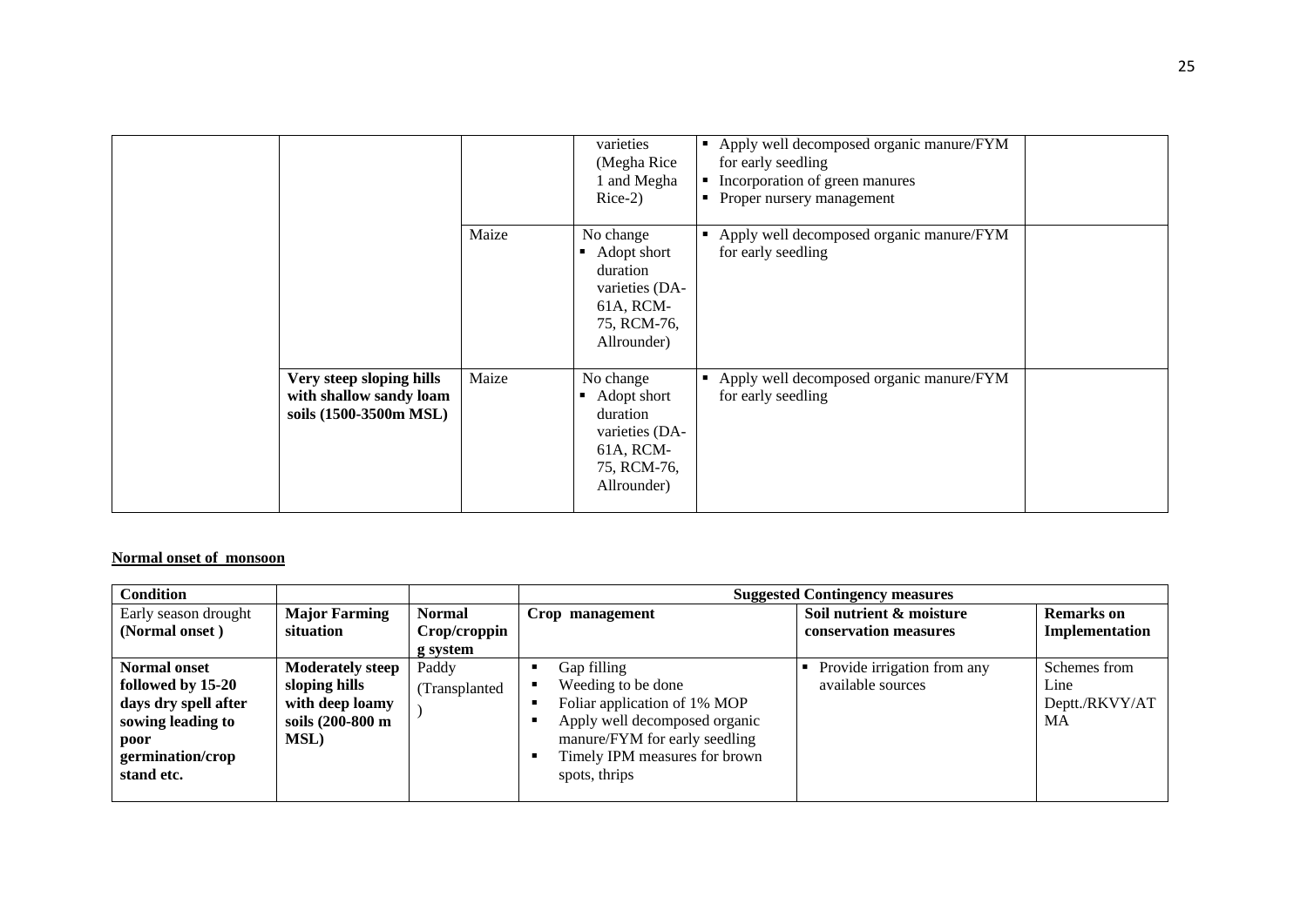|                                                                               |       | varieties<br>(Megha Rice<br>1 and Megha<br>$Rice-2)$                                              | Apply well decomposed organic manure/FYM<br>for early seedling<br>• Incorporation of green manures<br>• Proper nursery management |  |
|-------------------------------------------------------------------------------|-------|---------------------------------------------------------------------------------------------------|-----------------------------------------------------------------------------------------------------------------------------------|--|
|                                                                               | Maize | No change<br>Adopt short<br>duration<br>varieties (DA-<br>61A, RCM-<br>75, RCM-76,<br>Allrounder) | Apply well decomposed organic manure/FYM<br>for early seedling                                                                    |  |
| Very steep sloping hills<br>with shallow sandy loam<br>soils (1500-3500m MSL) | Maize | No change<br>Adopt short<br>duration<br>varieties (DA-<br>61A, RCM-<br>75, RCM-76,<br>Allrounder) | Apply well decomposed organic manure/FYM<br>for early seedling                                                                    |  |

## **Normal onset of monsoon**

| <b>Condition</b>                                                                                                                |                                                                                                 |                        |                                                                                                                                                                                       | <b>Suggested Contingency measures</b>            |                                              |
|---------------------------------------------------------------------------------------------------------------------------------|-------------------------------------------------------------------------------------------------|------------------------|---------------------------------------------------------------------------------------------------------------------------------------------------------------------------------------|--------------------------------------------------|----------------------------------------------|
| Early season drought                                                                                                            | <b>Major Farming</b>                                                                            | <b>Normal</b>          | Crop management                                                                                                                                                                       | Soil nutrient & moisture                         | <b>Remarks</b> on                            |
| (Normal onset)                                                                                                                  | situation                                                                                       | Crop/croppin           |                                                                                                                                                                                       | conservation measures                            | Implementation                               |
|                                                                                                                                 |                                                                                                 | g system               |                                                                                                                                                                                       |                                                  |                                              |
| <b>Normal onset</b><br>followed by 15-20<br>days dry spell after<br>sowing leading to<br>poor<br>germination/crop<br>stand etc. | <b>Moderately steep</b><br>sloping hills<br>with deep loamy<br>soils (200-800 m<br><b>MSL</b> ) | Paddy<br>(Transplanted | Gap filling<br>Weeding to be done<br>Foliar application of 1% MOP<br>Apply well decomposed organic<br>manure/FYM for early seedling<br>Timely IPM measures for brown<br>spots, thrips | Provide irrigation from any<br>available sources | Schemes from<br>Line<br>Deptt./RKVY/AT<br>MA |
|                                                                                                                                 |                                                                                                 |                        |                                                                                                                                                                                       |                                                  |                                              |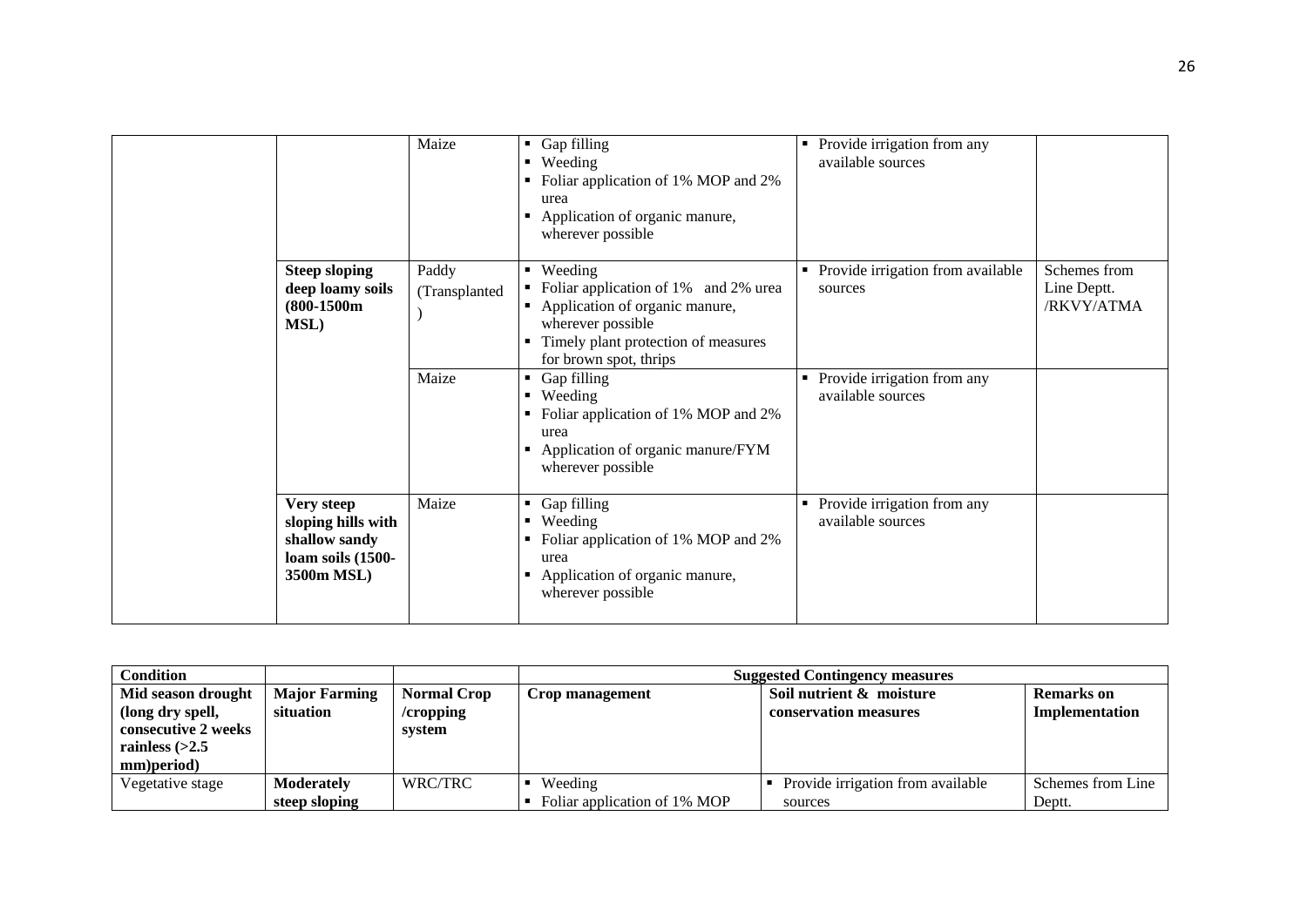|                                                                                      | Maize                  | Gap filling<br>• Weeding<br>Foliar application of 1% MOP and 2%<br>urea<br>Application of organic manure,<br>wherever possible                                              | Provide irrigation from any<br>available sources |                                           |
|--------------------------------------------------------------------------------------|------------------------|-----------------------------------------------------------------------------------------------------------------------------------------------------------------------------|--------------------------------------------------|-------------------------------------------|
| <b>Steep sloping</b><br>deep loamy soils<br>$(800-1500m)$<br><b>MSL)</b>             | Paddy<br>(Transplanted | • Weeding<br>• Foliar application of 1% and 2% urea<br>Application of organic manure,<br>wherever possible<br>Timely plant protection of measures<br>for brown spot, thrips | • Provide irrigation from available<br>sources   | Schemes from<br>Line Deptt.<br>/RKVY/ATMA |
|                                                                                      | Maize                  | • Gap filling<br>• Weeding<br>• Foliar application of 1% MOP and 2%<br>urea<br>Application of organic manure/FYM<br>٠<br>wherever possible                                  | Provide irrigation from any<br>available sources |                                           |
| Very steep<br>sloping hills with<br>shallow sandy<br>loam soils (1500-<br>3500m MSL) | Maize                  | Gap filling<br>$\blacksquare$ Weeding<br>Foliar application of 1% MOP and 2%<br>urea<br>Application of organic manure,<br>٠<br>wherever possible                            | Provide irrigation from any<br>available sources |                                           |

| <b>Condition</b>    |                      |                    | <b>Suggested Contingency measures</b> |                                   |                   |
|---------------------|----------------------|--------------------|---------------------------------------|-----------------------------------|-------------------|
| Mid season drought  | <b>Major Farming</b> | <b>Normal Crop</b> | Crop management                       | Soil nutrient & moisture          | Remarks on        |
| (long dry spell,    | situation            | /cropping          |                                       | conservation measures             | Implementation    |
| consecutive 2 weeks |                      | system             |                                       |                                   |                   |
| rainless $(>2.5$    |                      |                    |                                       |                                   |                   |
| mm)period)          |                      |                    |                                       |                                   |                   |
| Vegetative stage    | Moderately           | WRC/TRC            | Weeding                               | Provide irrigation from available | Schemes from Line |
|                     | steep sloping        |                    | Foliar application of 1% MOP          | sources                           | Deptt.            |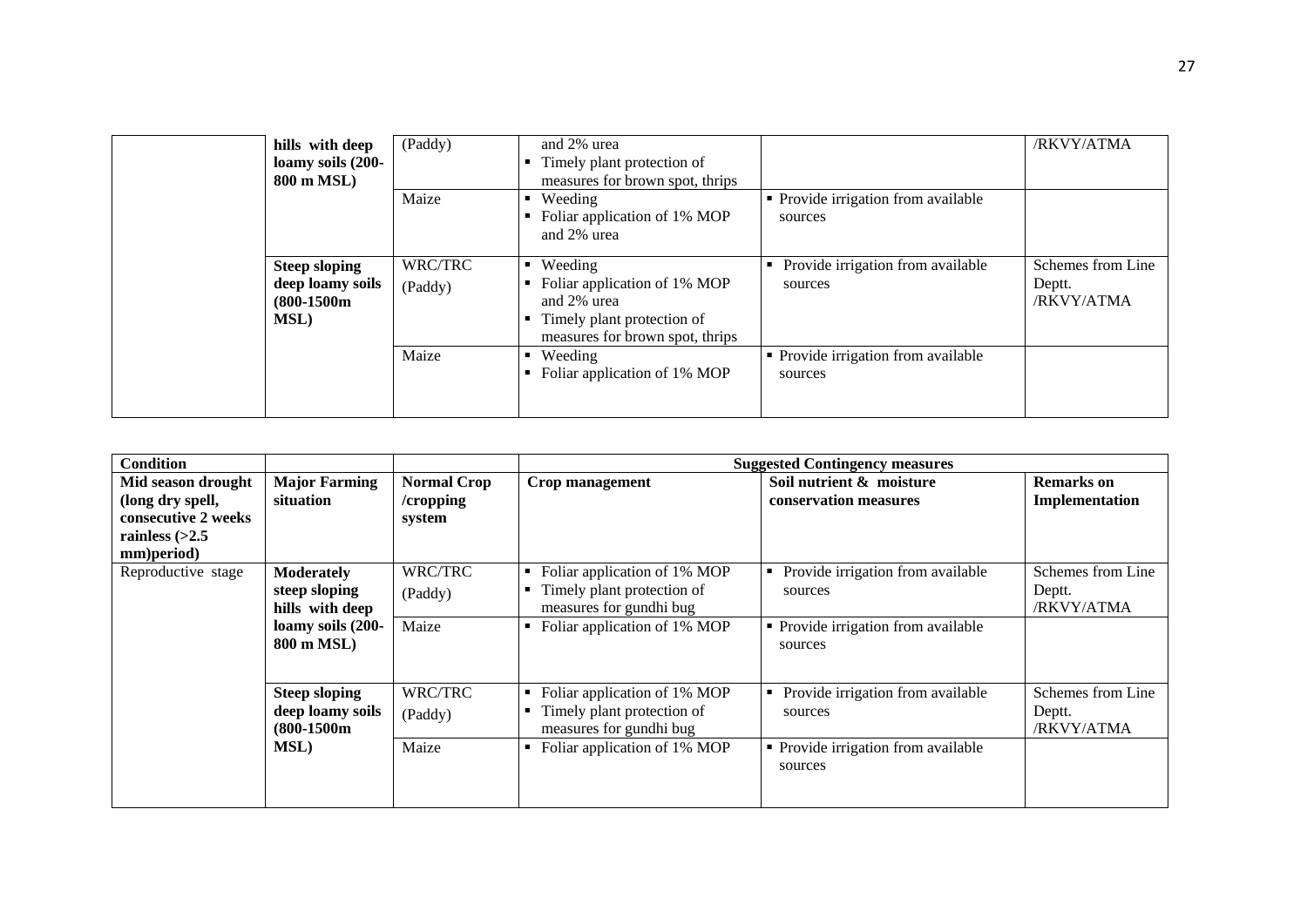| hills with deep<br>loamy soils (200-<br>800 m MSL)                        | (Paddy)            | and 2% urea<br>Timely plant protection of<br>measures for brown spot, thrips                                                           |                                                   | /RKVY/ATMA                                |
|---------------------------------------------------------------------------|--------------------|----------------------------------------------------------------------------------------------------------------------------------------|---------------------------------------------------|-------------------------------------------|
|                                                                           | Maize              | Weeding<br>Foliar application of 1% MOP<br>and 2% urea                                                                                 | • Provide irrigation from available<br>sources    |                                           |
| <b>Steep sloping</b><br>deep loamy soils<br>$(800-1500m)$<br><b>MSL</b> ) | WRC/TRC<br>(Paddy) | $\blacksquare$ Weeding<br>Foliar application of 1% MOP<br>and 2% urea<br>Timely plant protection of<br>measures for brown spot, thrips | Provide irrigation from available<br>٠<br>sources | Schemes from Line<br>Deptt.<br>/RKVY/ATMA |
|                                                                           | Maize              | • Weeding<br>Foliar application of 1% MOP                                                                                              | • Provide irrigation from available<br>sources    |                                           |

| Condition                              |                                   |                                 |                                                            | <b>Suggested Contingency measures</b>             |                                     |
|----------------------------------------|-----------------------------------|---------------------------------|------------------------------------------------------------|---------------------------------------------------|-------------------------------------|
| Mid season drought<br>(long dry spell, | <b>Major Farming</b><br>situation | <b>Normal Crop</b><br>/cropping | Crop management                                            | Soil nutrient & moisture<br>conservation measures | <b>Remarks</b> on<br>Implementation |
| consecutive 2 weeks                    |                                   | system                          |                                                            |                                                   |                                     |
| rainless $(>2.5$<br>mm)period)         |                                   |                                 |                                                            |                                                   |                                     |
| Reproductive stage                     | <b>Moderately</b>                 | WRC/TRC                         | Foliar application of 1% MOP<br>٠                          | Provide irrigation from available                 | Schemes from Line                   |
|                                        | steep sloping<br>hills with deep  | (Paddy)                         | Timely plant protection of<br>٠<br>measures for gundhi bug | sources                                           | Deptt.<br>/RKVY/ATMA                |
|                                        | loamy soils (200-<br>800 m MSL)   | Maize                           | Foliar application of 1% MOP                               | • Provide irrigation from available<br>sources    |                                     |
|                                        | <b>Steep sloping</b>              | WRC/TRC                         | Foliar application of 1% MOP<br>٠                          | Provide irrigation from available                 | Schemes from Line                   |
|                                        | deep loamy soils<br>$(800-1500m)$ | (Paddy)                         | Timely plant protection of<br>measures for gundhi bug      | sources                                           | Deptt.<br>/RKVY/ATMA                |
|                                        | <b>MSL</b> )                      | Maize                           | Foliar application of 1% MOP<br>٠                          | • Provide irrigation from available<br>sources    |                                     |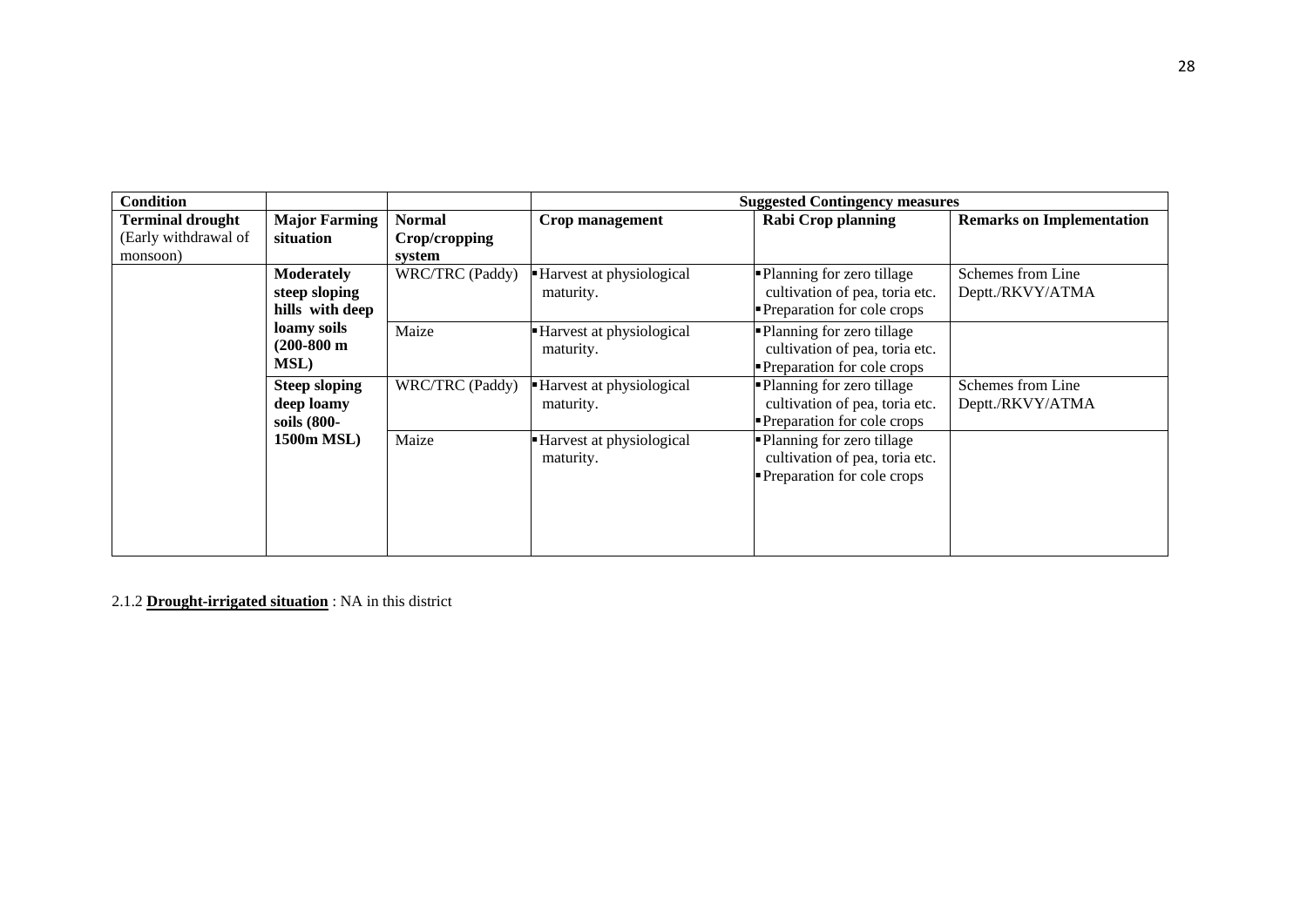| <b>Condition</b>                                            |                                                       |                                          |                                        | <b>Suggested Contingency measures</b>                                                       |                                       |
|-------------------------------------------------------------|-------------------------------------------------------|------------------------------------------|----------------------------------------|---------------------------------------------------------------------------------------------|---------------------------------------|
| <b>Terminal drought</b><br>(Early withdrawal of<br>monsoon) | <b>Major Farming</b><br>situation                     | <b>Normal</b><br>Crop/cropping<br>system | Crop management                        | <b>Rabi Crop planning</b>                                                                   | <b>Remarks on Implementation</b>      |
|                                                             | <b>Moderately</b><br>steep sloping<br>hills with deep | WRC/TRC (Paddy)                          | -Harvest at physiological<br>maturity. | • Planning for zero tillage<br>cultivation of pea, toria etc.<br>Preparation for cole crops | Schemes from Line<br>Deptt./RKVY/ATMA |
|                                                             | loamy soils<br>$(200-800 \text{ m})$<br><b>MSL</b> )  | Maize                                    | Harvest at physiological<br>maturity.  | • Planning for zero tillage<br>cultivation of pea, toria etc.<br>Preparation for cole crops |                                       |
|                                                             | <b>Steep sloping</b><br>deep loamy<br>soils (800-     | WRC/TRC (Paddy)                          | -Harvest at physiological<br>maturity. | Planning for zero tillage<br>cultivation of pea, toria etc.<br>Preparation for cole crops   | Schemes from Line<br>Deptt./RKVY/ATMA |
|                                                             | 1500m MSL)                                            | Maize                                    | Harvest at physiological<br>maturity.  | Planning for zero tillage<br>cultivation of pea, toria etc.<br>Preparation for cole crops   |                                       |

2.1.2 **Drought-irrigated situation** : NA in this district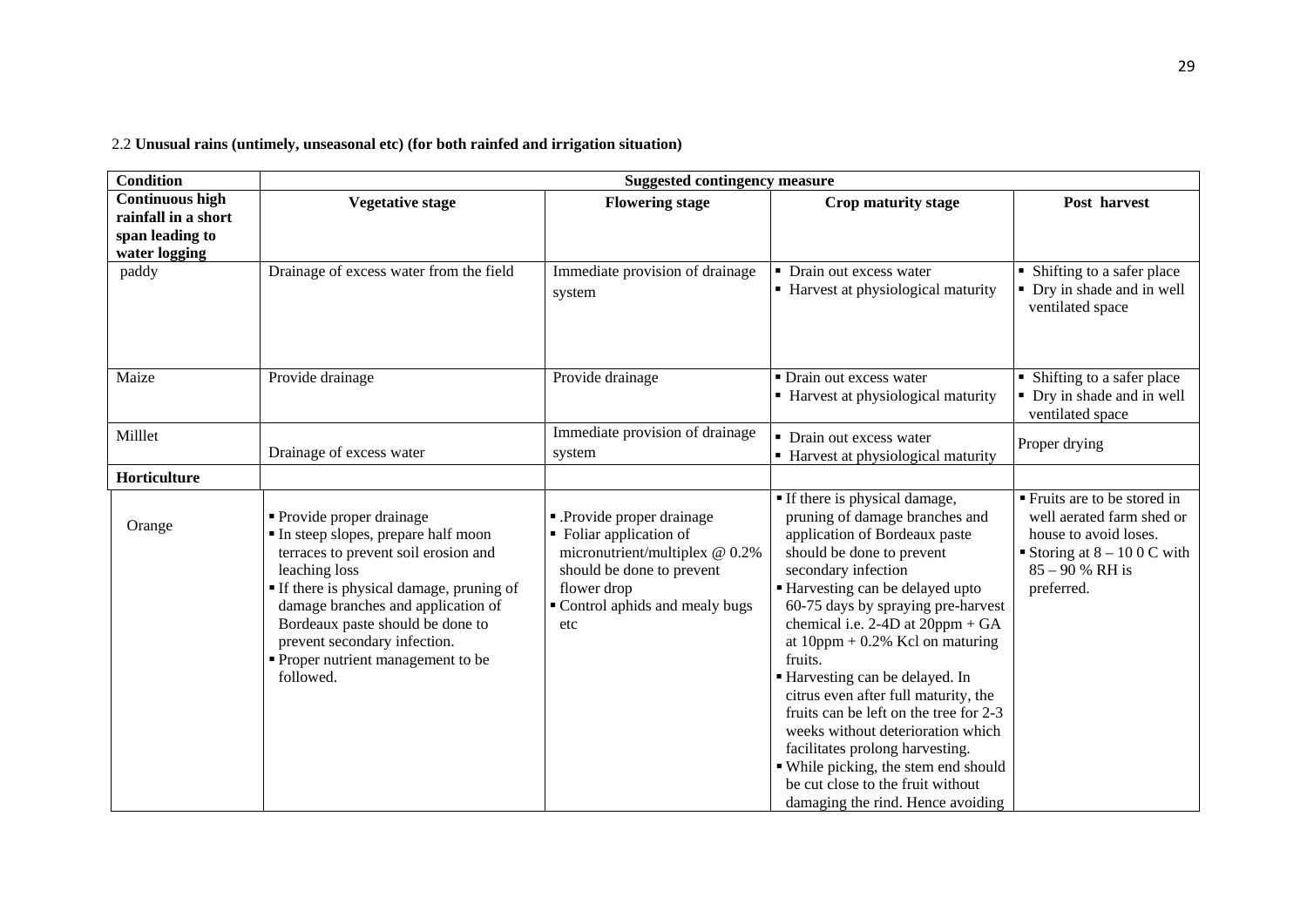2.2 **Unusual rains (untimely, unseasonal etc) (for both rainfed and irrigation situation)**

| <b>Condition</b>                                                                  | <b>Suggested contingency measure</b>                                                                                                                                                                                                                                                                                           |                                                                                                                                                                            |                                                                                                                                                                                                                                                                                                                                                                                                                                                                                                                                                                                                                                     |                                                                                                                                                      |
|-----------------------------------------------------------------------------------|--------------------------------------------------------------------------------------------------------------------------------------------------------------------------------------------------------------------------------------------------------------------------------------------------------------------------------|----------------------------------------------------------------------------------------------------------------------------------------------------------------------------|-------------------------------------------------------------------------------------------------------------------------------------------------------------------------------------------------------------------------------------------------------------------------------------------------------------------------------------------------------------------------------------------------------------------------------------------------------------------------------------------------------------------------------------------------------------------------------------------------------------------------------------|------------------------------------------------------------------------------------------------------------------------------------------------------|
| <b>Continuous high</b><br>rainfall in a short<br>span leading to<br>water logging | <b>Vegetative stage</b>                                                                                                                                                                                                                                                                                                        | <b>Flowering stage</b>                                                                                                                                                     | Crop maturity stage                                                                                                                                                                                                                                                                                                                                                                                                                                                                                                                                                                                                                 | Post harvest                                                                                                                                         |
| paddy                                                                             | Drainage of excess water from the field                                                                                                                                                                                                                                                                                        | Immediate provision of drainage<br>system                                                                                                                                  | Drain out excess water<br>• Harvest at physiological maturity                                                                                                                                                                                                                                                                                                                                                                                                                                                                                                                                                                       | • Shifting to a safer place<br>• Dry in shade and in well<br>ventilated space                                                                        |
| Maize                                                                             | Provide drainage                                                                                                                                                                                                                                                                                                               | Provide drainage                                                                                                                                                           | • Drain out excess water<br>• Harvest at physiological maturity                                                                                                                                                                                                                                                                                                                                                                                                                                                                                                                                                                     | • Shifting to a safer place<br>• Dry in shade and in well<br>ventilated space                                                                        |
| Milllet                                                                           | Drainage of excess water                                                                                                                                                                                                                                                                                                       | Immediate provision of drainage<br>system                                                                                                                                  | • Drain out excess water<br>• Harvest at physiological maturity                                                                                                                                                                                                                                                                                                                                                                                                                                                                                                                                                                     | Proper drying                                                                                                                                        |
| Horticulture                                                                      |                                                                                                                                                                                                                                                                                                                                |                                                                                                                                                                            |                                                                                                                                                                                                                                                                                                                                                                                                                                                                                                                                                                                                                                     |                                                                                                                                                      |
| Orange                                                                            | • Provide proper drainage<br>In steep slopes, prepare half moon<br>terraces to prevent soil erosion and<br>leaching loss<br>If there is physical damage, pruning of<br>damage branches and application of<br>Bordeaux paste should be done to<br>prevent secondary infection.<br>Proper nutrient management to be<br>followed. | - Provide proper drainage<br>• Foliar application of<br>micronutrient/multiplex @ 0.2%<br>should be done to prevent<br>flower drop<br>Control aphids and mealy bugs<br>etc | • If there is physical damage,<br>pruning of damage branches and<br>application of Bordeaux paste<br>should be done to prevent<br>secondary infection<br>Harvesting can be delayed upto<br>60-75 days by spraying pre-harvest<br>chemical i.e. $2-4D$ at $20ppm + GA$<br>at $10$ ppm + 0.2% Kcl on maturing<br>fruits.<br>Harvesting can be delayed. In<br>citrus even after full maturity, the<br>fruits can be left on the tree for 2-3<br>weeks without deterioration which<br>facilitates prolong harvesting.<br>• While picking, the stem end should<br>be cut close to the fruit without<br>damaging the rind. Hence avoiding | • Fruits are to be stored in<br>well aerated farm shed or<br>house to avoid loses.<br>Storing at $8 - 100$ C with<br>$85 - 90 % RH$ is<br>preferred. |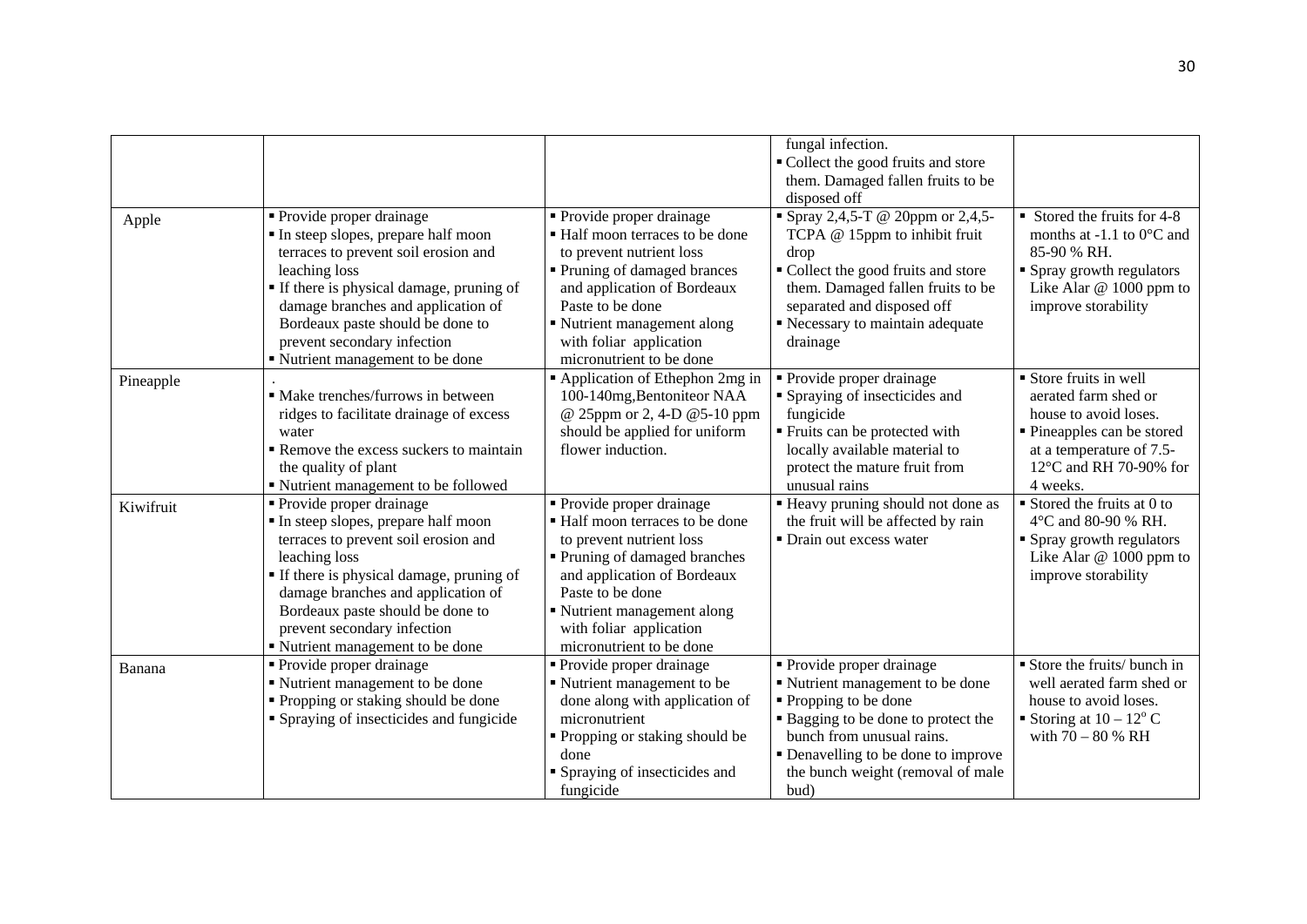|           |                                                                                                                                                                                                                                                                                                                    |                                                                                                                                                                                                                                                                    | fungal infection.<br>Collect the good fruits and store<br>them. Damaged fallen fruits to be<br>disposed off                                                                                                                                    |                                                                                                                                                                                 |
|-----------|--------------------------------------------------------------------------------------------------------------------------------------------------------------------------------------------------------------------------------------------------------------------------------------------------------------------|--------------------------------------------------------------------------------------------------------------------------------------------------------------------------------------------------------------------------------------------------------------------|------------------------------------------------------------------------------------------------------------------------------------------------------------------------------------------------------------------------------------------------|---------------------------------------------------------------------------------------------------------------------------------------------------------------------------------|
| Apple     | • Provide proper drainage<br>In steep slopes, prepare half moon<br>terraces to prevent soil erosion and<br>leaching loss<br>• If there is physical damage, pruning of<br>damage branches and application of<br>Bordeaux paste should be done to<br>prevent secondary infection<br>" Nutrient management to be done | • Provide proper drainage<br>■ Half moon terraces to be done<br>to prevent nutrient loss<br>■ Pruning of damaged brances<br>and application of Bordeaux<br>Paste to be done<br>• Nutrient management along<br>with foliar application<br>micronutrient to be done  | " Spray 2,4,5-T @ 20ppm or 2,4,5-<br>TCPA @ 15ppm to inhibit fruit<br>drop<br>• Collect the good fruits and store<br>them. Damaged fallen fruits to be<br>separated and disposed off<br>Recessary to maintain adequate<br>drainage             | $\blacksquare$ Stored the fruits for 4-8<br>months at -1.1 to $0^{\circ}$ C and<br>85-90 % RH.<br>• Spray growth regulators<br>Like Alar $@$ 1000 ppm to<br>improve storability |
| Pineapple | • Make trenches/furrows in between<br>ridges to facilitate drainage of excess<br>water<br>Remove the excess suckers to maintain<br>the quality of plant<br>• Nutrient management to be followed                                                                                                                    | Application of Ethephon 2mg in<br>100-140mg, Bentoniteor NAA<br>@ 25ppm or 2, 4-D @ 5-10 ppm<br>should be applied for uniform<br>flower induction.                                                                                                                 | • Provide proper drainage<br>• Spraying of insecticides and<br>fungicide<br>Fruits can be protected with<br>locally available material to<br>protect the mature fruit from<br>unusual rains                                                    | Store fruits in well<br>aerated farm shed or<br>house to avoid loses.<br>• Pineapples can be stored<br>at a temperature of 7.5-<br>$12^{\circ}$ C and RH 70-90% for<br>4 weeks. |
| Kiwifruit | • Provide proper drainage<br>In steep slopes, prepare half moon<br>terraces to prevent soil erosion and<br>leaching loss<br>• If there is physical damage, pruning of<br>damage branches and application of<br>Bordeaux paste should be done to<br>prevent secondary infection<br>■ Nutrient management to be done | • Provide proper drainage<br>■ Half moon terraces to be done<br>to prevent nutrient loss<br>• Pruning of damaged branches<br>and application of Bordeaux<br>Paste to be done<br>■ Nutrient management along<br>with foliar application<br>micronutrient to be done | " Heavy pruning should not done as<br>the fruit will be affected by rain<br>• Drain out excess water                                                                                                                                           | $\blacksquare$ Stored the fruits at 0 to<br>4°C and 80-90 % RH.<br>• Spray growth regulators<br>Like Alar @ 1000 ppm to<br>improve storability                                  |
| Banana    | • Provide proper drainage<br>■ Nutrient management to be done<br>• Propping or staking should be done<br>• Spraying of insecticides and fungicide                                                                                                                                                                  | • Provide proper drainage<br>• Nutrient management to be<br>done along with application of<br>micronutrient<br>" Propping or staking should be<br>done<br>• Spraying of insecticides and<br>fungicide                                                              | • Provide proper drainage<br>■ Nutrient management to be done<br>• Propping to be done<br>• Bagging to be done to protect the<br>bunch from unusual rains.<br>• Denavelling to be done to improve<br>the bunch weight (removal of male<br>bud) | Store the fruits/ bunch in<br>well aerated farm shed or<br>house to avoid loses.<br>Storing at $10 - 12^{\circ}$ C<br>with $70 - 80$ % RH                                       |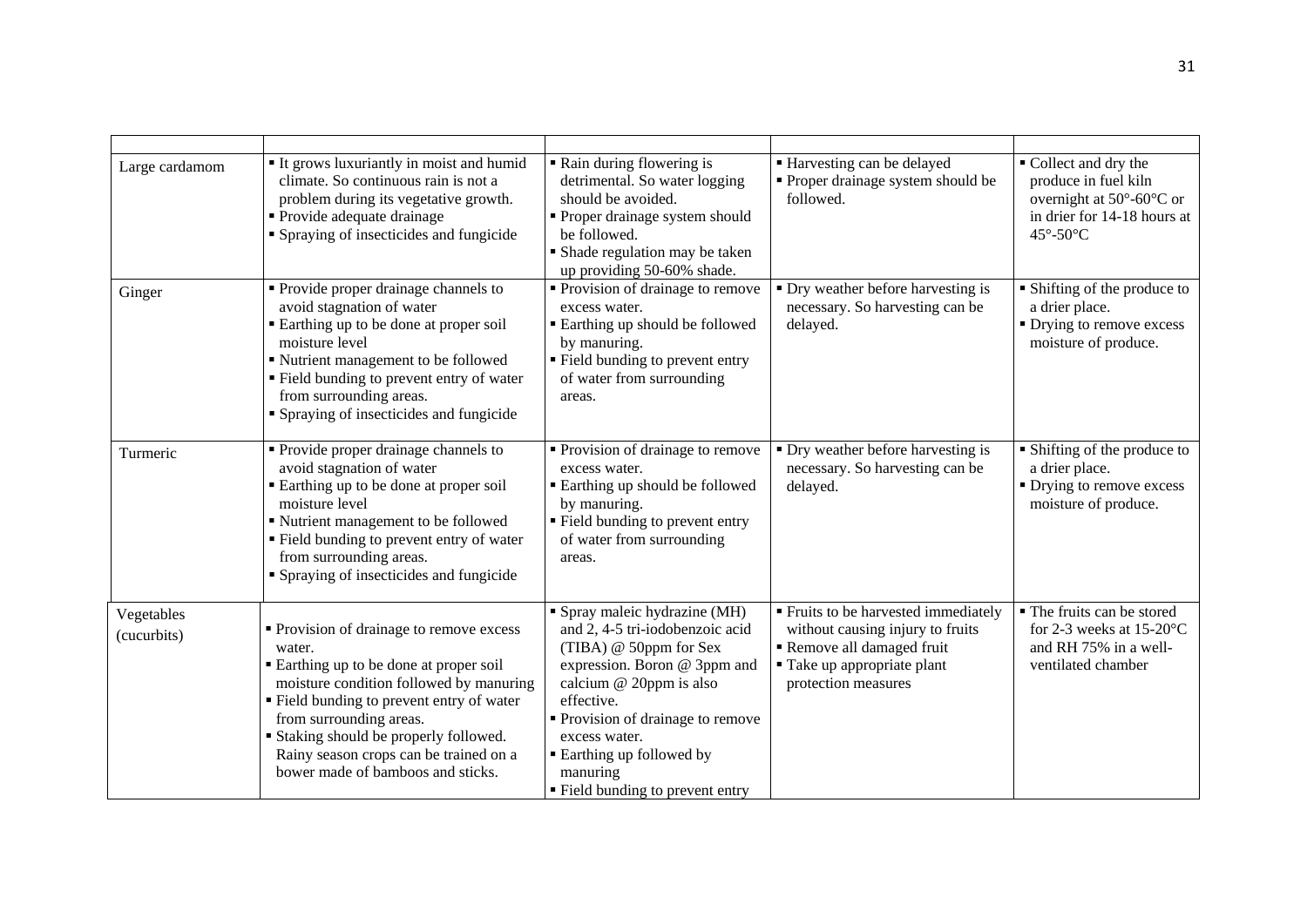| Large cardamom            | It grows luxuriantly in moist and humid<br>climate. So continuous rain is not a<br>problem during its vegetative growth.<br>• Provide adequate drainage<br>• Spraying of insecticides and fungicide                                                                                                                                 | Rain during flowering is<br>detrimental. So water logging<br>should be avoided.<br>• Proper drainage system should<br>be followed.<br>• Shade regulation may be taken<br>up providing 50-60% shade.                                                                                                    | ■ Harvesting can be delayed<br>• Proper drainage system should be<br>followed.                                                                             | ■ Collect and dry the<br>produce in fuel kiln<br>overnight at 50°-60°C or<br>in drier for 14-18 hours at<br>45°-50°C |
|---------------------------|-------------------------------------------------------------------------------------------------------------------------------------------------------------------------------------------------------------------------------------------------------------------------------------------------------------------------------------|--------------------------------------------------------------------------------------------------------------------------------------------------------------------------------------------------------------------------------------------------------------------------------------------------------|------------------------------------------------------------------------------------------------------------------------------------------------------------|----------------------------------------------------------------------------------------------------------------------|
| Ginger                    | Provide proper drainage channels to<br>avoid stagnation of water<br>Earthing up to be done at proper soil<br>moisture level<br>" Nutrient management to be followed<br>" Field bunding to prevent entry of water<br>from surrounding areas.<br>• Spraying of insecticides and fungicide                                             | Provision of drainage to remove<br>excess water.<br><b>Earthing up should be followed</b><br>by manuring.<br>" Field bunding to prevent entry<br>of water from surrounding<br>areas.                                                                                                                   | • Dry weather before harvesting is<br>necessary. So harvesting can be<br>delayed.                                                                          | • Shifting of the produce to<br>a drier place.<br>• Drying to remove excess<br>moisture of produce.                  |
| Turmeric                  | • Provide proper drainage channels to<br>avoid stagnation of water<br>Earthing up to be done at proper soil<br>moisture level<br>" Nutrient management to be followed<br>" Field bunding to prevent entry of water<br>from surrounding areas.<br>• Spraying of insecticides and fungicide                                           | • Provision of drainage to remove<br>excess water.<br><b>Earthing up should be followed</b><br>by manuring.<br>" Field bunding to prevent entry<br>of water from surrounding<br>areas.                                                                                                                 | • Dry weather before harvesting is<br>necessary. So harvesting can be<br>delayed.                                                                          | • Shifting of the produce to<br>a drier place.<br>• Drying to remove excess<br>moisture of produce.                  |
| Vegetables<br>(cucurbits) | • Provision of drainage to remove excess<br>water.<br>Earthing up to be done at proper soil<br>moisture condition followed by manuring<br>Field bunding to prevent entry of water<br>from surrounding areas.<br>Staking should be properly followed.<br>Rainy season crops can be trained on a<br>bower made of bamboos and sticks. | • Spray maleic hydrazine (MH)<br>and 2, 4-5 tri-iodobenzoic acid<br>(TIBA) @ 50ppm for Sex<br>expression. Boron @ 3ppm and<br>calcium @ 20ppm is also<br>effective.<br>• Provision of drainage to remove<br>excess water.<br>• Earthing up followed by<br>manuring<br>" Field bunding to prevent entry | ■ Fruits to be harvested immediately<br>without causing injury to fruits<br>Remove all damaged fruit<br>■ Take up appropriate plant<br>protection measures | • The fruits can be stored<br>for 2-3 weeks at $15-20$ °C<br>and RH 75% in a well-<br>ventilated chamber             |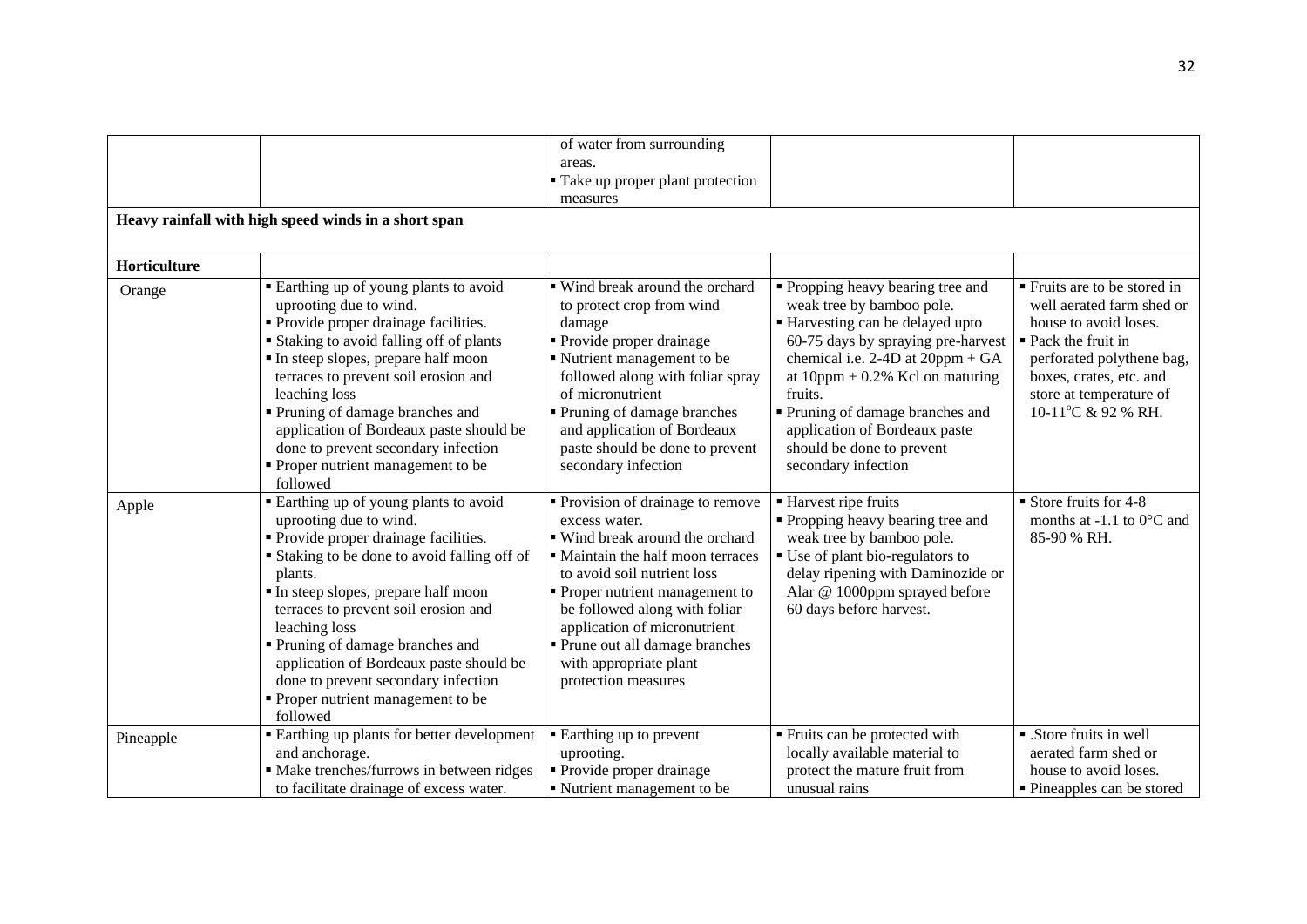|              |                                                                                                                                                                                                                                                                                                                                                                                                                                          | of water from surrounding                                                                                                                                                                                                                                                                                                                         |                                                                                                                                                                                                                                                                                                                                                          |                                                                                                                                                                                                                  |
|--------------|------------------------------------------------------------------------------------------------------------------------------------------------------------------------------------------------------------------------------------------------------------------------------------------------------------------------------------------------------------------------------------------------------------------------------------------|---------------------------------------------------------------------------------------------------------------------------------------------------------------------------------------------------------------------------------------------------------------------------------------------------------------------------------------------------|----------------------------------------------------------------------------------------------------------------------------------------------------------------------------------------------------------------------------------------------------------------------------------------------------------------------------------------------------------|------------------------------------------------------------------------------------------------------------------------------------------------------------------------------------------------------------------|
|              |                                                                                                                                                                                                                                                                                                                                                                                                                                          | areas.                                                                                                                                                                                                                                                                                                                                            |                                                                                                                                                                                                                                                                                                                                                          |                                                                                                                                                                                                                  |
|              |                                                                                                                                                                                                                                                                                                                                                                                                                                          | • Take up proper plant protection                                                                                                                                                                                                                                                                                                                 |                                                                                                                                                                                                                                                                                                                                                          |                                                                                                                                                                                                                  |
|              |                                                                                                                                                                                                                                                                                                                                                                                                                                          | measures                                                                                                                                                                                                                                                                                                                                          |                                                                                                                                                                                                                                                                                                                                                          |                                                                                                                                                                                                                  |
|              | Heavy rainfall with high speed winds in a short span                                                                                                                                                                                                                                                                                                                                                                                     |                                                                                                                                                                                                                                                                                                                                                   |                                                                                                                                                                                                                                                                                                                                                          |                                                                                                                                                                                                                  |
|              |                                                                                                                                                                                                                                                                                                                                                                                                                                          |                                                                                                                                                                                                                                                                                                                                                   |                                                                                                                                                                                                                                                                                                                                                          |                                                                                                                                                                                                                  |
| Horticulture |                                                                                                                                                                                                                                                                                                                                                                                                                                          |                                                                                                                                                                                                                                                                                                                                                   |                                                                                                                                                                                                                                                                                                                                                          |                                                                                                                                                                                                                  |
| Orange       | Earthing up of young plants to avoid<br>uprooting due to wind.<br>• Provide proper drainage facilities.<br><b>Staking to avoid falling off of plants</b><br>In steep slopes, prepare half moon<br>terraces to prevent soil erosion and<br>leaching loss<br>Pruning of damage branches and<br>application of Bordeaux paste should be<br>done to prevent secondary infection<br>• Proper nutrient management to be                        | ■ Wind break around the orchard<br>to protect crop from wind<br>damage<br>• Provide proper drainage<br>Nutrient management to be<br>followed along with foliar spray<br>of micronutrient<br>• Pruning of damage branches<br>and application of Bordeaux<br>paste should be done to prevent<br>secondary infection                                 | • Propping heavy bearing tree and<br>weak tree by bamboo pole.<br>Harvesting can be delayed upto<br>60-75 days by spraying pre-harvest<br>chemical i.e. $2-4D$ at $20ppm + GA$<br>at $10$ ppm + 0.2% Kcl on maturing<br>fruits.<br>• Pruning of damage branches and<br>application of Bordeaux paste<br>should be done to prevent<br>secondary infection | Fruits are to be stored in<br>well aerated farm shed or<br>house to avoid loses.<br>■ Pack the fruit in<br>perforated polythene bag,<br>boxes, crates, etc. and<br>store at temperature of<br>10-11°C & 92 % RH. |
|              | followed                                                                                                                                                                                                                                                                                                                                                                                                                                 |                                                                                                                                                                                                                                                                                                                                                   |                                                                                                                                                                                                                                                                                                                                                          |                                                                                                                                                                                                                  |
| Apple        | Earthing up of young plants to avoid<br>uprooting due to wind.<br>Provide proper drainage facilities.<br><b>Staking to be done to avoid falling off of</b><br>plants.<br>In steep slopes, prepare half moon<br>terraces to prevent soil erosion and<br>leaching loss<br>Pruning of damage branches and<br>application of Bordeaux paste should be<br>done to prevent secondary infection<br>Proper nutrient management to be<br>followed | ■ Provision of drainage to remove<br>excess water.<br>■ Wind break around the orchard<br>• Maintain the half moon terraces<br>to avoid soil nutrient loss<br>• Proper nutrient management to<br>be followed along with foliar<br>application of micronutrient<br>• Prune out all damage branches<br>with appropriate plant<br>protection measures | ■ Harvest ripe fruits<br>• Propping heavy bearing tree and<br>weak tree by bamboo pole.<br>• Use of plant bio-regulators to<br>delay ripening with Daminozide or<br>Alar @ 1000ppm sprayed before<br>60 days before harvest.                                                                                                                             | $\blacksquare$ Store fruits for 4-8<br>months at -1.1 to $0^{\circ}$ C and<br>85-90 % RH.                                                                                                                        |
| Pineapple    | <b>Earthing up plants for better development</b><br>and anchorage.<br>· Make trenches/furrows in between ridges<br>to facilitate drainage of excess water.                                                                                                                                                                                                                                                                               | • Earthing up to prevent<br>uprooting.<br>• Provide proper drainage<br>• Nutrient management to be                                                                                                                                                                                                                                                | ■ Fruits can be protected with<br>locally available material to<br>protect the mature fruit from<br>unusual rains                                                                                                                                                                                                                                        | • .Store fruits in well<br>aerated farm shed or<br>house to avoid loses.<br>• Pineapples can be stored                                                                                                           |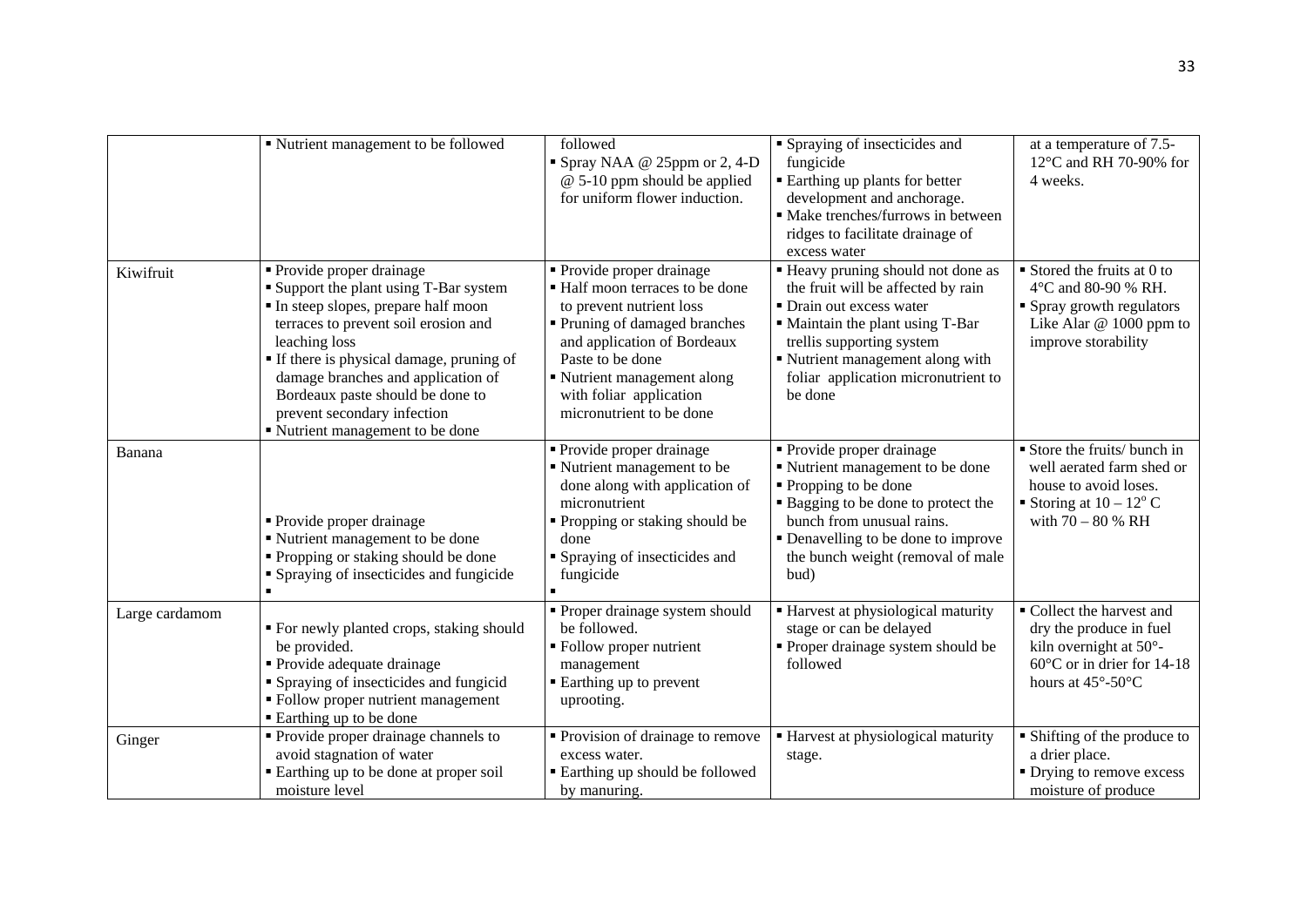|                | " Nutrient management to be followed                                                                                                                                                                                                                                                                                                                              | followed<br>Spray NAA @ 25ppm or 2, 4-D<br>$@$ 5-10 ppm should be applied<br>for uniform flower induction.                                                                                                                                                         | • Spraying of insecticides and<br>fungicide<br>• Earthing up plants for better<br>development and anchorage.<br>• Make trenches/furrows in between<br>ridges to facilitate drainage of<br>excess water                                                    | at a temperature of 7.5-<br>12°C and RH 70-90% for<br>4 weeks.                                                                                                 |
|----------------|-------------------------------------------------------------------------------------------------------------------------------------------------------------------------------------------------------------------------------------------------------------------------------------------------------------------------------------------------------------------|--------------------------------------------------------------------------------------------------------------------------------------------------------------------------------------------------------------------------------------------------------------------|-----------------------------------------------------------------------------------------------------------------------------------------------------------------------------------------------------------------------------------------------------------|----------------------------------------------------------------------------------------------------------------------------------------------------------------|
| Kiwifruit      | • Provide proper drainage<br>• Support the plant using T-Bar system<br>In steep slopes, prepare half moon<br>terraces to prevent soil erosion and<br>leaching loss<br><b>If there is physical damage, pruning of</b><br>damage branches and application of<br>Bordeaux paste should be done to<br>prevent secondary infection<br>■ Nutrient management to be done | • Provide proper drainage<br>■ Half moon terraces to be done<br>to prevent nutrient loss<br>• Pruning of damaged branches<br>and application of Bordeaux<br>Paste to be done<br>• Nutrient management along<br>with foliar application<br>micronutrient to be done | " Heavy pruning should not done as<br>the fruit will be affected by rain<br>• Drain out excess water<br>" Maintain the plant using T-Bar<br>trellis supporting system<br>Nutrient management along with<br>foliar application micronutrient to<br>be done | $\blacksquare$ Stored the fruits at 0 to<br>4°C and 80-90 % RH.<br>• Spray growth regulators<br>Like Alar @ 1000 ppm to<br>improve storability                 |
| Banana         | • Provide proper drainage<br>■ Nutrient management to be done<br>• Propping or staking should be done<br>• Spraying of insecticides and fungicide<br>$\blacksquare$                                                                                                                                                                                               | • Provide proper drainage<br>Nutrient management to be<br>done along with application of<br>micronutrient<br>" Propping or staking should be<br>done<br>• Spraying of insecticides and<br>fungicide                                                                | • Provide proper drainage<br>" Nutrient management to be done<br>• Propping to be done<br>• Bagging to be done to protect the<br>bunch from unusual rains.<br>• Denavelling to be done to improve<br>the bunch weight (removal of male<br>bud)            | Store the fruits/ bunch in<br>well aerated farm shed or<br>house to avoid loses.<br>Storing at $10 - 12^{\circ}$ C<br>with $70 - 80 %$ RH                      |
| Large cardamom | " For newly planted crops, staking should<br>be provided.<br>• Provide adequate drainage<br>• Spraying of insecticides and fungicid<br>• Follow proper nutrient management<br>■ Earthing up to be done                                                                                                                                                            | Proper drainage system should<br>be followed.<br>• Follow proper nutrient<br>management<br>■ Earthing up to prevent<br>uprooting.                                                                                                                                  | • Harvest at physiological maturity<br>stage or can be delayed<br>· Proper drainage system should be<br>followed                                                                                                                                          | Collect the harvest and<br>dry the produce in fuel<br>kiln overnight at 50°-<br>$60^{\circ}$ C or in drier for 14-18<br>hours at $45^{\circ}$ -50 $^{\circ}$ C |
| Ginger         | • Provide proper drainage channels to<br>avoid stagnation of water<br>■ Earthing up to be done at proper soil<br>moisture level                                                                                                                                                                                                                                   | Provision of drainage to remove<br>excess water.<br><b>Earthing up should be followed</b><br>by manuring.                                                                                                                                                          | • Harvest at physiological maturity<br>stage.                                                                                                                                                                                                             | • Shifting of the produce to<br>a drier place.<br>• Drying to remove excess<br>moisture of produce                                                             |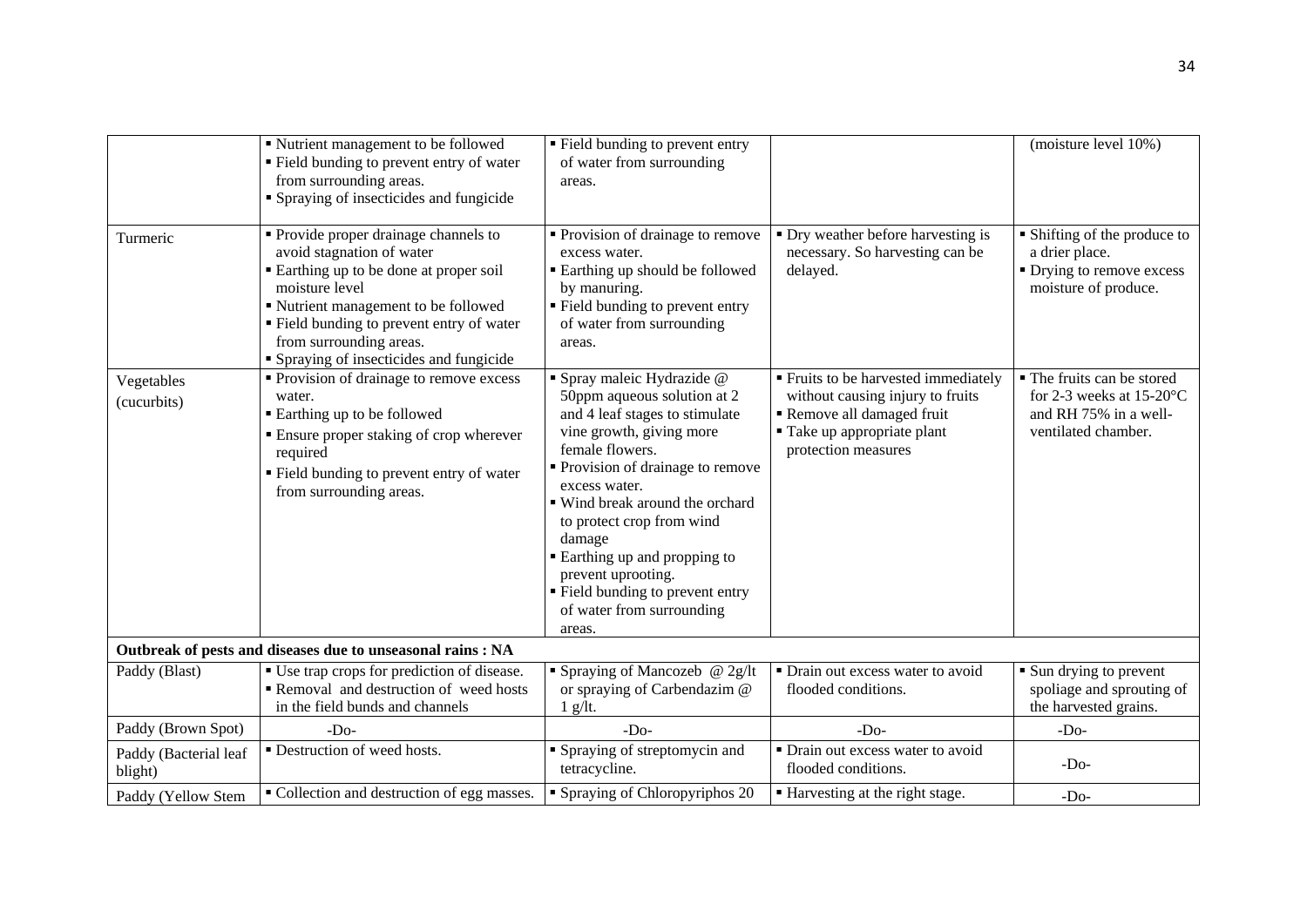|                                  | • Nutrient management to be followed<br>• Field bunding to prevent entry of water<br>from surrounding areas.<br>• Spraying of insecticides and fungicide                                                                                                                                    | • Field bunding to prevent entry<br>of water from surrounding<br>areas.                                                                                                                                                                                                                                                                                                                                    |                                                                                                                                                            | (moisture level 10%)                                                                                      |
|----------------------------------|---------------------------------------------------------------------------------------------------------------------------------------------------------------------------------------------------------------------------------------------------------------------------------------------|------------------------------------------------------------------------------------------------------------------------------------------------------------------------------------------------------------------------------------------------------------------------------------------------------------------------------------------------------------------------------------------------------------|------------------------------------------------------------------------------------------------------------------------------------------------------------|-----------------------------------------------------------------------------------------------------------|
| Turmeric                         | • Provide proper drainage channels to<br>avoid stagnation of water<br>■ Earthing up to be done at proper soil<br>moisture level<br>■ Nutrient management to be followed<br>" Field bunding to prevent entry of water<br>from surrounding areas.<br>• Spraying of insecticides and fungicide | • Provision of drainage to remove<br>excess water.<br><b>Earthing up should be followed</b><br>by manuring.<br>■ Field bunding to prevent entry<br>of water from surrounding<br>areas.                                                                                                                                                                                                                     | • Dry weather before harvesting is<br>necessary. So harvesting can be<br>delayed.                                                                          | • Shifting of the produce to<br>a drier place.<br>• Drying to remove excess<br>moisture of produce.       |
| Vegetables<br>(cucurbits)        | • Provision of drainage to remove excess<br>water.<br>■ Earthing up to be followed<br>• Ensure proper staking of crop wherever<br>required<br>" Field bunding to prevent entry of water<br>from surrounding areas.                                                                          | · Spray maleic Hydrazide @<br>50ppm aqueous solution at 2<br>and 4 leaf stages to stimulate<br>vine growth, giving more<br>female flowers.<br>Provision of drainage to remove<br>excess water.<br>■ Wind break around the orchard<br>to protect crop from wind<br>damage<br>■ Earthing up and propping to<br>prevent uprooting.<br>• Field bunding to prevent entry<br>of water from surrounding<br>areas. | ■ Fruits to be harvested immediately<br>without causing injury to fruits<br>Remove all damaged fruit<br>■ Take up appropriate plant<br>protection measures | • The fruits can be stored<br>for 2-3 weeks at $15-20$ °C<br>and RH 75% in a well-<br>ventilated chamber. |
|                                  | Outbreak of pests and diseases due to unseasonal rains : NA                                                                                                                                                                                                                                 |                                                                                                                                                                                                                                                                                                                                                                                                            |                                                                                                                                                            |                                                                                                           |
| Paddy (Blast)                    | • Use trap crops for prediction of disease.<br>Removal and destruction of weed hosts<br>in the field bunds and channels                                                                                                                                                                     | • Spraying of Mancozeb @ 2g/lt<br>or spraying of Carbendazim @<br>$1$ g/lt.                                                                                                                                                                                                                                                                                                                                | $\overline{\phantom{a}}$ Drain out excess water to avoid<br>flooded conditions.                                                                            | • Sun drying to prevent<br>spoliage and sprouting of<br>the harvested grains.                             |
| Paddy (Brown Spot)               | $-Do-$                                                                                                                                                                                                                                                                                      | $-DO$                                                                                                                                                                                                                                                                                                                                                                                                      | $-Do-$                                                                                                                                                     | $-Do-$                                                                                                    |
| Paddy (Bacterial leaf<br>blight) | • Destruction of weed hosts.                                                                                                                                                                                                                                                                | <b>Spraying of streptomycin and</b><br>tetracycline.                                                                                                                                                                                                                                                                                                                                                       | • Drain out excess water to avoid<br>flooded conditions.                                                                                                   | $-Do-$                                                                                                    |
| Paddy (Yellow Stem               | • Collection and destruction of egg masses.                                                                                                                                                                                                                                                 | • Spraying of Chloropyriphos 20                                                                                                                                                                                                                                                                                                                                                                            | ■ Harvesting at the right stage.                                                                                                                           | $-Do-$                                                                                                    |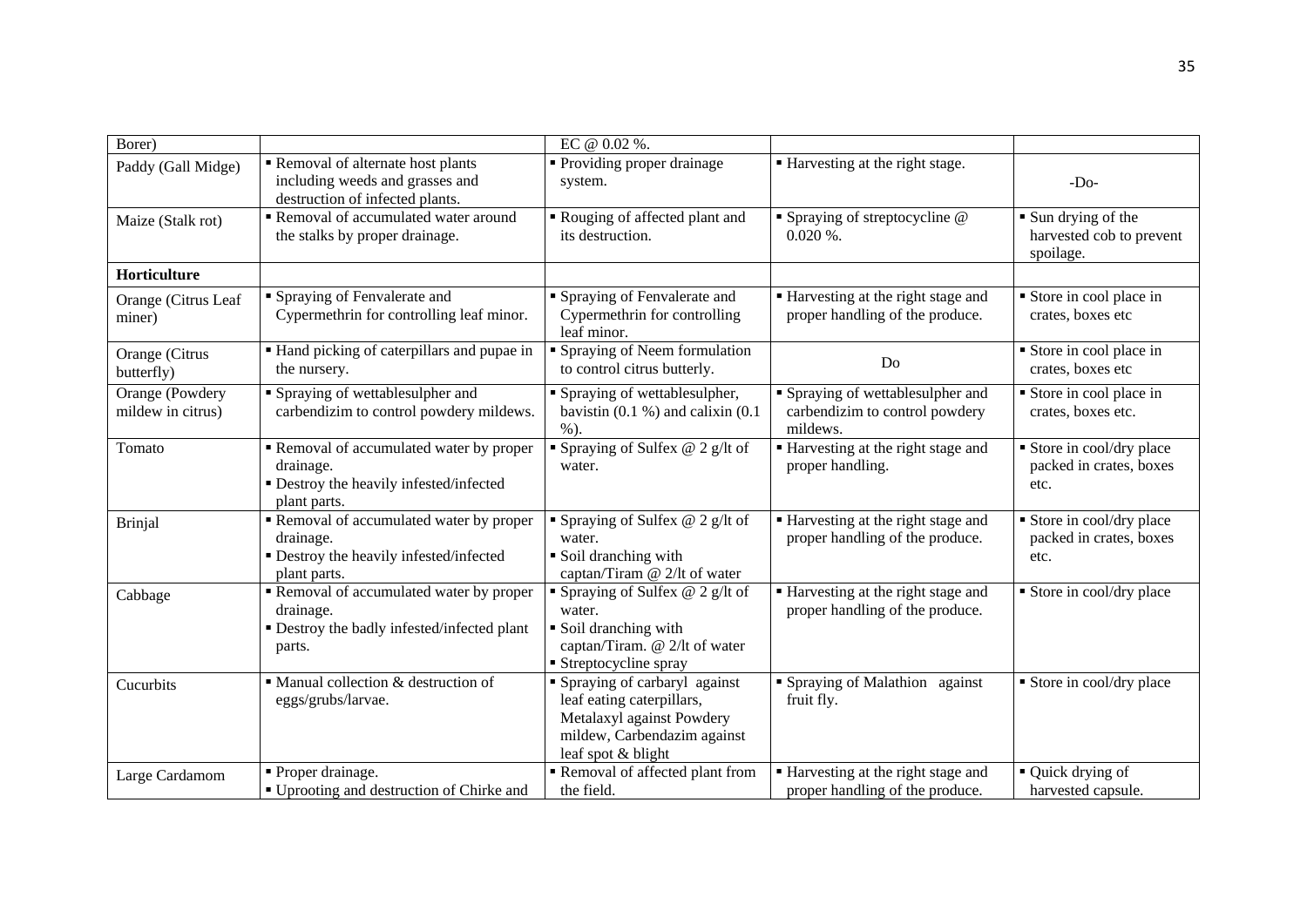| Borer)                               |                                                                                                                | EC @ 0.02 %.                                                                                                                                  |                                                                                 |                                                                           |
|--------------------------------------|----------------------------------------------------------------------------------------------------------------|-----------------------------------------------------------------------------------------------------------------------------------------------|---------------------------------------------------------------------------------|---------------------------------------------------------------------------|
| Paddy (Gall Midge)                   | Removal of alternate host plants<br>including weeds and grasses and<br>destruction of infected plants.         | • Providing proper drainage<br>system.                                                                                                        | ■ Harvesting at the right stage.                                                | $-Do-$                                                                    |
| Maize (Stalk rot)                    | Removal of accumulated water around<br>the stalks by proper drainage.                                          | Rouging of affected plant and<br>its destruction.                                                                                             | $\blacksquare$ Spraying of streptocycline $@$<br>$0.020\%$ .                    | $\blacksquare$ Sun drying of the<br>harvested cob to prevent<br>spoilage. |
| Horticulture                         |                                                                                                                |                                                                                                                                               |                                                                                 |                                                                           |
| Orange (Citrus Leaf<br>miner)        | Spraying of Fenvalerate and<br>Cypermethrin for controlling leaf minor.                                        | • Spraying of Fenvalerate and<br>Cypermethrin for controlling<br>leaf minor.                                                                  | ■ Harvesting at the right stage and<br>proper handling of the produce.          | Store in cool place in<br>crates, boxes etc                               |
| Orange (Citrus<br>butterfly)         | Hand picking of caterpillars and pupae in<br>the nursery.                                                      | • Spraying of Neem formulation<br>to control citrus butterly.                                                                                 | Do                                                                              | Store in cool place in<br>crates, boxes etc                               |
| Orange (Powdery<br>mildew in citrus) | • Spraying of wettablesulpher and<br>carbendizim to control powdery mildews.                                   | " Spraying of wettablesulpher,<br>bavistin $(0.1 %)$ and calixin $(0.1 %)$<br>$%$ ).                                                          | • Spraying of wettablesulpher and<br>carbendizim to control powdery<br>mildews. | Store in cool place in<br>crates, boxes etc.                              |
| Tomato                               | Removal of accumulated water by proper<br>drainage.<br>• Destroy the heavily infested/infected<br>plant parts. | Spraying of Sulfex $@$ 2 g/lt of<br>water.                                                                                                    | Harvesting at the right stage and<br>proper handling.                           | Store in cool/dry place<br>packed in crates, boxes<br>etc.                |
| <b>Brinjal</b>                       | Removal of accumulated water by proper<br>drainage.<br>• Destroy the heavily infested/infected<br>plant parts. | Spraying of Sulfex $@$ 2 g/lt of<br>water.<br>Soil dranching with<br>captan/Tiram @ 2/lt of water                                             | • Harvesting at the right stage and<br>proper handling of the produce.          | Store in cool/dry place<br>packed in crates, boxes<br>etc.                |
| Cabbage                              | Removal of accumulated water by proper<br>drainage.<br>• Destroy the badly infested/infected plant<br>parts.   | Spraying of Sulfex $@$ 2 g/lt of<br>water.<br>Soil dranching with<br>captan/Tiram. @ 2/lt of water<br>■ Streptocycline spray                  | • Harvesting at the right stage and<br>proper handling of the produce.          | $\overline{\phantom{a}}$ Store in cool/dry place                          |
| Cucurbits                            | • Manual collection & destruction of<br>eggs/grubs/larvae.                                                     | • Spraying of carbaryl against<br>leaf eating caterpillars,<br>Metalaxyl against Powdery<br>mildew, Carbendazim against<br>leaf spot & blight | • Spraying of Malathion against<br>fruit fly.                                   | • Store in cool/dry place                                                 |
| Large Cardamom                       | • Proper drainage.<br>■ Uprooting and destruction of Chirke and                                                | Removal of affected plant from<br>the field.                                                                                                  | ■ Harvesting at the right stage and<br>proper handling of the produce.          | • Quick drying of<br>harvested capsule.                                   |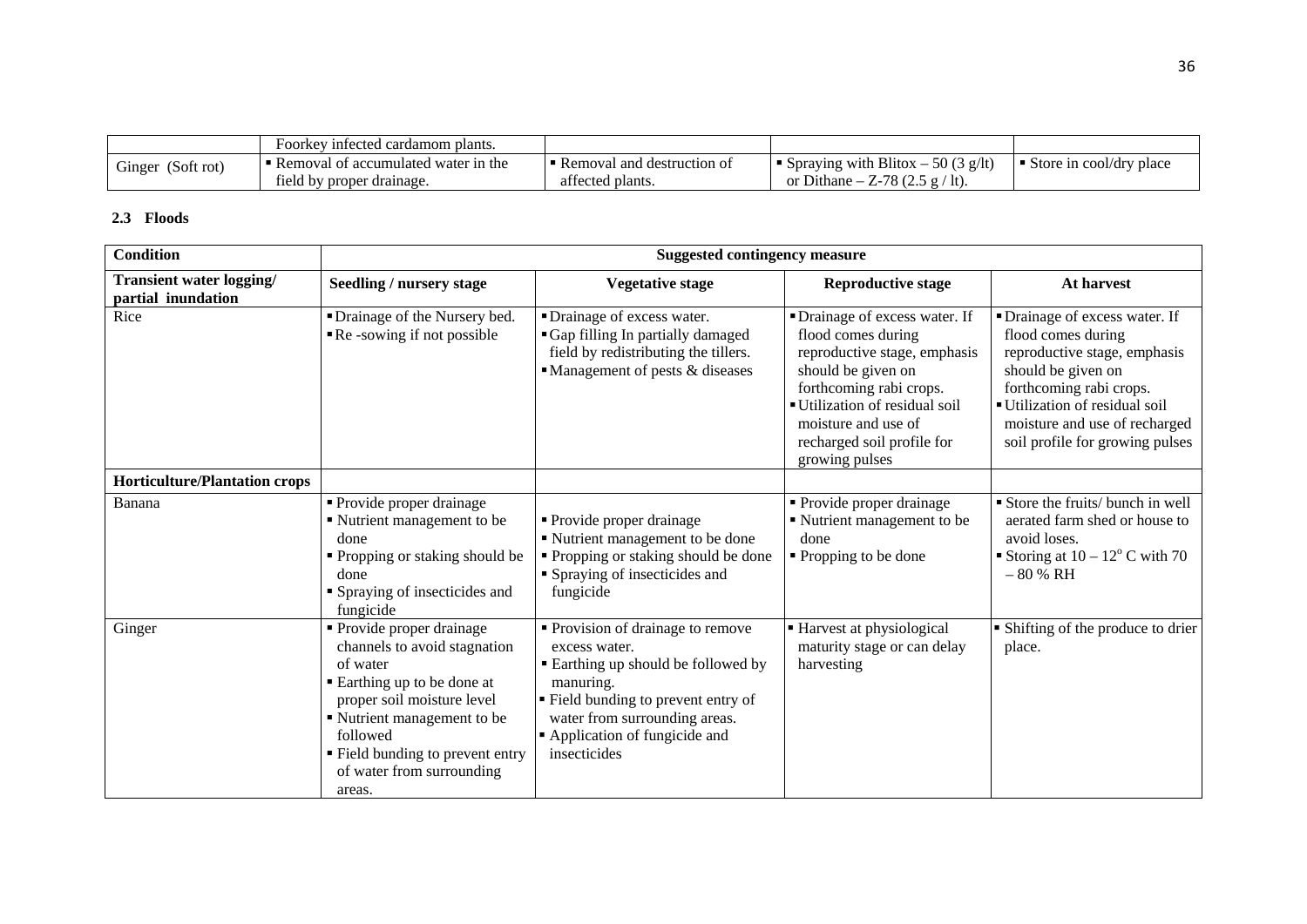|                      | Foorkey infected cardamom plants.   |                            |                                                     |                         |
|----------------------|-------------------------------------|----------------------------|-----------------------------------------------------|-------------------------|
| (Soft rot)<br>Ginger | Removal of accumulated water in the | Removal and destruction of | Spraying with Blitox $-50(3 \text{ g/lt})$          | Store in cool/dry place |
|                      | field by proper drainage.           | affected plants.           | $x - Z - 78$ (2.5 g)<br><sup>1t</sup><br>or Dithane |                         |

## **2.3 Floods**

| <b>Condition</b>                               |                                                                                                                                                                                                                                                        | <b>Suggested contingency measure</b>                                                                                                                                                                                                |                                                                                                                                                                                                                                              |                                                                                                                                                                                                                                           |
|------------------------------------------------|--------------------------------------------------------------------------------------------------------------------------------------------------------------------------------------------------------------------------------------------------------|-------------------------------------------------------------------------------------------------------------------------------------------------------------------------------------------------------------------------------------|----------------------------------------------------------------------------------------------------------------------------------------------------------------------------------------------------------------------------------------------|-------------------------------------------------------------------------------------------------------------------------------------------------------------------------------------------------------------------------------------------|
| Transient water logging/<br>partial inundation | Seedling / nursery stage                                                                                                                                                                                                                               | <b>Vegetative stage</b>                                                                                                                                                                                                             | <b>Reproductive stage</b>                                                                                                                                                                                                                    | At harvest                                                                                                                                                                                                                                |
| Rice                                           | • Drainage of the Nursery bed.<br>$\blacksquare$ Re -sowing if not possible                                                                                                                                                                            | • Drainage of excess water.<br>• Gap filling In partially damaged<br>field by redistributing the tillers.<br>$\blacksquare$ Management of pests & diseases                                                                          | • Drainage of excess water. If<br>flood comes during<br>reproductive stage, emphasis<br>should be given on<br>forthcoming rabi crops.<br>Utilization of residual soil<br>moisture and use of<br>recharged soil profile for<br>growing pulses | • Drainage of excess water. If<br>flood comes during<br>reproductive stage, emphasis<br>should be given on<br>forthcoming rabi crops.<br>Utilization of residual soil<br>moisture and use of recharged<br>soil profile for growing pulses |
| <b>Horticulture/Plantation crops</b>           |                                                                                                                                                                                                                                                        |                                                                                                                                                                                                                                     |                                                                                                                                                                                                                                              |                                                                                                                                                                                                                                           |
| Banana                                         | • Provide proper drainage<br>• Nutrient management to be<br>done<br>• Propping or staking should be<br>done<br>• Spraying of insecticides and<br>fungicide                                                                                             | • Provide proper drainage<br>Nutrient management to be done<br>• Propping or staking should be done<br>• Spraying of insecticides and<br>fungicide                                                                                  | • Provide proper drainage<br>Nutrient management to be<br>done<br>• Propping to be done                                                                                                                                                      | Store the fruits/ bunch in well<br>aerated farm shed or house to<br>avoid loses.<br>Storing at $10 - 12^{\circ}$ C with 70<br>$-80%$ RH                                                                                                   |
| Ginger                                         | • Provide proper drainage<br>channels to avoid stagnation<br>of water<br>■ Earthing up to be done at<br>proper soil moisture level<br>Nutrient management to be<br>followed<br>• Field bunding to prevent entry<br>of water from surrounding<br>areas. | • Provision of drainage to remove<br>excess water.<br><b>Earthing up should be followed by</b><br>manuring.<br>" Field bunding to prevent entry of<br>water from surrounding areas.<br>Application of fungicide and<br>insecticides | Harvest at physiological<br>maturity stage or can delay<br>harvesting                                                                                                                                                                        | • Shifting of the produce to drier<br>place.                                                                                                                                                                                              |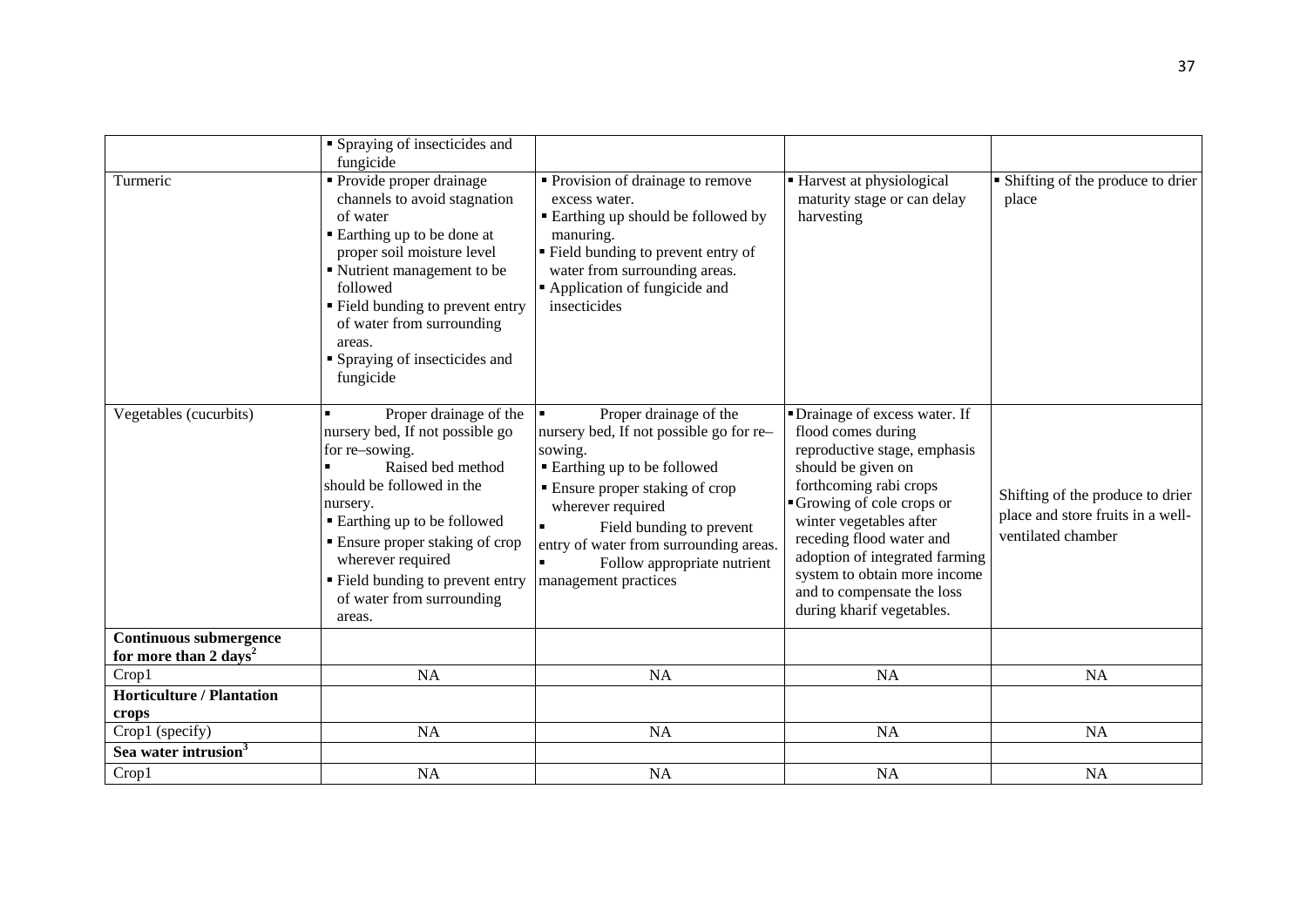| Turmeric                                                           | • Spraying of insecticides and<br>fungicide<br>• Provide proper drainage<br>channels to avoid stagnation<br>of water<br>■ Earthing up to be done at<br>proper soil moisture level<br>• Nutrient management to be<br>followed<br>■ Field bunding to prevent entry<br>of water from surrounding<br>areas.<br><b>S</b> praying of insecticides and<br>fungicide | • Provision of drainage to remove<br>excess water.<br><b>Earthing up should be followed by</b><br>manuring.<br>• Field bunding to prevent entry of<br>water from surrounding areas.<br>Application of fungicide and<br>insecticides                                                               | ■ Harvest at physiological<br>maturity stage or can delay<br>harvesting                                                                                                                                                                                                                                                                              | • Shifting of the produce to drier<br>place                                                 |
|--------------------------------------------------------------------|--------------------------------------------------------------------------------------------------------------------------------------------------------------------------------------------------------------------------------------------------------------------------------------------------------------------------------------------------------------|---------------------------------------------------------------------------------------------------------------------------------------------------------------------------------------------------------------------------------------------------------------------------------------------------|------------------------------------------------------------------------------------------------------------------------------------------------------------------------------------------------------------------------------------------------------------------------------------------------------------------------------------------------------|---------------------------------------------------------------------------------------------|
| Vegetables (cucurbits)                                             | Proper drainage of the<br>$\blacksquare$<br>nursery bed, If not possible go<br>for re-sowing.<br>Raised bed method<br>should be followed in the<br>nursery.<br>■ Earthing up to be followed<br>• Ensure proper staking of crop<br>wherever required<br>• Field bunding to prevent entry<br>of water from surrounding<br>areas.                               | Proper drainage of the<br>nursery bed, If not possible go for re-<br>sowing.<br>■ Earthing up to be followed<br>• Ensure proper staking of crop<br>wherever required<br>Field bunding to prevent<br>entry of water from surrounding areas.<br>Follow appropriate nutrient<br>management practices | • Drainage of excess water. If<br>flood comes during<br>reproductive stage, emphasis<br>should be given on<br>forthcoming rabi crops<br>Growing of cole crops or<br>winter vegetables after<br>receding flood water and<br>adoption of integrated farming<br>system to obtain more income<br>and to compensate the loss<br>during kharif vegetables. | Shifting of the produce to drier<br>place and store fruits in a well-<br>ventilated chamber |
| <b>Continuous submergence</b><br>for more than 2 days <sup>2</sup> |                                                                                                                                                                                                                                                                                                                                                              |                                                                                                                                                                                                                                                                                                   |                                                                                                                                                                                                                                                                                                                                                      |                                                                                             |
| Crop1                                                              | <b>NA</b>                                                                                                                                                                                                                                                                                                                                                    | NA                                                                                                                                                                                                                                                                                                | NA                                                                                                                                                                                                                                                                                                                                                   | <b>NA</b>                                                                                   |
| <b>Horticulture / Plantation</b>                                   |                                                                                                                                                                                                                                                                                                                                                              |                                                                                                                                                                                                                                                                                                   |                                                                                                                                                                                                                                                                                                                                                      |                                                                                             |
| crops                                                              |                                                                                                                                                                                                                                                                                                                                                              |                                                                                                                                                                                                                                                                                                   |                                                                                                                                                                                                                                                                                                                                                      |                                                                                             |
| Crop1 (specify)                                                    | <b>NA</b>                                                                                                                                                                                                                                                                                                                                                    | NA                                                                                                                                                                                                                                                                                                | NA                                                                                                                                                                                                                                                                                                                                                   | <b>NA</b>                                                                                   |
| Sea water intrusion <sup>3</sup>                                   |                                                                                                                                                                                                                                                                                                                                                              |                                                                                                                                                                                                                                                                                                   |                                                                                                                                                                                                                                                                                                                                                      |                                                                                             |
| Crop1                                                              | <b>NA</b>                                                                                                                                                                                                                                                                                                                                                    | <b>NA</b>                                                                                                                                                                                                                                                                                         | <b>NA</b>                                                                                                                                                                                                                                                                                                                                            | <b>NA</b>                                                                                   |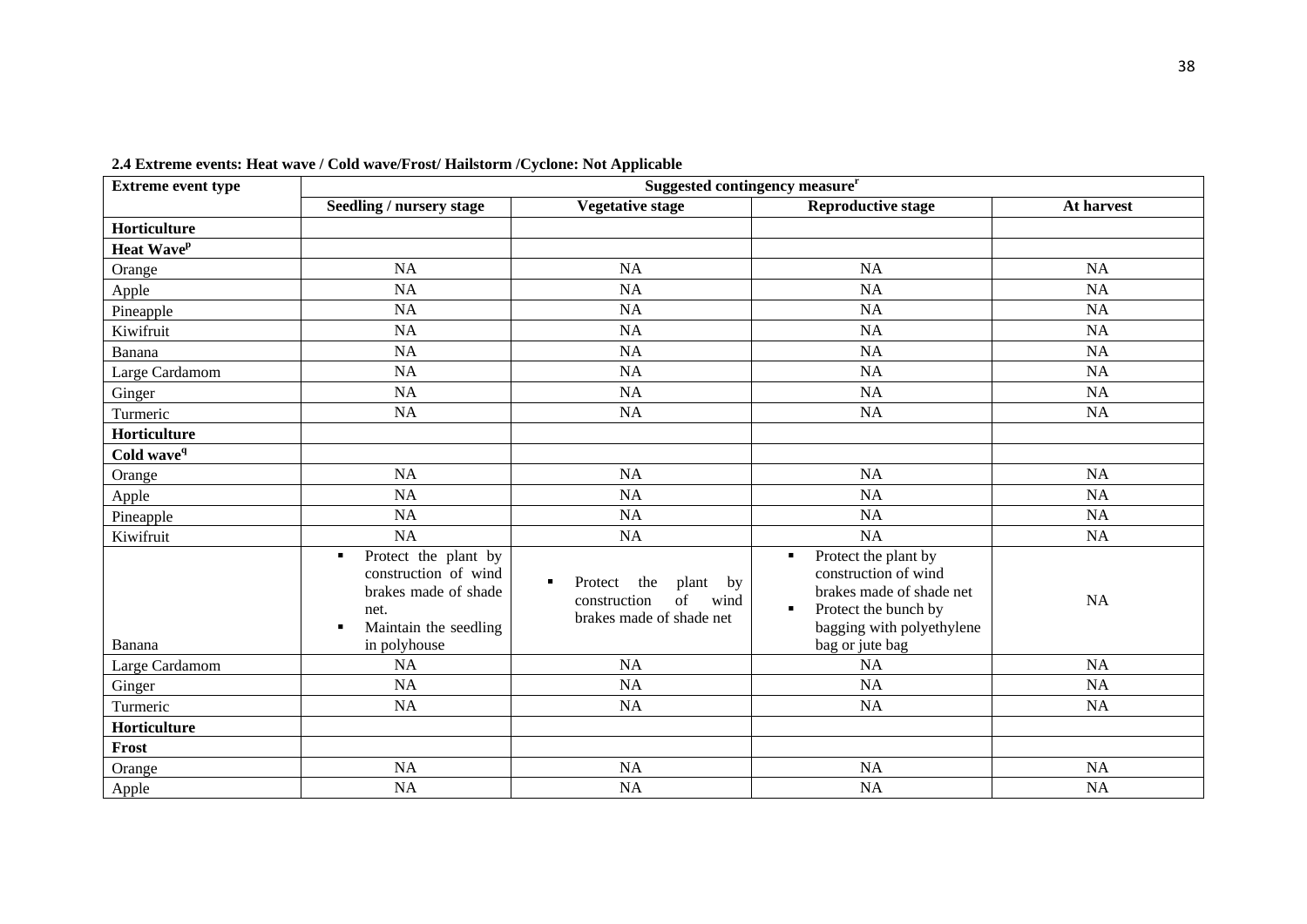| man wave, come wavelet obe manbooling cycloner rior repplicable<br><b>Extreme event type</b> | Suggested contingency measure <sup>r</sup>                                                                                                   |                                                                                                        |                                                                                                                                                                                      |            |  |  |
|----------------------------------------------------------------------------------------------|----------------------------------------------------------------------------------------------------------------------------------------------|--------------------------------------------------------------------------------------------------------|--------------------------------------------------------------------------------------------------------------------------------------------------------------------------------------|------------|--|--|
|                                                                                              | Seedling / nursery stage                                                                                                                     | <b>Vegetative stage</b>                                                                                | <b>Reproductive stage</b>                                                                                                                                                            | At harvest |  |  |
| Horticulture                                                                                 |                                                                                                                                              |                                                                                                        |                                                                                                                                                                                      |            |  |  |
| Heat Wave <sup>p</sup>                                                                       |                                                                                                                                              |                                                                                                        |                                                                                                                                                                                      |            |  |  |
| Orange                                                                                       | <b>NA</b>                                                                                                                                    | NA                                                                                                     | NA                                                                                                                                                                                   | <b>NA</b>  |  |  |
| Apple                                                                                        | <b>NA</b>                                                                                                                                    | NA                                                                                                     | NA                                                                                                                                                                                   | <b>NA</b>  |  |  |
| Pineapple                                                                                    | NA                                                                                                                                           | NA                                                                                                     | <b>NA</b>                                                                                                                                                                            | NA         |  |  |
| Kiwifruit                                                                                    | <b>NA</b>                                                                                                                                    | NA                                                                                                     | <b>NA</b>                                                                                                                                                                            | NA         |  |  |
| Banana                                                                                       | <b>NA</b>                                                                                                                                    | <b>NA</b>                                                                                              | <b>NA</b>                                                                                                                                                                            | <b>NA</b>  |  |  |
| Large Cardamom                                                                               | <b>NA</b>                                                                                                                                    | NA                                                                                                     | <b>NA</b>                                                                                                                                                                            | <b>NA</b>  |  |  |
| Ginger                                                                                       | <b>NA</b>                                                                                                                                    | <b>NA</b>                                                                                              | <b>NA</b>                                                                                                                                                                            | <b>NA</b>  |  |  |
| Turmeric                                                                                     | <b>NA</b>                                                                                                                                    | NA                                                                                                     | <b>NA</b>                                                                                                                                                                            | <b>NA</b>  |  |  |
| Horticulture                                                                                 |                                                                                                                                              |                                                                                                        |                                                                                                                                                                                      |            |  |  |
| Cold wave <sup>q</sup>                                                                       |                                                                                                                                              |                                                                                                        |                                                                                                                                                                                      |            |  |  |
| Orange                                                                                       | NA                                                                                                                                           | NA                                                                                                     | <b>NA</b>                                                                                                                                                                            | NA         |  |  |
| Apple                                                                                        | <b>NA</b>                                                                                                                                    | NA                                                                                                     | NA                                                                                                                                                                                   | <b>NA</b>  |  |  |
| Pineapple                                                                                    | NA                                                                                                                                           | NA                                                                                                     | <b>NA</b>                                                                                                                                                                            | <b>NA</b>  |  |  |
| Kiwifruit                                                                                    | <b>NA</b>                                                                                                                                    | NA                                                                                                     | NA                                                                                                                                                                                   | NA         |  |  |
| Banana                                                                                       | Protect the plant by<br>$\blacksquare$<br>construction of wind<br>brakes made of shade<br>net.<br>Maintain the seedling<br>٠<br>in polyhouse | the<br>plant by<br>Protect<br>$\blacksquare$<br>of<br>wind<br>construction<br>brakes made of shade net | Protect the plant by<br>$\blacksquare$<br>construction of wind<br>brakes made of shade net<br>Protect the bunch by<br>$\blacksquare$<br>bagging with polyethylene<br>bag or jute bag | NA         |  |  |
| Large Cardamom                                                                               | <b>NA</b>                                                                                                                                    | <b>NA</b>                                                                                              | <b>NA</b>                                                                                                                                                                            | <b>NA</b>  |  |  |
| Ginger                                                                                       | NA                                                                                                                                           | NA                                                                                                     | NA                                                                                                                                                                                   | NA         |  |  |
| Turmeric                                                                                     | NA                                                                                                                                           | NA                                                                                                     | <b>NA</b>                                                                                                                                                                            | NA         |  |  |
| Horticulture                                                                                 |                                                                                                                                              |                                                                                                        |                                                                                                                                                                                      |            |  |  |
| Frost                                                                                        |                                                                                                                                              |                                                                                                        |                                                                                                                                                                                      |            |  |  |
| Orange                                                                                       | <b>NA</b>                                                                                                                                    | NA                                                                                                     | <b>NA</b>                                                                                                                                                                            | <b>NA</b>  |  |  |
| Apple                                                                                        | <b>NA</b>                                                                                                                                    | NA                                                                                                     | NA                                                                                                                                                                                   | <b>NA</b>  |  |  |

**2.4 Extreme events: Heat wave / Cold wave/Frost/ Hailstorm /Cyclone: Not Applicable**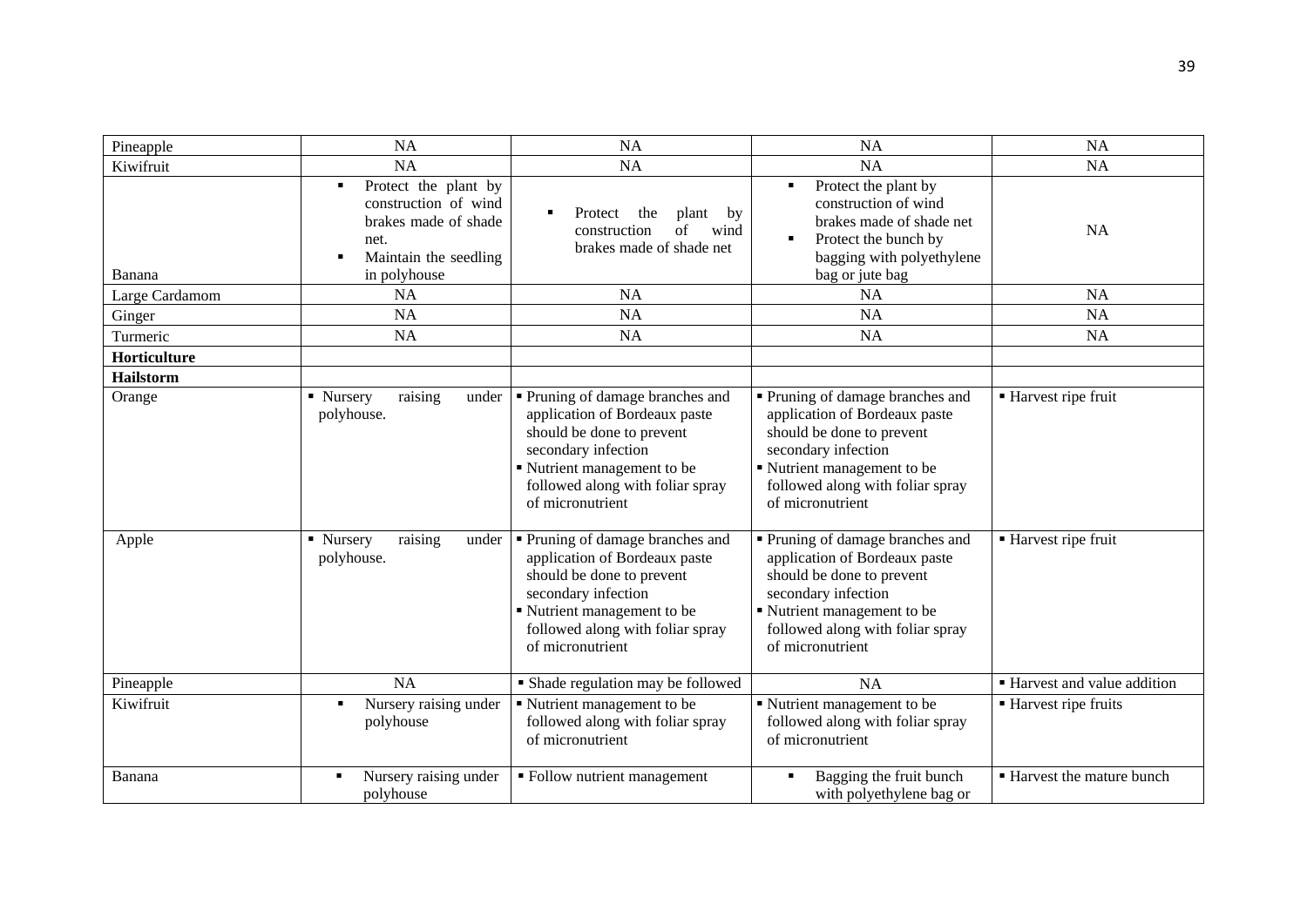| Pineapple           | <b>NA</b>                                                                                                                       | <b>NA</b>                                                                                                                                                                                                  | <b>NA</b>                                                                                                                                                                                                  | <b>NA</b>                    |
|---------------------|---------------------------------------------------------------------------------------------------------------------------------|------------------------------------------------------------------------------------------------------------------------------------------------------------------------------------------------------------|------------------------------------------------------------------------------------------------------------------------------------------------------------------------------------------------------------|------------------------------|
| Kiwifruit           | <b>NA</b>                                                                                                                       | <b>NA</b>                                                                                                                                                                                                  | NA                                                                                                                                                                                                         | <b>NA</b>                    |
| Banana              | Protect the plant by<br>٠<br>construction of wind<br>brakes made of shade<br>net.<br>Maintain the seedling<br>٠<br>in polyhouse | the<br>$\blacksquare$<br>Protect<br>plant<br>by<br>of<br>wind<br>construction<br>brakes made of shade net                                                                                                  | Protect the plant by<br>٠<br>construction of wind<br>brakes made of shade net<br>Protect the bunch by<br>bagging with polyethylene<br>bag or jute bag                                                      | <b>NA</b>                    |
| Large Cardamom      | <b>NA</b>                                                                                                                       | <b>NA</b>                                                                                                                                                                                                  | <b>NA</b>                                                                                                                                                                                                  | <b>NA</b>                    |
| Ginger              | <b>NA</b>                                                                                                                       | <b>NA</b>                                                                                                                                                                                                  | <b>NA</b>                                                                                                                                                                                                  | <b>NA</b>                    |
| Turmeric            | <b>NA</b>                                                                                                                       | <b>NA</b>                                                                                                                                                                                                  | <b>NA</b>                                                                                                                                                                                                  | <b>NA</b>                    |
| <b>Horticulture</b> |                                                                                                                                 |                                                                                                                                                                                                            |                                                                                                                                                                                                            |                              |
| <b>Hailstorm</b>    |                                                                                                                                 |                                                                                                                                                                                                            |                                                                                                                                                                                                            |                              |
| Orange              | raising<br>• Nursery<br>under<br>polyhouse.                                                                                     | • Pruning of damage branches and<br>application of Bordeaux paste<br>should be done to prevent<br>secondary infection<br>Nutrient management to be<br>followed along with foliar spray<br>of micronutrient | • Pruning of damage branches and<br>application of Bordeaux paste<br>should be done to prevent<br>secondary infection<br>Nutrient management to be<br>followed along with foliar spray<br>of micronutrient | ■ Harvest ripe fruit         |
| Apple               | raising<br>• Nursery<br>under<br>polyhouse.                                                                                     | Pruning of damage branches and<br>application of Bordeaux paste<br>should be done to prevent<br>secondary infection<br>Nutrient management to be<br>followed along with foliar spray<br>of micronutrient   | • Pruning of damage branches and<br>application of Bordeaux paste<br>should be done to prevent<br>secondary infection<br>Nutrient management to be<br>followed along with foliar spray<br>of micronutrient | ■ Harvest ripe fruit         |
| Pineapple           | <b>NA</b>                                                                                                                       | • Shade regulation may be followed                                                                                                                                                                         | <b>NA</b>                                                                                                                                                                                                  | • Harvest and value addition |
| Kiwifruit           | Nursery raising under<br>٠<br>polyhouse                                                                                         | Nutrient management to be<br>followed along with foliar spray<br>of micronutrient                                                                                                                          | Nutrient management to be<br>followed along with foliar spray<br>of micronutrient                                                                                                                          | ■ Harvest ripe fruits        |
| Banana              | Nursery raising under<br>٠<br>polyhouse                                                                                         | · Follow nutrient management                                                                                                                                                                               | Bagging the fruit bunch<br>with polyethylene bag or                                                                                                                                                        | ■ Harvest the mature bunch   |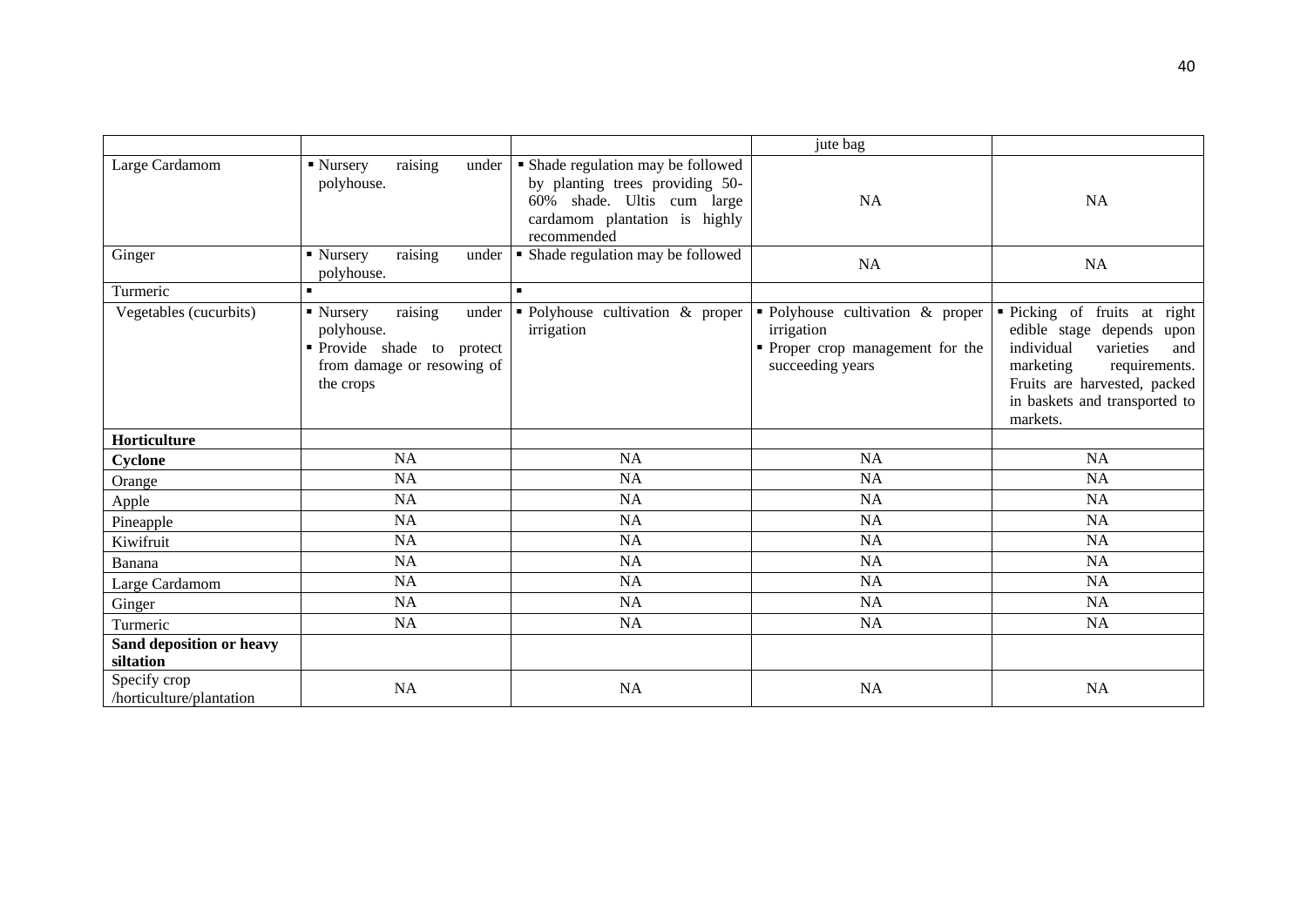|                                          |                                                                                                                    |                                                                                                                                                     | jute bag                                                                                                       |                                                                                                                                                                                                        |
|------------------------------------------|--------------------------------------------------------------------------------------------------------------------|-----------------------------------------------------------------------------------------------------------------------------------------------------|----------------------------------------------------------------------------------------------------------------|--------------------------------------------------------------------------------------------------------------------------------------------------------------------------------------------------------|
| Large Cardamom                           | raising<br>under<br>$\blacksquare$ Nursery<br>polyhouse.                                                           | • Shade regulation may be followed<br>by planting trees providing 50-<br>60% shade. Ultis cum large<br>cardamom plantation is highly<br>recommended | <b>NA</b>                                                                                                      | <b>NA</b>                                                                                                                                                                                              |
| Ginger                                   | raising<br>• Nursery<br>under<br>polyhouse.                                                                        | • Shade regulation may be followed                                                                                                                  | <b>NA</b>                                                                                                      | <b>NA</b>                                                                                                                                                                                              |
| Turmeric                                 | $\blacksquare$                                                                                                     | $\blacksquare$                                                                                                                                      |                                                                                                                |                                                                                                                                                                                                        |
| Vegetables (cucurbits)                   | raising<br>• Nursery<br>under<br>polyhouse.<br>Provide shade to protect<br>from damage or resowing of<br>the crops | • Polyhouse cultivation & proper<br>irrigation                                                                                                      | $\bullet$ Polyhouse cultivation & proper<br>irrigation<br>• Proper crop management for the<br>succeeding years | • Picking of fruits at right<br>edible stage depends upon<br>individual<br>varieties<br>and<br>marketing<br>requirements.<br>Fruits are harvested, packed<br>in baskets and transported to<br>markets. |
| Horticulture                             |                                                                                                                    |                                                                                                                                                     |                                                                                                                |                                                                                                                                                                                                        |
| Cyclone                                  | <b>NA</b>                                                                                                          | <b>NA</b>                                                                                                                                           | <b>NA</b>                                                                                                      | <b>NA</b>                                                                                                                                                                                              |
| Orange                                   | NA                                                                                                                 | NA                                                                                                                                                  | <b>NA</b>                                                                                                      | NA                                                                                                                                                                                                     |
| Apple                                    | NA                                                                                                                 | NA                                                                                                                                                  | <b>NA</b>                                                                                                      | <b>NA</b>                                                                                                                                                                                              |
| Pineapple                                | <b>NA</b>                                                                                                          | <b>NA</b>                                                                                                                                           | <b>NA</b>                                                                                                      | NA                                                                                                                                                                                                     |
| Kiwifruit                                | NA                                                                                                                 | NA                                                                                                                                                  | <b>NA</b>                                                                                                      | NA                                                                                                                                                                                                     |
| Banana                                   | <b>NA</b>                                                                                                          | NA                                                                                                                                                  | <b>NA</b>                                                                                                      | <b>NA</b>                                                                                                                                                                                              |
| Large Cardamom                           | NA                                                                                                                 | <b>NA</b>                                                                                                                                           | <b>NA</b>                                                                                                      | NA                                                                                                                                                                                                     |
| Ginger                                   | <b>NA</b>                                                                                                          | NA                                                                                                                                                  | <b>NA</b>                                                                                                      | <b>NA</b>                                                                                                                                                                                              |
| Turmeric                                 | NA                                                                                                                 | <b>NA</b>                                                                                                                                           | <b>NA</b>                                                                                                      | <b>NA</b>                                                                                                                                                                                              |
| Sand deposition or heavy<br>siltation    |                                                                                                                    |                                                                                                                                                     |                                                                                                                |                                                                                                                                                                                                        |
| Specify crop<br>/horticulture/plantation | <b>NA</b>                                                                                                          | <b>NA</b>                                                                                                                                           | <b>NA</b>                                                                                                      | <b>NA</b>                                                                                                                                                                                              |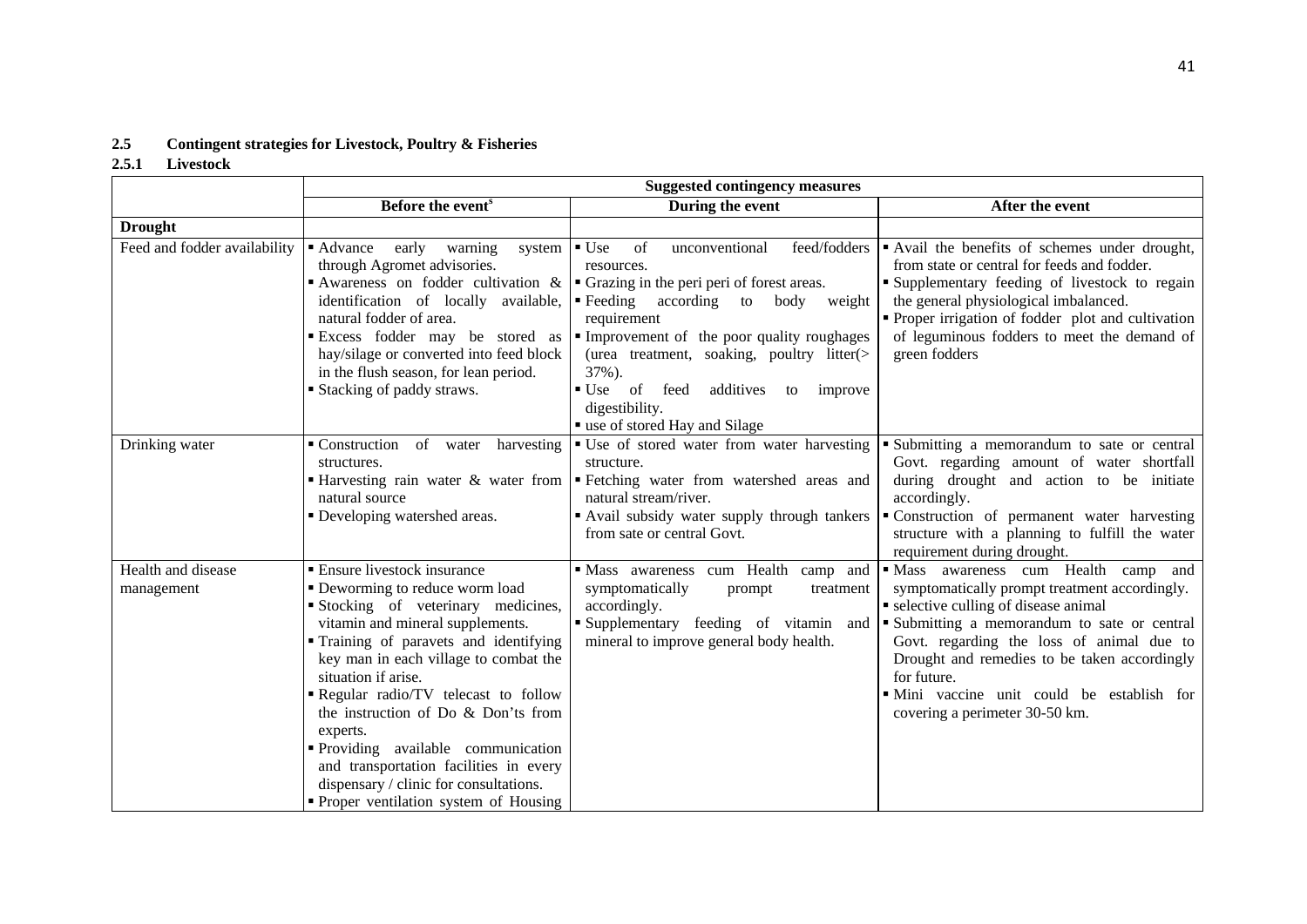## **2.5 Contingent strategies for Livestock, Poultry & Fisheries**

## **2.5.1 Livestock**

|                                  | <b>Suggested contingency measures</b>                                                                                                                                                                                                                                                                                                                                                                                                                                                                           |                                                                                                                                                                                                                                                                                                                                                                                  |                                                                                                                                                                                                                                                                                                                                                                          |  |
|----------------------------------|-----------------------------------------------------------------------------------------------------------------------------------------------------------------------------------------------------------------------------------------------------------------------------------------------------------------------------------------------------------------------------------------------------------------------------------------------------------------------------------------------------------------|----------------------------------------------------------------------------------------------------------------------------------------------------------------------------------------------------------------------------------------------------------------------------------------------------------------------------------------------------------------------------------|--------------------------------------------------------------------------------------------------------------------------------------------------------------------------------------------------------------------------------------------------------------------------------------------------------------------------------------------------------------------------|--|
|                                  | Before the event <sup>s</sup>                                                                                                                                                                                                                                                                                                                                                                                                                                                                                   | During the event                                                                                                                                                                                                                                                                                                                                                                 | After the event                                                                                                                                                                                                                                                                                                                                                          |  |
| <b>Drought</b>                   |                                                                                                                                                                                                                                                                                                                                                                                                                                                                                                                 |                                                                                                                                                                                                                                                                                                                                                                                  |                                                                                                                                                                                                                                                                                                                                                                          |  |
| Feed and fodder availability     | • Advance<br>early<br>warning<br>system<br>through Agromet advisories.<br>Awareness on fodder cultivation &<br>identification of locally available,<br>natural fodder of area.<br>Excess fodder may be stored as<br>hay/silage or converted into feed block<br>in the flush season, for lean period.<br>■ Stacking of paddy straws.                                                                                                                                                                             | feed/fodders<br>$\blacksquare$ Use<br>of<br>unconventional<br>resources.<br>• Grazing in the peri peri of forest areas.<br>• Feeding according to body weight<br>requirement<br>Improvement of the poor quality roughages<br>(urea treatment, soaking, poultry litter(><br>37%).<br>■ Use of feed<br>additives<br>to improve<br>digestibility.<br>" use of stored Hay and Silage | Avail the benefits of schemes under drought,<br>from state or central for feeds and fodder.<br><b>Supplementary feeding of livestock to regain</b><br>the general physiological imbalanced.<br>• Proper irrigation of fodder plot and cultivation<br>of leguminous fodders to meet the demand of<br>green fodders                                                        |  |
| Drinking water                   | Construction<br>of water harvesting<br>structures.<br>$\blacksquare$ Harvesting rain water & water from<br>natural source<br>• Developing watershed areas.                                                                                                                                                                                                                                                                                                                                                      | • Use of stored water from water harvesting<br>structure.<br>Fetching water from watershed areas and<br>natural stream/river.<br>Avail subsidy water supply through tankers<br>from sate or central Govt.                                                                                                                                                                        | • Submitting a memorandum to sate or central<br>Govt. regarding amount of water shortfall<br>during drought and action to be initiate<br>accordingly.<br>• Construction of permanent water harvesting<br>structure with a planning to fulfill the water<br>requirement during drought.                                                                                   |  |
| Health and disease<br>management | • Ensure livestock insurance<br>• Deworming to reduce worm load<br>Stocking of veterinary medicines,<br>vitamin and mineral supplements.<br>" Training of paravets and identifying<br>key man in each village to combat the<br>situation if arise.<br>Regular radio/TV telecast to follow<br>the instruction of Do & Don'ts from<br>experts.<br>Providing available communication<br>and transportation facilities in every<br>dispensary / clinic for consultations.<br>• Proper ventilation system of Housing | Mass awareness cum Health camp and<br>symptomatically<br>prompt<br>treatment<br>accordingly.<br>Supplementary feeding of vitamin and<br>mineral to improve general body health.                                                                                                                                                                                                  | · Mass awareness cum Health camp and<br>symptomatically prompt treatment accordingly.<br>• selective culling of disease animal<br>Submitting a memorandum to sate or central<br>Govt. regarding the loss of animal due to<br>Drought and remedies to be taken accordingly<br>for future.<br>· Mini vaccine unit could be establish for<br>covering a perimeter 30-50 km. |  |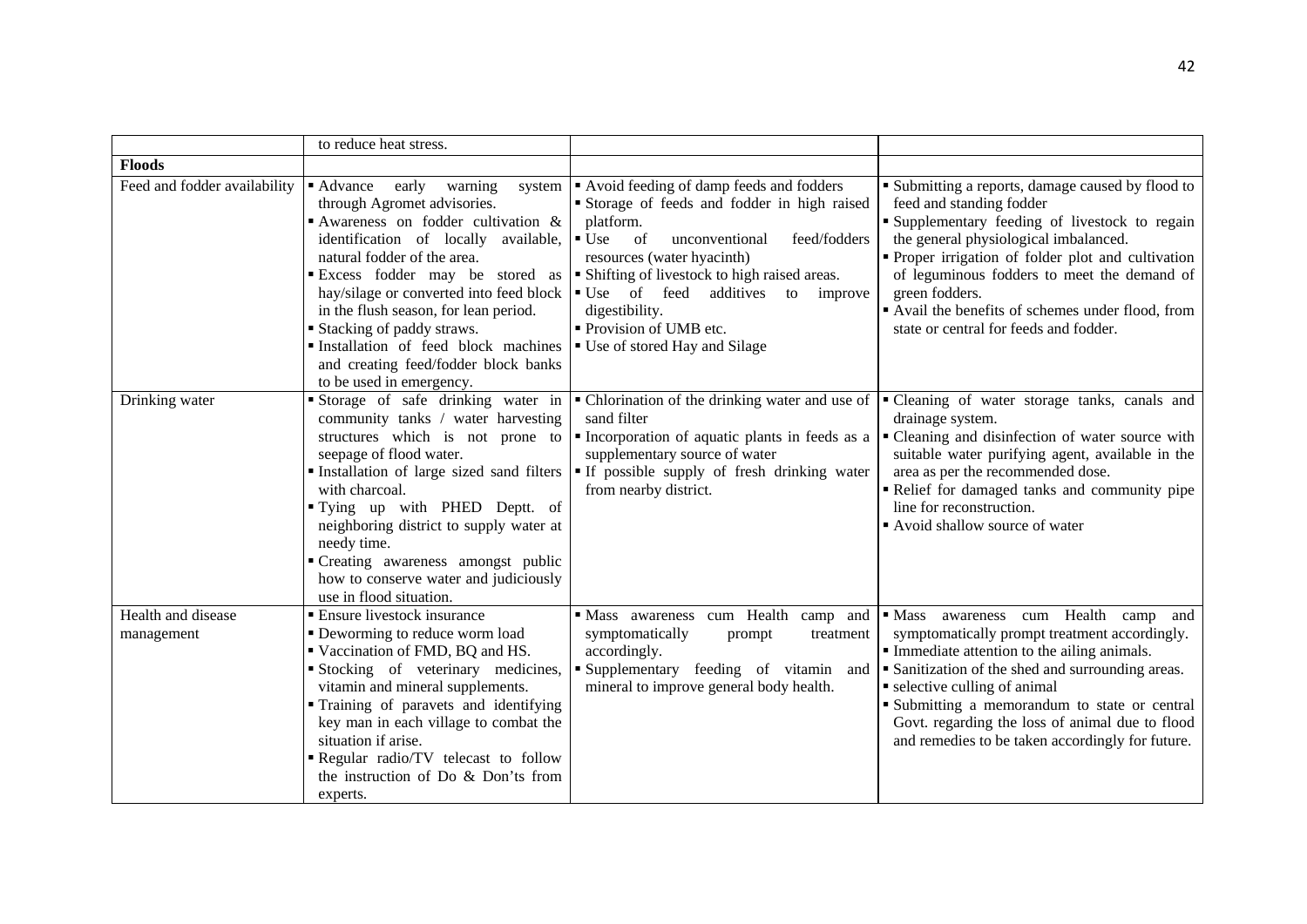|                                  | to reduce heat stress.                                                                                                                                                                                                                                                                                                                                                                                                                                     |                                                                                                                                                                                                                                                                                                                                                                                       |                                                                                                                                                                                                                                                                                                                                                                                                      |
|----------------------------------|------------------------------------------------------------------------------------------------------------------------------------------------------------------------------------------------------------------------------------------------------------------------------------------------------------------------------------------------------------------------------------------------------------------------------------------------------------|---------------------------------------------------------------------------------------------------------------------------------------------------------------------------------------------------------------------------------------------------------------------------------------------------------------------------------------------------------------------------------------|------------------------------------------------------------------------------------------------------------------------------------------------------------------------------------------------------------------------------------------------------------------------------------------------------------------------------------------------------------------------------------------------------|
| <b>Floods</b>                    |                                                                                                                                                                                                                                                                                                                                                                                                                                                            |                                                                                                                                                                                                                                                                                                                                                                                       |                                                                                                                                                                                                                                                                                                                                                                                                      |
| Feed and fodder availability     | ■ Advance<br>warning<br>early<br>system<br>through Agromet advisories.<br>Awareness on fodder cultivation $\&$<br>identification of locally available,<br>natural fodder of the area.<br>Excess fodder may be stored as<br>hay/silage or converted into feed block<br>in the flush season, for lean period.<br><b>Stacking of paddy straws.</b><br>Installation of feed block machines<br>and creating feed/fodder block banks<br>to be used in emergency. | Avoid feeding of damp feeds and fodders<br>Storage of feeds and fodder in high raised<br>platform.<br>$\blacksquare$ Use<br><sub>of</sub><br>unconventional<br>feed/fodders<br>resources (water hyacinth)<br>• Shifting of livestock to high raised areas.<br>■ Use of feed<br>additives<br>to improve<br>digestibility.<br>• Provision of UMB etc.<br>■ Use of stored Hay and Silage | • Submitting a reports, damage caused by flood to<br>feed and standing fodder<br>"Supplementary feeding of livestock to regain<br>the general physiological imbalanced.<br>• Proper irrigation of folder plot and cultivation<br>of leguminous fodders to meet the demand of<br>green fodders.<br>Avail the benefits of schemes under flood, from<br>state or central for feeds and fodder.          |
| Drinking water                   | Storage of safe drinking water in<br>community tanks / water harvesting<br>structures which is not prone to<br>seepage of flood water.<br>Installation of large sized sand filters<br>with charcoal.<br>"Tying up with PHED Deptt. of<br>neighboring district to supply water at<br>needy time.<br>"Creating awareness amongst public<br>how to conserve water and judiciously<br>use in flood situation.                                                  | • Chlorination of the drinking water and use of<br>sand filter<br>Incorporation of aquatic plants in feeds as a<br>supplementary source of water<br>If possible supply of fresh drinking water<br>from nearby district.                                                                                                                                                               | "Cleaning of water storage tanks, canals and<br>drainage system.<br>• Cleaning and disinfection of water source with<br>suitable water purifying agent, available in the<br>area as per the recommended dose.<br>Relief for damaged tanks and community pipe<br>line for reconstruction.<br>Avoid shallow source of water                                                                            |
| Health and disease<br>management | ■ Ensure livestock insurance<br>• Deworming to reduce worm load<br>Vaccination of FMD, BQ and HS.<br>Stocking of veterinary medicines,<br>vitamin and mineral supplements.<br>Training of paravets and identifying<br>key man in each village to combat the<br>situation if arise.<br>Regular radio/TV telecast to follow<br>the instruction of Do & Don'ts from<br>experts.                                                                               | Mass awareness cum Health camp and<br>symptomatically<br>prompt<br>treatment<br>accordingly.<br>Supplementary feeding of vitamin and<br>mineral to improve general body health.                                                                                                                                                                                                       | awareness cum Health camp<br>$\blacksquare$ Mass<br>and<br>symptomatically prompt treatment accordingly.<br>• Immediate attention to the ailing animals.<br>• Sanitization of the shed and surrounding areas.<br>• selective culling of animal<br>Submitting a memorandum to state or central<br>Govt. regarding the loss of animal due to flood<br>and remedies to be taken accordingly for future. |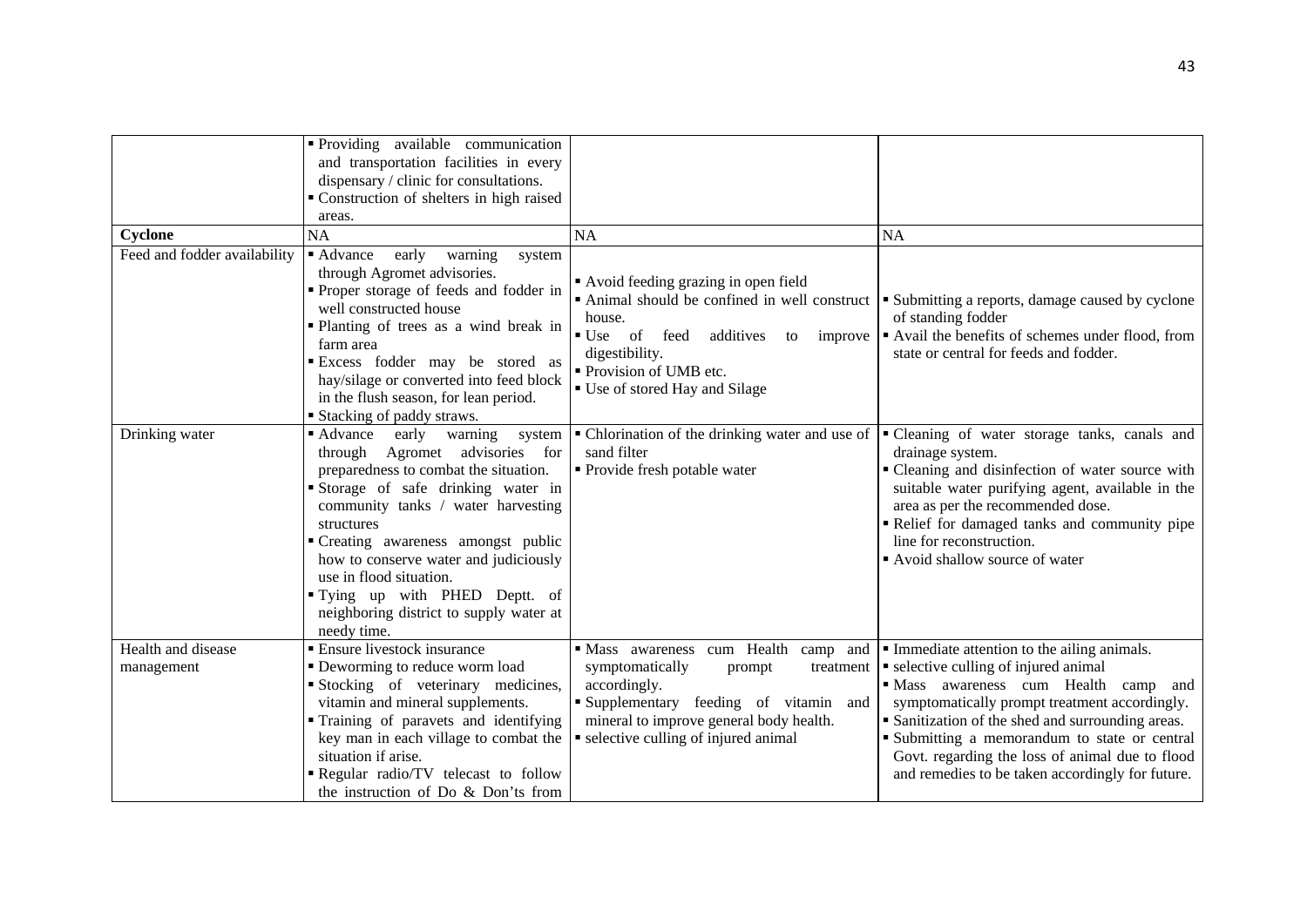|                                  | • Providing available communication                                                                                                                                                                                                                                                                                                                                                                               |                                                                                                                                                                                                                                  |                                                                                                                                                                                                                                                                                                                                                                                           |
|----------------------------------|-------------------------------------------------------------------------------------------------------------------------------------------------------------------------------------------------------------------------------------------------------------------------------------------------------------------------------------------------------------------------------------------------------------------|----------------------------------------------------------------------------------------------------------------------------------------------------------------------------------------------------------------------------------|-------------------------------------------------------------------------------------------------------------------------------------------------------------------------------------------------------------------------------------------------------------------------------------------------------------------------------------------------------------------------------------------|
|                                  | and transportation facilities in every                                                                                                                                                                                                                                                                                                                                                                            |                                                                                                                                                                                                                                  |                                                                                                                                                                                                                                                                                                                                                                                           |
|                                  | dispensary / clinic for consultations.                                                                                                                                                                                                                                                                                                                                                                            |                                                                                                                                                                                                                                  |                                                                                                                                                                                                                                                                                                                                                                                           |
|                                  | " Construction of shelters in high raised                                                                                                                                                                                                                                                                                                                                                                         |                                                                                                                                                                                                                                  |                                                                                                                                                                                                                                                                                                                                                                                           |
|                                  | areas.                                                                                                                                                                                                                                                                                                                                                                                                            |                                                                                                                                                                                                                                  |                                                                                                                                                                                                                                                                                                                                                                                           |
| Cyclone                          | <b>NA</b>                                                                                                                                                                                                                                                                                                                                                                                                         | <b>NA</b>                                                                                                                                                                                                                        | <b>NA</b>                                                                                                                                                                                                                                                                                                                                                                                 |
| Feed and fodder availability     | early<br>• Advance<br>warning<br>system<br>through Agromet advisories.<br>Proper storage of feeds and fodder in<br>well constructed house<br>• Planting of trees as a wind break in<br>farm area<br>Excess fodder may be stored as<br>hay/silage or converted into feed block<br>in the flush season, for lean period.<br><b>Stacking of paddy straws.</b>                                                        | Avoid feeding grazing in open field<br>Animal should be confined in well construct<br>house.<br>of feed<br>$\bullet$ Use<br>additives<br>to improve<br>digestibility.<br>Provision of UMB etc.<br>• Use of stored Hay and Silage | Submitting a reports, damage caused by cyclone<br>of standing fodder<br>Avail the benefits of schemes under flood, from<br>state or central for feeds and fodder.                                                                                                                                                                                                                         |
| Drinking water                   | • Advance<br>early<br>warning<br>system<br>through Agromet advisories for<br>preparedness to combat the situation.<br>Storage of safe drinking water in<br>community tanks / water harvesting<br>structures<br>• Creating awareness amongst public<br>how to conserve water and judiciously<br>use in flood situation.<br>"Tying up with PHED Deptt. of<br>neighboring district to supply water at<br>needy time. | • Chlorination of the drinking water and use of<br>sand filter<br>• Provide fresh potable water                                                                                                                                  | " Cleaning of water storage tanks, canals and<br>drainage system.<br>• Cleaning and disinfection of water source with<br>suitable water purifying agent, available in the<br>area as per the recommended dose.<br>Relief for damaged tanks and community pipe<br>line for reconstruction.<br>Avoid shallow source of water                                                                |
| Health and disease<br>management | <b>Ensure livestock insurance</b><br>• Deworming to reduce worm load<br>Stocking of veterinary medicines,<br>vitamin and mineral supplements.<br>" Training of paravets and identifying<br>key man in each village to combat the<br>situation if arise.<br>Regular radio/TV telecast to follow<br>the instruction of Do & Don'ts from                                                                             | Mass awareness cum Health camp and<br>symptomatically<br>prompt<br>treatment<br>accordingly.<br>Supplementary feeding of vitamin and<br>mineral to improve general body health.<br>• selective culling of injured animal         | • Immediate attention to the ailing animals.<br>• selective culling of injured animal<br>· Mass awareness cum Health camp and<br>symptomatically prompt treatment accordingly.<br>• Sanitization of the shed and surrounding areas.<br>Submitting a memorandum to state or central<br>Govt. regarding the loss of animal due to flood<br>and remedies to be taken accordingly for future. |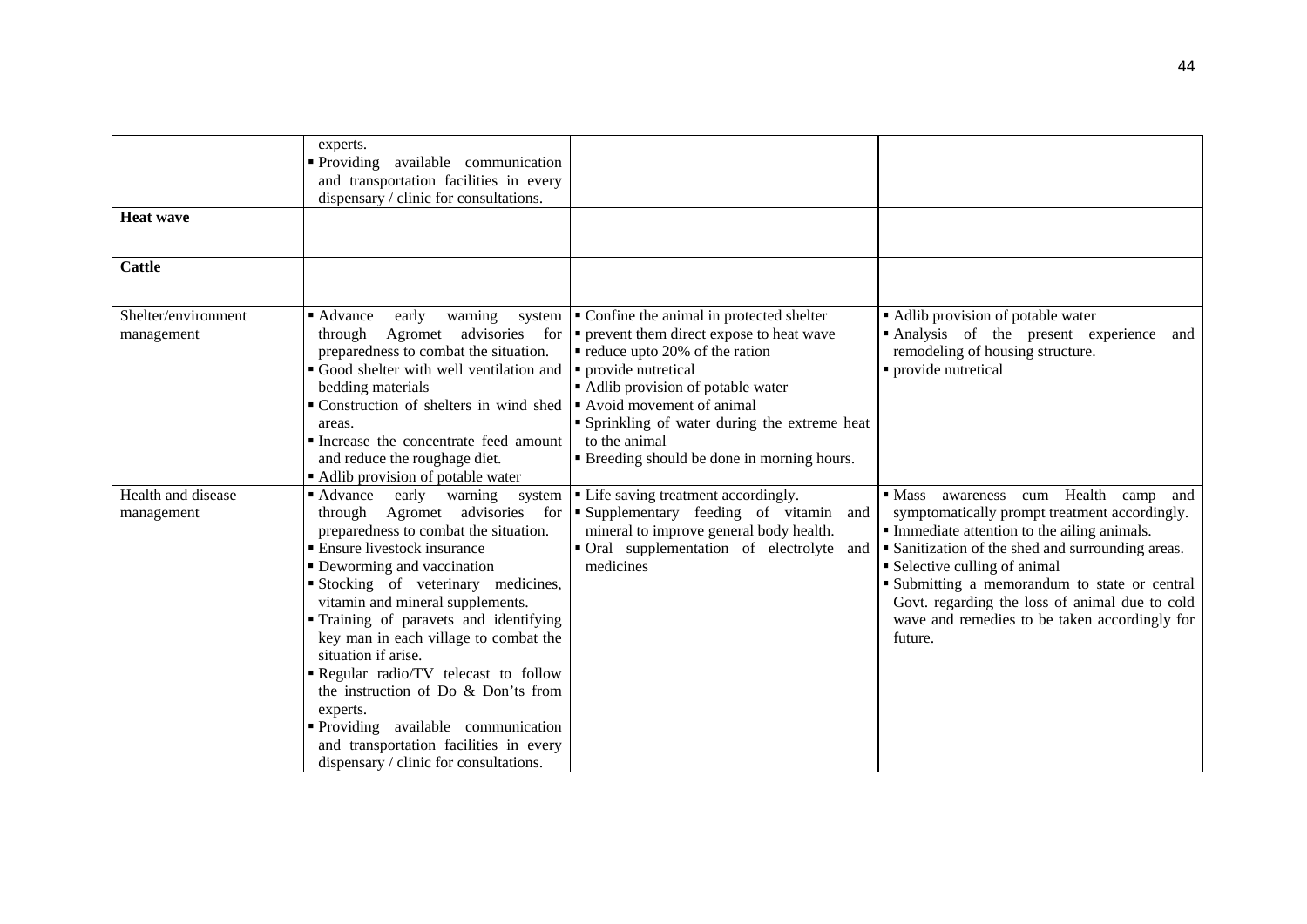|                     | experts.                                 |                                                                                    |                                                         |
|---------------------|------------------------------------------|------------------------------------------------------------------------------------|---------------------------------------------------------|
|                     | Providing available communication        |                                                                                    |                                                         |
|                     | and transportation facilities in every   |                                                                                    |                                                         |
|                     | dispensary / clinic for consultations.   |                                                                                    |                                                         |
| <b>Heat wave</b>    |                                          |                                                                                    |                                                         |
|                     |                                          |                                                                                    |                                                         |
| <b>Cattle</b>       |                                          |                                                                                    |                                                         |
|                     |                                          |                                                                                    |                                                         |
| Shelter/environment | ■ Advance<br>warning<br>early            | system $\vert \cdot \vert$ Confine the animal in protected shelter                 | • Adlib provision of potable water                      |
| management          | through                                  | Agromet advisories for $\vert \cdot \vert$ prevent them direct expose to heat wave | Analysis of the present experience<br>and               |
|                     | preparedness to combat the situation.    | • reduce upto 20% of the ration                                                    | remodeling of housing structure.                        |
|                     | • Good shelter with well ventilation and | • provide nutretical                                                               | • provide nutretical                                    |
|                     | bedding materials                        | • Adlib provision of potable water                                                 |                                                         |
|                     | • Construction of shelters in wind shed  | Avoid movement of animal                                                           |                                                         |
|                     | areas.                                   | • Sprinkling of water during the extreme heat                                      |                                                         |
|                     | Increase the concentrate feed amount     | to the animal                                                                      |                                                         |
|                     | and reduce the roughage diet.            | <b>Example 1</b> Breeding should be done in morning hours.                         |                                                         |
|                     | • Adlib provision of potable water       |                                                                                    |                                                         |
| Health and disease  | • Advance<br>early<br>warning<br>system  | • Life saving treatment accordingly.                                               | awareness cum Health camp<br>$\blacksquare$ Mass<br>and |
| management          |                                          | through Agromet advisories for <b>F</b> Supplementary feeding of vitamin and       | symptomatically prompt treatment accordingly.           |
|                     | preparedness to combat the situation.    | mineral to improve general body health.                                            | • Immediate attention to the ailing animals.            |
|                     | <b>Ensure livestock insurance</b>        | • Oral supplementation of electrolyte and                                          | • Sanitization of the shed and surrounding areas.       |
|                     | • Deworming and vaccination              | medicines                                                                          | • Selective culling of animal                           |
|                     | Stocking of veterinary medicines,        |                                                                                    | " Submitting a memorandum to state or central           |
|                     |                                          |                                                                                    |                                                         |
|                     | vitamin and mineral supplements.         |                                                                                    | Govt. regarding the loss of animal due to cold          |
|                     | Training of paravets and identifying     |                                                                                    | wave and remedies to be taken accordingly for           |
|                     | key man in each village to combat the    |                                                                                    | future.                                                 |
|                     | situation if arise.                      |                                                                                    |                                                         |
|                     | Regular radio/TV telecast to follow      |                                                                                    |                                                         |
|                     | the instruction of Do & Don'ts from      |                                                                                    |                                                         |
|                     | experts.                                 |                                                                                    |                                                         |
|                     | • Providing available communication      |                                                                                    |                                                         |
|                     | and transportation facilities in every   |                                                                                    |                                                         |
|                     | dispensary / clinic for consultations.   |                                                                                    |                                                         |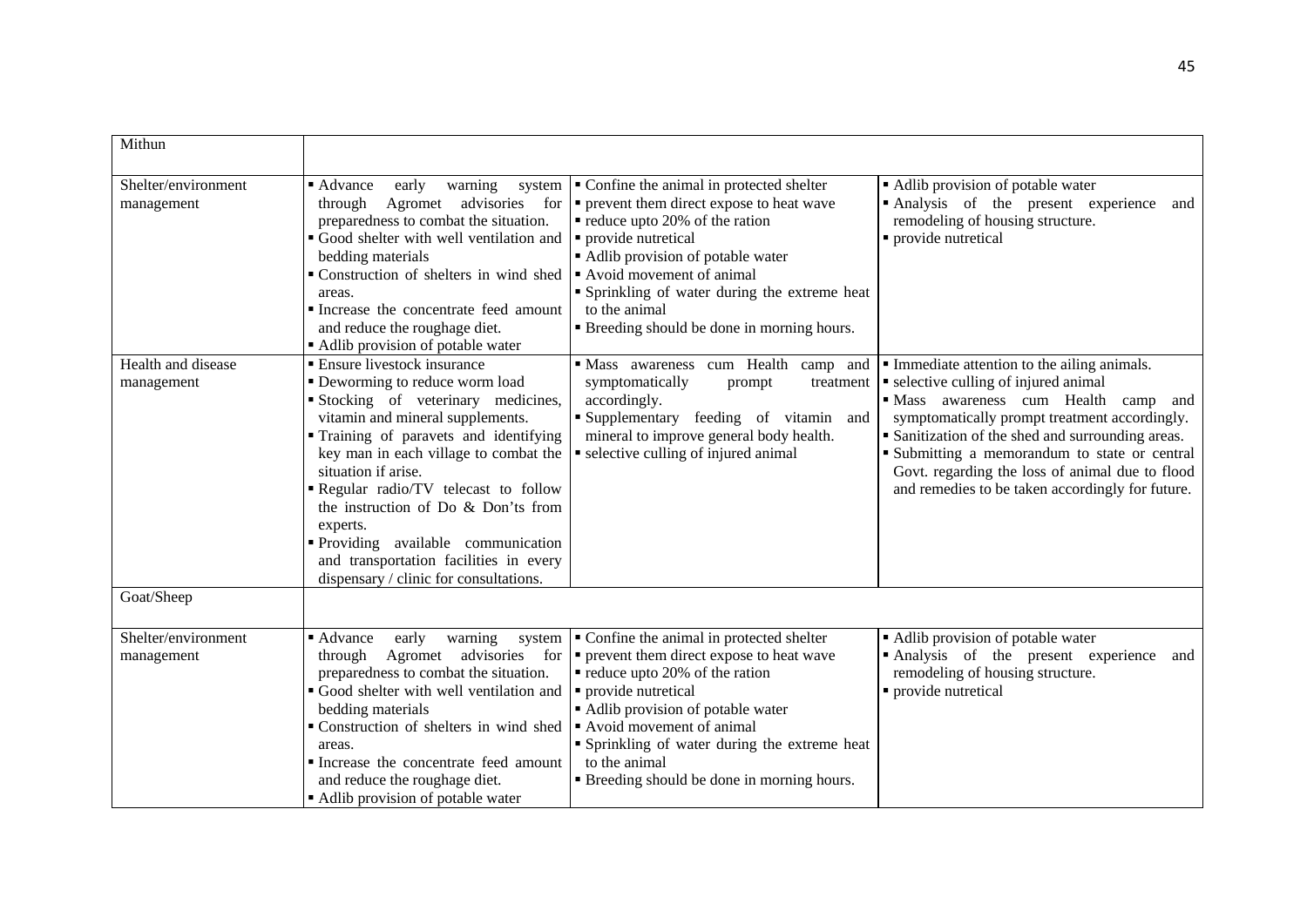| Mithun                            |                                                                                                                                                                                                                                                                                                                                                                                                                                                                       |                                                                                                                                                                                                                                                                                                                                                                           |                                                                                                                                                                                                                                                                                                                                                                                                 |
|-----------------------------------|-----------------------------------------------------------------------------------------------------------------------------------------------------------------------------------------------------------------------------------------------------------------------------------------------------------------------------------------------------------------------------------------------------------------------------------------------------------------------|---------------------------------------------------------------------------------------------------------------------------------------------------------------------------------------------------------------------------------------------------------------------------------------------------------------------------------------------------------------------------|-------------------------------------------------------------------------------------------------------------------------------------------------------------------------------------------------------------------------------------------------------------------------------------------------------------------------------------------------------------------------------------------------|
| Shelter/environment<br>management | ■ Advance<br>early<br>warning<br>system<br>advisories<br>through<br>Agromet<br>preparedness to combat the situation.<br>Good shelter with well ventilation and<br>bedding materials<br>• Construction of shelters in wind shed<br>areas.<br>Increase the concentrate feed amount<br>and reduce the roughage diet.<br>Adlib provision of potable water                                                                                                                 | • Confine the animal in protected shelter<br>for $\vert \cdot \vert$ prevent them direct expose to heat wave<br>• reduce upto 20% of the ration<br>• provide nutretical<br>• Adlib provision of potable water<br>Avoid movement of animal<br>• Sprinkling of water during the extreme heat<br>to the animal<br>" Breeding should be done in morning hours.                | • Adlib provision of potable water<br>Analysis of the present experience<br>and<br>remodeling of housing structure.<br>• provide nutretical                                                                                                                                                                                                                                                     |
| Health and disease<br>management  | • Ensure livestock insurance<br>· Deworming to reduce worm load<br>Stocking of veterinary medicines,<br>vitamin and mineral supplements.<br>• Training of paravets and identifying<br>key man in each village to combat the<br>situation if arise.<br>Regular radio/TV telecast to follow<br>the instruction of Do & Don'ts from<br>experts.<br>Providing available communication<br>and transportation facilities in every<br>dispensary / clinic for consultations. | · Mass awareness cum Health camp and<br>symptomatically<br>prompt<br>treatment<br>accordingly.<br>Supplementary feeding of vitamin and<br>mineral to improve general body health.<br>• selective culling of injured animal                                                                                                                                                | Immediate attention to the ailing animals.<br>• selective culling of injured animal<br>· Mass awareness cum Health<br>camp<br>and<br>symptomatically prompt treatment accordingly.<br>• Sanitization of the shed and surrounding areas.<br>• Submitting a memorandum to state or central<br>Govt. regarding the loss of animal due to flood<br>and remedies to be taken accordingly for future. |
| Goat/Sheep                        |                                                                                                                                                                                                                                                                                                                                                                                                                                                                       |                                                                                                                                                                                                                                                                                                                                                                           |                                                                                                                                                                                                                                                                                                                                                                                                 |
| Shelter/environment<br>management | ■ Advance<br>early<br>warning<br>system<br>advisories<br>through<br>Agromet<br>preparedness to combat the situation.<br>Good shelter with well ventilation and<br>bedding materials<br>Construction of shelters in wind shed<br>areas.<br>Increase the concentrate feed amount<br>and reduce the roughage diet.<br>Adlib provision of potable water                                                                                                                   | • Confine the animal in protected shelter<br>for $\vert \cdot \vert$ prevent them direct expose to heat wave<br>• reduce upto 20% of the ration<br>• provide nutretical<br>• Adlib provision of potable water<br>Avoid movement of animal<br>• Sprinkling of water during the extreme heat<br>to the animal<br><b>Example 1</b> Breeding should be done in morning hours. | • Adlib provision of potable water<br>Analysis of the present experience<br>and<br>remodeling of housing structure.<br>• provide nutretical                                                                                                                                                                                                                                                     |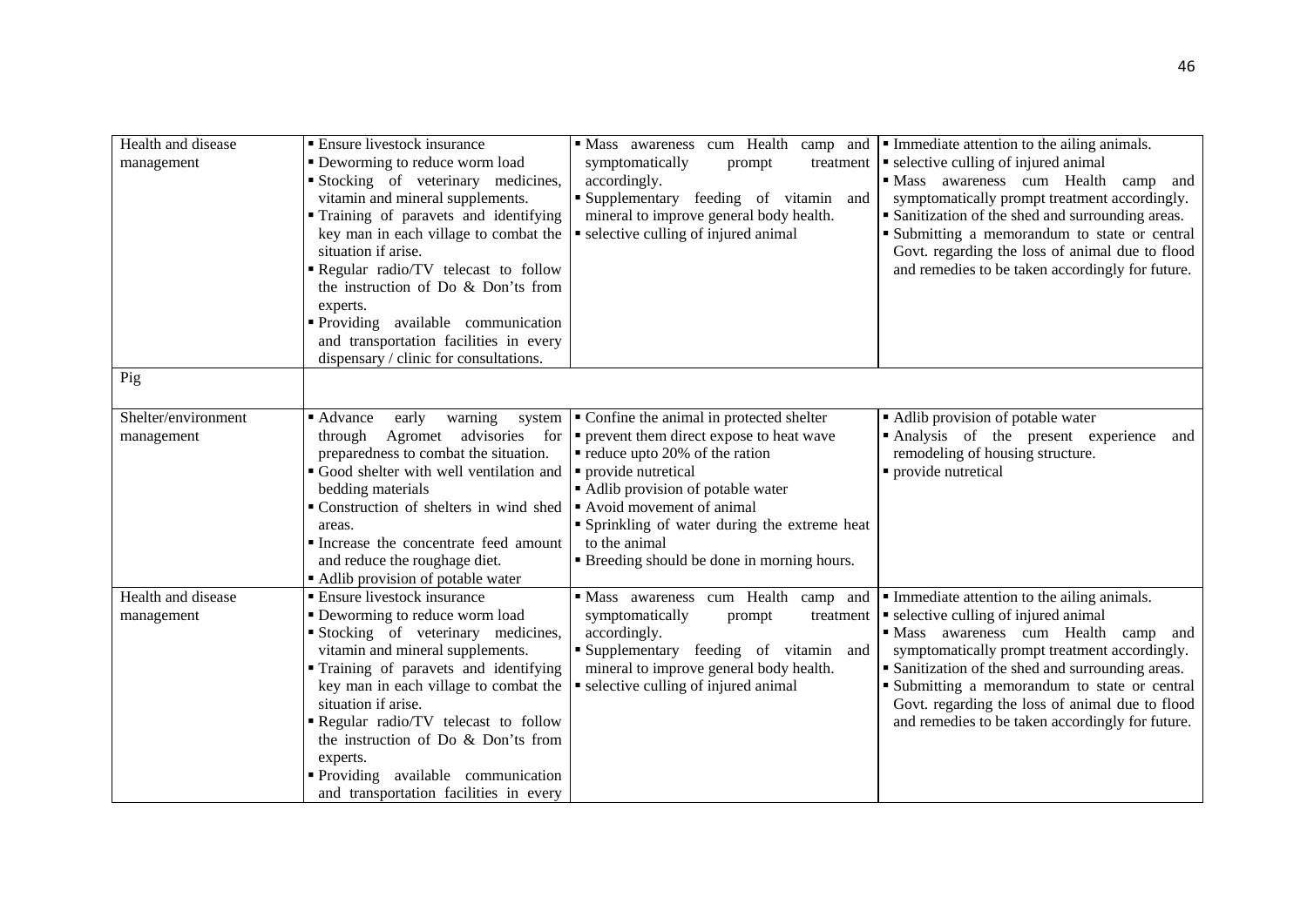| Health and disease<br>management  | <b>Ensure livestock insurance</b><br>• Deworming to reduce worm load<br>Stocking of veterinary medicines,<br>vitamin and mineral supplements.<br>Training of paravets and identifying<br>key man in each village to combat the<br>situation if arise.<br>Regular radio/TV telecast to follow<br>the instruction of Do & Don'ts from<br>experts.<br>Providing available communication<br>and transportation facilities in every<br>dispensary / clinic for consultations. | • Mass awareness cum Health camp and<br>symptomatically<br>treatment<br>prompt<br>accordingly.<br>Supplementary feeding of vitamin and<br>mineral to improve general body health.<br>selective culling of injured animal                                                                                                         | • Immediate attention to the ailing animals.<br>• selective culling of injured animal<br>· Mass awareness cum Health camp and<br>symptomatically prompt treatment accordingly.<br>• Sanitization of the shed and surrounding areas.<br>Submitting a memorandum to state or central<br>Govt. regarding the loss of animal due to flood<br>and remedies to be taken accordingly for future.   |
|-----------------------------------|--------------------------------------------------------------------------------------------------------------------------------------------------------------------------------------------------------------------------------------------------------------------------------------------------------------------------------------------------------------------------------------------------------------------------------------------------------------------------|----------------------------------------------------------------------------------------------------------------------------------------------------------------------------------------------------------------------------------------------------------------------------------------------------------------------------------|---------------------------------------------------------------------------------------------------------------------------------------------------------------------------------------------------------------------------------------------------------------------------------------------------------------------------------------------------------------------------------------------|
| Pig                               |                                                                                                                                                                                                                                                                                                                                                                                                                                                                          |                                                                                                                                                                                                                                                                                                                                  |                                                                                                                                                                                                                                                                                                                                                                                             |
| Shelter/environment<br>management | ■ Advance<br>early<br>warning<br>system<br>Agromet advisories<br>through<br>preparedness to combat the situation.<br>Good shelter with well ventilation and<br>bedding materials<br>• Construction of shelters in wind shed • Avoid movement of animal<br>areas.<br>Increase the concentrate feed amount<br>and reduce the roughage diet.<br>Adlib provision of potable water                                                                                            | • Confine the animal in protected shelter<br>for $\vert \bullet \vert$ prevent them direct expose to heat wave<br>• reduce upto 20% of the ration<br>• provide nutretical<br>• Adlib provision of potable water<br>• Sprinkling of water during the extreme heat<br>to the animal<br>• Breeding should be done in morning hours. | • Adlib provision of potable water<br>Analysis of the present experience<br>and<br>remodeling of housing structure.<br>• provide nutretical                                                                                                                                                                                                                                                 |
| Health and disease<br>management  | • Ensure livestock insurance<br>• Deworming to reduce worm load<br>Stocking of veterinary medicines,<br>vitamin and mineral supplements.<br>Training of paravets and identifying<br>key man in each village to combat the<br>situation if arise.<br>Regular radio/TV telecast to follow<br>the instruction of Do & Don'ts from<br>experts.<br>Providing available communication<br>and transportation facilities in every                                                | · Mass awareness cum Health camp and<br>symptomatically<br>prompt<br>treatment<br>accordingly.<br>Supplementary feeding of vitamin and<br>mineral to improve general body health.<br>• selective culling of injured animal                                                                                                       | • Immediate attention to the ailing animals.<br>• selective culling of injured animal<br>· Mass awareness cum Health camp and<br>symptomatically prompt treatment accordingly.<br>• Sanitization of the shed and surrounding areas.<br>• Submitting a memorandum to state or central<br>Govt. regarding the loss of animal due to flood<br>and remedies to be taken accordingly for future. |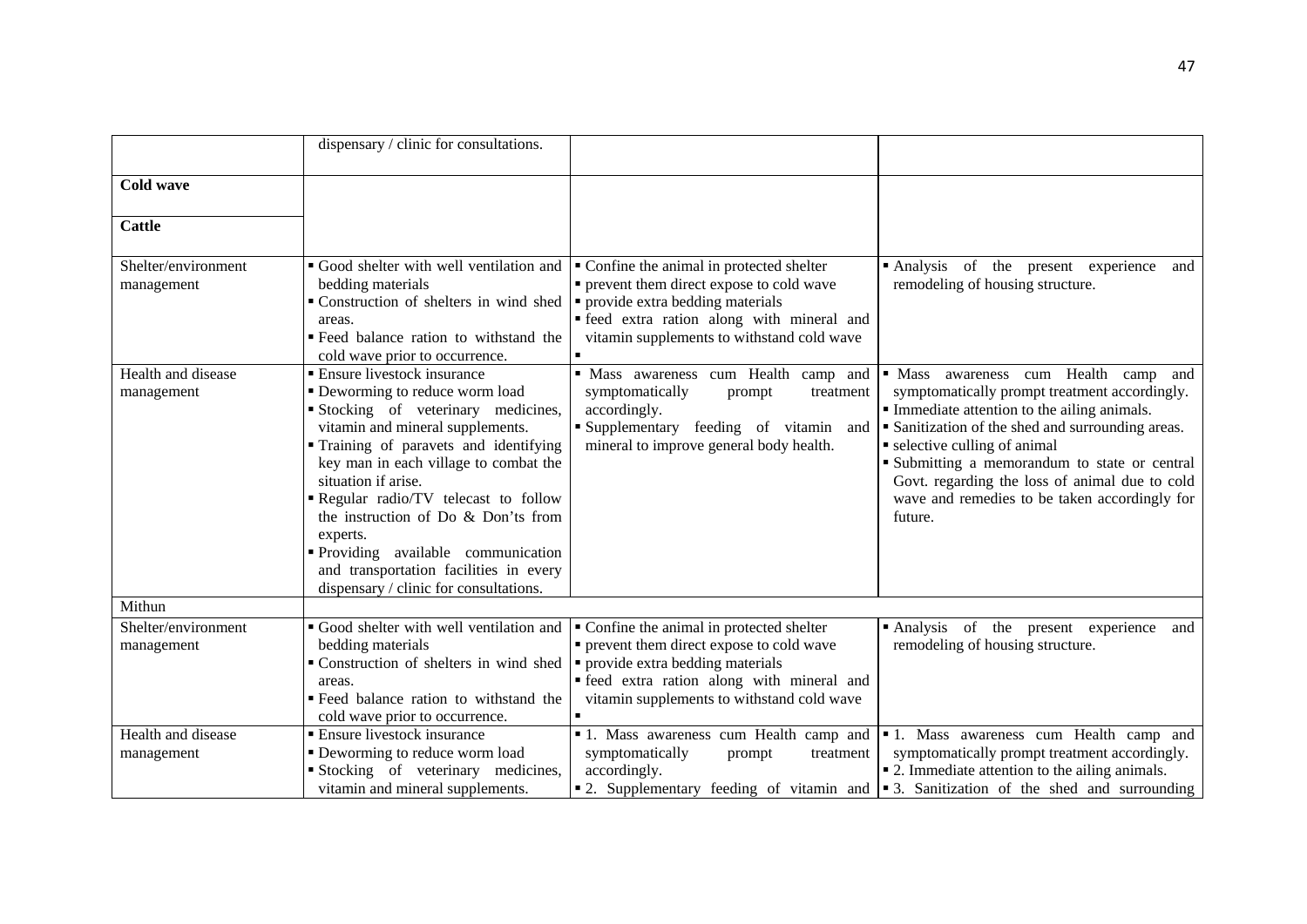|                                   | dispensary / clinic for consultations.                                                                                                                                                                                                                                                                                                                                                                                                                              |                                                                                                                                                                                                                         |                                                                                                                                                                                                                                                                                                                                                                                          |
|-----------------------------------|---------------------------------------------------------------------------------------------------------------------------------------------------------------------------------------------------------------------------------------------------------------------------------------------------------------------------------------------------------------------------------------------------------------------------------------------------------------------|-------------------------------------------------------------------------------------------------------------------------------------------------------------------------------------------------------------------------|------------------------------------------------------------------------------------------------------------------------------------------------------------------------------------------------------------------------------------------------------------------------------------------------------------------------------------------------------------------------------------------|
| <b>Cold wave</b>                  |                                                                                                                                                                                                                                                                                                                                                                                                                                                                     |                                                                                                                                                                                                                         |                                                                                                                                                                                                                                                                                                                                                                                          |
| <b>Cattle</b>                     |                                                                                                                                                                                                                                                                                                                                                                                                                                                                     |                                                                                                                                                                                                                         |                                                                                                                                                                                                                                                                                                                                                                                          |
| Shelter/environment<br>management | Good shelter with well ventilation and<br>bedding materials<br>Construction of shelters in wind shed<br>areas.<br>Example Feed balance ration to withstand the<br>cold wave prior to occurrence.                                                                                                                                                                                                                                                                    | • Confine the animal in protected shelter<br>• prevent them direct expose to cold wave<br>• provide extra bedding materials<br>· feed extra ration along with mineral and<br>vitamin supplements to withstand cold wave | Analysis of the present experience<br>and<br>remodeling of housing structure.                                                                                                                                                                                                                                                                                                            |
| Health and disease<br>management  | ■ Ensure livestock insurance<br>• Deworming to reduce worm load<br>Stocking of veterinary medicines,<br>vitamin and mineral supplements.<br>Training of paravets and identifying<br>key man in each village to combat the<br>situation if arise.<br>Regular radio/TV telecast to follow<br>the instruction of Do & Don'ts from<br>experts.<br>Providing available communication<br>and transportation facilities in every<br>dispensary / clinic for consultations. | · Mass awareness cum Health camp and<br>symptomatically<br>prompt<br>treatment<br>accordingly.<br>Supplementary feeding of vitamin and<br>mineral to improve general body health.                                       | · Mass awareness cum Health camp and<br>symptomatically prompt treatment accordingly.<br>• Immediate attention to the ailing animals.<br>• Sanitization of the shed and surrounding areas.<br>• selective culling of animal<br>Submitting a memorandum to state or central<br>Govt. regarding the loss of animal due to cold<br>wave and remedies to be taken accordingly for<br>future. |
| Mithun                            |                                                                                                                                                                                                                                                                                                                                                                                                                                                                     |                                                                                                                                                                                                                         |                                                                                                                                                                                                                                                                                                                                                                                          |
| Shelter/environment<br>management | Good shelter with well ventilation and<br>bedding materials<br>• Construction of shelters in wind shed<br>areas.<br>" Feed balance ration to withstand the<br>cold wave prior to occurrence.                                                                                                                                                                                                                                                                        | • Confine the animal in protected shelter<br>• prevent them direct expose to cold wave<br>• provide extra bedding materials<br>· feed extra ration along with mineral and<br>vitamin supplements to withstand cold wave | Analysis of the present experience and<br>remodeling of housing structure.                                                                                                                                                                                                                                                                                                               |
| Health and disease<br>management  | • Ensure livestock insurance<br>• Deworming to reduce worm load<br>Stocking of veterinary medicines,<br>vitamin and mineral supplements.                                                                                                                                                                                                                                                                                                                            | 1. Mass awareness cum Health camp and<br>symptomatically<br>prompt<br>treatment<br>accordingly.                                                                                                                         | • 1. Mass awareness cum Health camp and<br>symptomatically prompt treatment accordingly.<br>• 2. Immediate attention to the ailing animals.<br>• 2. Supplementary feeding of vitamin and • 3. Sanitization of the shed and surrounding                                                                                                                                                   |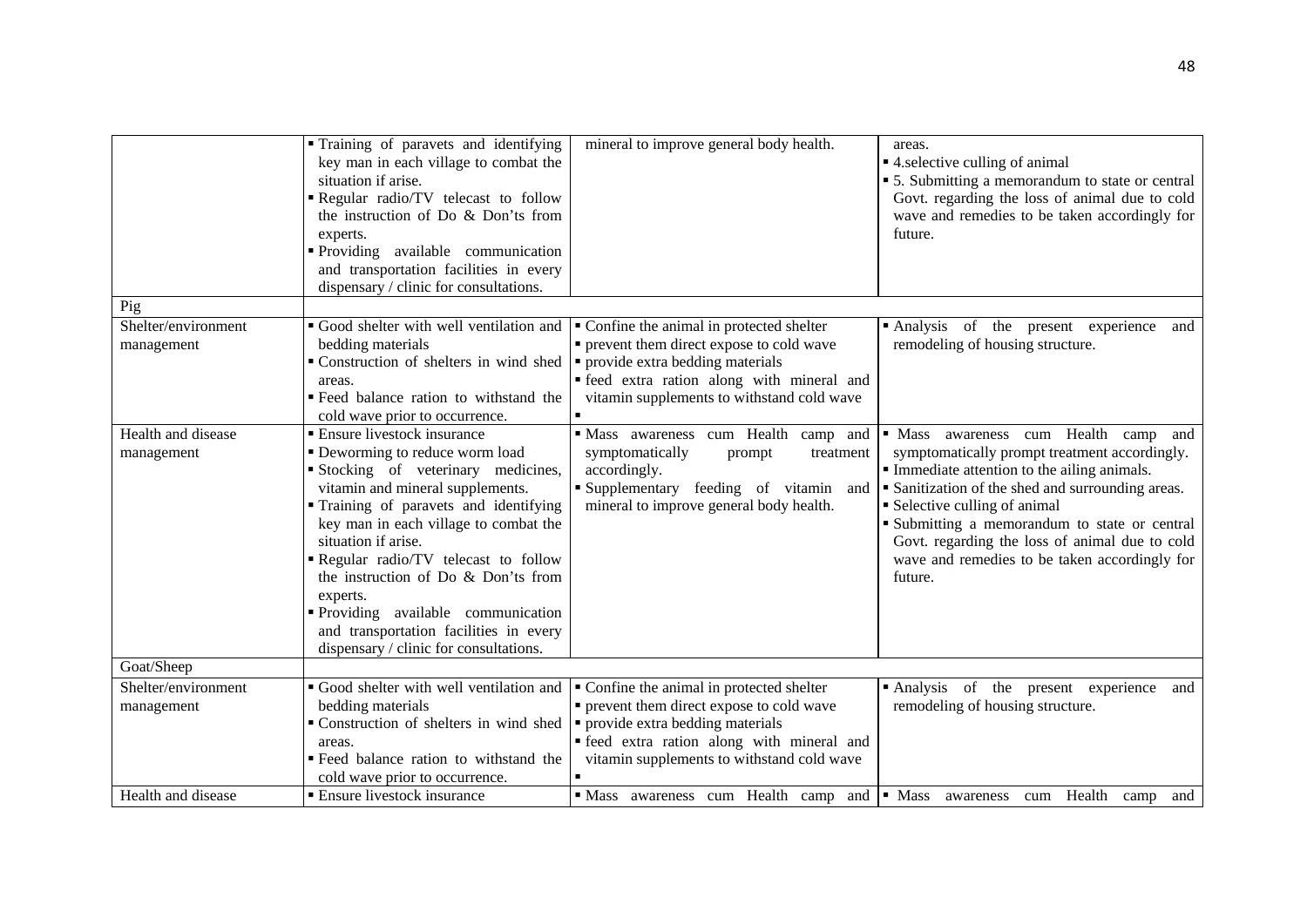|                                   | Training of paravets and identifying<br>key man in each village to combat the<br>situation if arise.<br>Regular radio/TV telecast to follow<br>the instruction of Do & Don'ts from<br>experts.<br>Providing available communication<br>and transportation facilities in every<br>dispensary / clinic for consultations.                                                                                                                                             | mineral to improve general body health.                                                                                                                                                                                 | areas.<br>• 4. selective culling of animal<br>• 5. Submitting a memorandum to state or central<br>Govt. regarding the loss of animal due to cold<br>wave and remedies to be taken accordingly for<br>future.                                                                                                                                                                                |
|-----------------------------------|---------------------------------------------------------------------------------------------------------------------------------------------------------------------------------------------------------------------------------------------------------------------------------------------------------------------------------------------------------------------------------------------------------------------------------------------------------------------|-------------------------------------------------------------------------------------------------------------------------------------------------------------------------------------------------------------------------|---------------------------------------------------------------------------------------------------------------------------------------------------------------------------------------------------------------------------------------------------------------------------------------------------------------------------------------------------------------------------------------------|
| Pig                               |                                                                                                                                                                                                                                                                                                                                                                                                                                                                     |                                                                                                                                                                                                                         |                                                                                                                                                                                                                                                                                                                                                                                             |
| Shelter/environment<br>management | Good shelter with well ventilation and<br>bedding materials<br>• Construction of shelters in wind shed<br>areas.<br>· Feed balance ration to withstand the<br>cold wave prior to occurrence.                                                                                                                                                                                                                                                                        | • Confine the animal in protected shelter<br>• prevent them direct expose to cold wave<br>• provide extra bedding materials<br>· feed extra ration along with mineral and<br>vitamin supplements to withstand cold wave | Analysis of the present experience<br>and<br>remodeling of housing structure.                                                                                                                                                                                                                                                                                                               |
| Health and disease<br>management  | • Ensure livestock insurance<br>• Deworming to reduce worm load<br>Stocking of veterinary medicines,<br>vitamin and mineral supplements.<br>Training of paravets and identifying<br>key man in each village to combat the<br>situation if arise.<br>Regular radio/TV telecast to follow<br>the instruction of Do & Don'ts from<br>experts.<br>Providing available communication<br>and transportation facilities in every<br>dispensary / clinic for consultations. | Mass awareness cum Health camp and<br>symptomatically<br>prompt<br>treatment<br>accordingly.<br>Supplementary feeding of vitamin and<br>mineral to improve general body health.                                         | • Mass awareness cum Health camp<br>and<br>symptomatically prompt treatment accordingly.<br>Immediate attention to the ailing animals.<br>• Sanitization of the shed and surrounding areas.<br>• Selective culling of animal<br>• Submitting a memorandum to state or central<br>Govt. regarding the loss of animal due to cold<br>wave and remedies to be taken accordingly for<br>future. |
| Goat/Sheep                        |                                                                                                                                                                                                                                                                                                                                                                                                                                                                     |                                                                                                                                                                                                                         |                                                                                                                                                                                                                                                                                                                                                                                             |
| Shelter/environment<br>management | Good shelter with well ventilation and<br>bedding materials<br>Construction of shelters in wind shed<br>areas.<br>· Feed balance ration to withstand the<br>cold wave prior to occurrence.                                                                                                                                                                                                                                                                          | • Confine the animal in protected shelter<br>• prevent them direct expose to cold wave<br>• provide extra bedding materials<br>· feed extra ration along with mineral and<br>vitamin supplements to withstand cold wave | Analysis of the present experience<br>and<br>remodeling of housing structure.                                                                                                                                                                                                                                                                                                               |
| Health and disease                | <b>Ensure livestock insurance</b>                                                                                                                                                                                                                                                                                                                                                                                                                                   | Mass awareness cum Health camp and   Mass awareness cum Health camp                                                                                                                                                     | and                                                                                                                                                                                                                                                                                                                                                                                         |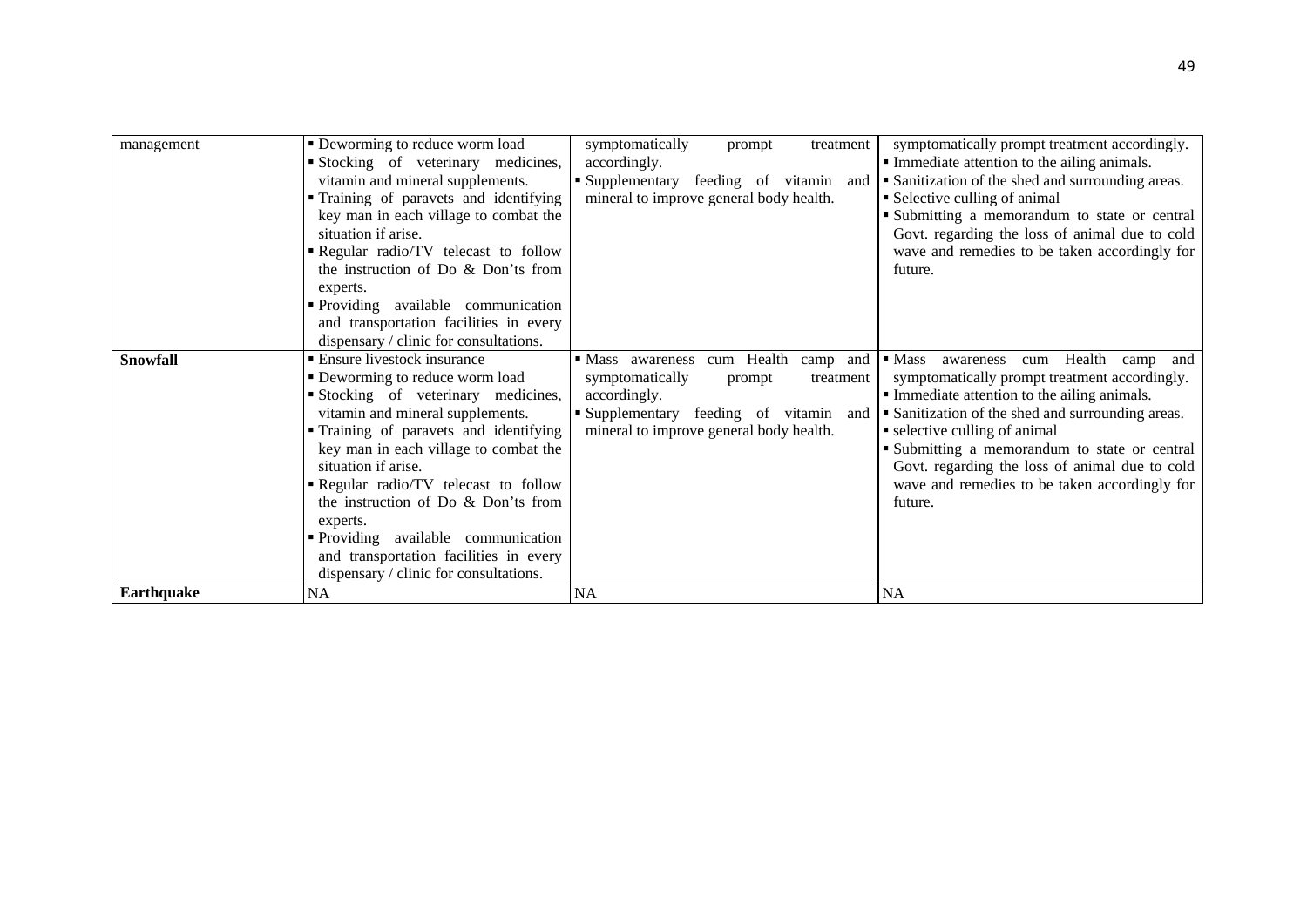| management        | • Deworming to reduce worm load        | symptomatically<br>treatment<br>prompt     | symptomatically prompt treatment accordingly.           |
|-------------------|----------------------------------------|--------------------------------------------|---------------------------------------------------------|
|                   | Stocking of veterinary medicines,      | accordingly.                               | • Immediate attention to the ailing animals.            |
|                   | vitamin and mineral supplements.       | ■ Supplementary<br>feeding of vitamin and  | • Sanitization of the shed and surrounding areas.       |
|                   | • Training of paravets and identifying | mineral to improve general body health.    | • Selective culling of animal                           |
|                   | key man in each village to combat the  |                                            | " Submitting a memorandum to state or central           |
|                   | situation if arise.                    |                                            | Govt. regarding the loss of animal due to cold          |
|                   | Regular radio/TV telecast to follow    |                                            | wave and remedies to be taken accordingly for           |
|                   | the instruction of Do & Don'ts from    |                                            | future.                                                 |
|                   | experts.                               |                                            |                                                         |
|                   | • Providing available communication    |                                            |                                                         |
|                   | and transportation facilities in every |                                            |                                                         |
|                   | dispensary / clinic for consultations. |                                            |                                                         |
| <b>Snowfall</b>   | <b>Ensure livestock insurance</b>      | cum Health<br>camp and<br>• Mass awareness | cum Health camp and<br>$\blacksquare$ Mass<br>awareness |
|                   | • Deworming to reduce worm load        | symptomatically<br>prompt<br>treatment     | symptomatically prompt treatment accordingly.           |
|                   | Stocking of veterinary medicines,      | accordingly.                               | • Immediate attention to the ailing animals.            |
|                   | vitamin and mineral supplements.       | Supplementary feeding of vitamin and       | • Sanitization of the shed and surrounding areas.       |
|                   | • Training of paravets and identifying | mineral to improve general body health.    | • selective culling of animal                           |
|                   | key man in each village to combat the  |                                            | • Submitting a memorandum to state or central           |
|                   | situation if arise.                    |                                            | Govt. regarding the loss of animal due to cold          |
|                   | Regular radio/TV telecast to follow    |                                            | wave and remedies to be taken accordingly for           |
|                   | the instruction of Do & Don'ts from    |                                            | future.                                                 |
|                   | experts.                               |                                            |                                                         |
|                   | • Providing available communication    |                                            |                                                         |
|                   | and transportation facilities in every |                                            |                                                         |
|                   | dispensary / clinic for consultations. |                                            |                                                         |
| <b>Earthquake</b> | NA                                     | <b>NA</b>                                  | <b>NA</b>                                               |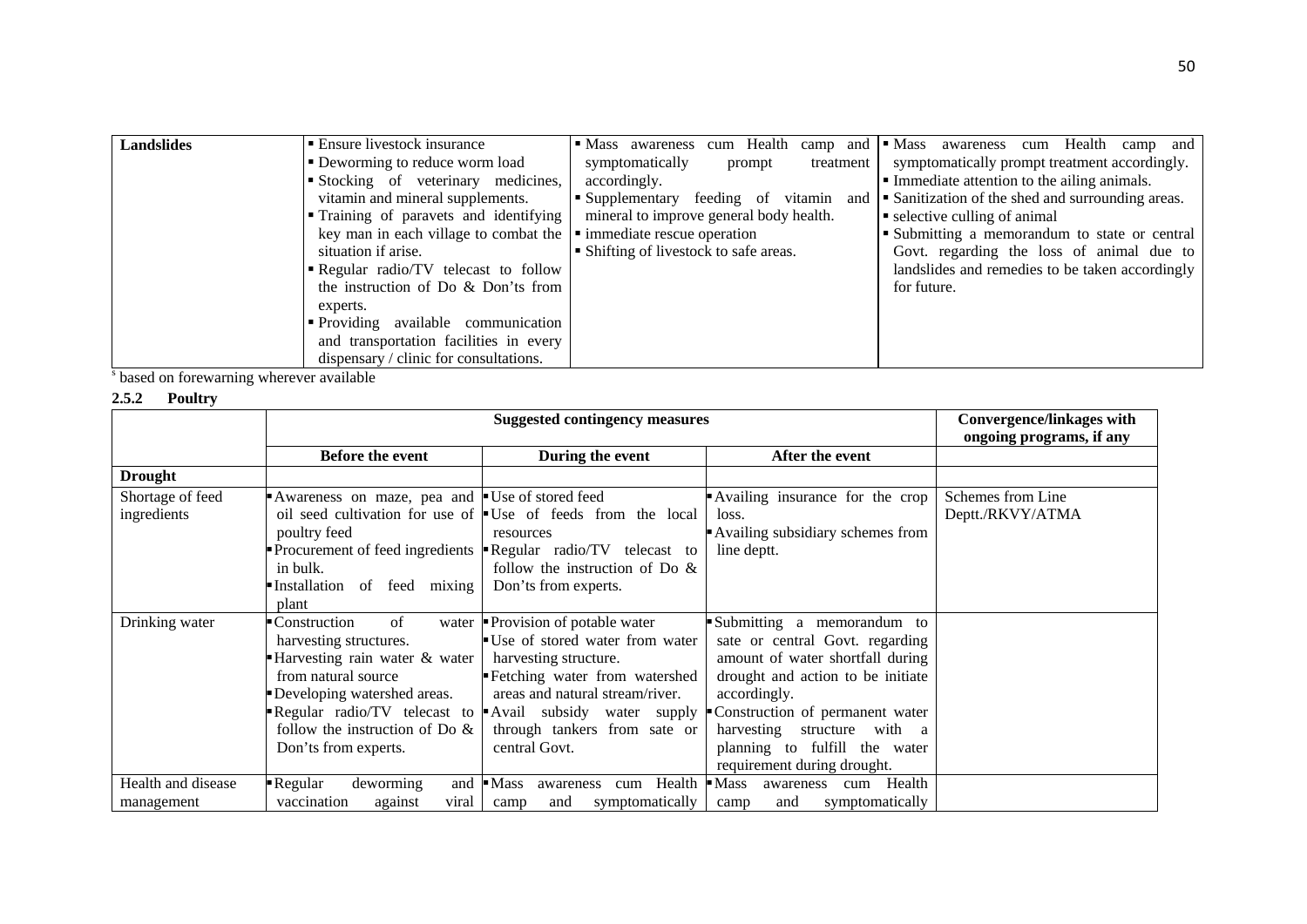| <b>Landslides</b> | ■ Ensure livestock insurance                                                         | cum Health camp and $\blacksquare$ Mass<br>• Mass awareness | cum Health camp and<br>awareness                           |
|-------------------|--------------------------------------------------------------------------------------|-------------------------------------------------------------|------------------------------------------------------------|
|                   | • Deworming to reduce worm load                                                      | symptomatically<br>treatment<br>prompt                      | symptomatically prompt treatment accordingly.              |
|                   | Stocking of veterinary medicines,                                                    | accordingly.                                                | Immediate attention to the ailing animals.                 |
|                   | vitamin and mineral supplements.                                                     | • Supplementary feeding of<br>vitamin                       | and <b>Sanitization</b> of the shed and surrounding areas. |
|                   | • Training of paravets and identifying                                               | mineral to improve general body health.                     | $\bullet$ selective culling of animal                      |
|                   | key man in each village to combat the $\vert \cdot \vert$ immediate rescue operation |                                                             | Submitting a memorandum to state or central                |
|                   | situation if arise.                                                                  | • Shifting of livestock to safe areas.                      | Govt. regarding the loss of animal due to                  |
|                   | Regular radio/TV telecast to follow                                                  |                                                             | landslides and remedies to be taken accordingly            |
|                   | the instruction of Do & Don'ts from                                                  |                                                             | for future.                                                |
|                   | experts.                                                                             |                                                             |                                                            |
|                   | • Providing available communication                                                  |                                                             |                                                            |
|                   | and transportation facilities in every                                               |                                                             |                                                            |
|                   | dispensary / clinic for consultations.                                               |                                                             |                                                            |

s based on forewarning wherever available

## **2.5.2 Poultry**

|                    | <b>Suggested contingency measures</b>         |                                                                             |                                       | <b>Convergence/linkages with</b><br>ongoing programs, if any |
|--------------------|-----------------------------------------------|-----------------------------------------------------------------------------|---------------------------------------|--------------------------------------------------------------|
|                    | <b>Before the event</b>                       | During the event                                                            | After the event                       |                                                              |
| <b>Drought</b>     |                                               |                                                                             |                                       |                                                              |
| Shortage of feed   | Awareness on maze, pea and Use of stored feed |                                                                             | Availing insurance for the crop       | Schemes from Line                                            |
| ingredients        |                                               | oil seed cultivation for use of $\bullet$ Use of feeds from the local       | loss.                                 | Deptt./RKVY/ATMA                                             |
|                    | poultry feed                                  | resources                                                                   | Availing subsidiary schemes from      |                                                              |
|                    |                                               | Procurement of feed ingredients $\blacksquare$ Regular radio/TV telecast to | line deptt.                           |                                                              |
|                    | in bulk.                                      | follow the instruction of Do $\&$                                           |                                       |                                                              |
|                    | Installation<br>of feed mixing                | Don'ts from experts.                                                        |                                       |                                                              |
|                    | plant                                         |                                                                             |                                       |                                                              |
| Drinking water     | Construction<br>of                            | water $\blacksquare$ Provision of potable water                             | Submitting a memorandum to            |                                                              |
|                    | harvesting structures.                        | ■ Use of stored water from water                                            | sate or central Govt. regarding       |                                                              |
|                    | Harvesting rain water & water                 | harvesting structure.                                                       | amount of water shortfall during      |                                                              |
|                    | from natural source                           | Fetching water from watershed                                               | drought and action to be initiate     |                                                              |
|                    | Developing watershed areas.                   | areas and natural stream/river.                                             | accordingly.                          |                                                              |
|                    |                                               | Regular radio/TV telecast to Avail subsidy water supply                     | Construction of permanent water       |                                                              |
|                    | follow the instruction of Do $\&$             | through tankers from sate or                                                | harvesting structure with a           |                                                              |
|                    | Don'ts from experts.                          | central Govt.                                                               | planning to fulfill the water         |                                                              |
|                    |                                               |                                                                             | requirement during drought.           |                                                              |
| Health and disease | Regular<br>deworming<br>and                   | Health<br>$\blacksquare$ Mass<br>awareness<br>cum                           | $-Mass$<br>Health<br>awareness<br>cum |                                                              |
| management         | vaccination<br>against<br>viral               | symptomatically<br>and<br>camp                                              | symptomatically<br>and<br>camp        |                                                              |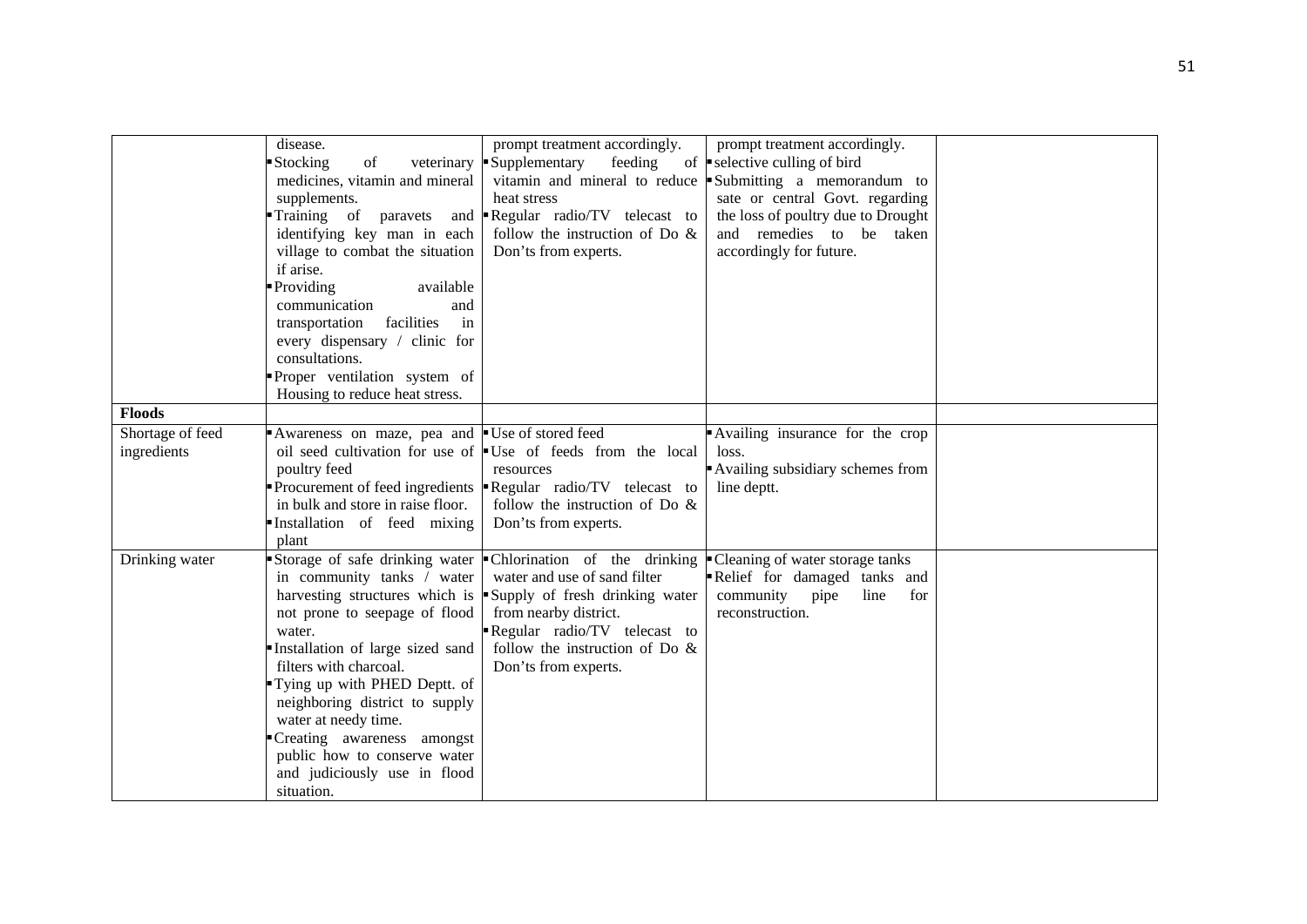|                  | disease.                                      | prompt treatment accordingly.                                               | prompt treatment accordingly.                                      |  |
|------------------|-----------------------------------------------|-----------------------------------------------------------------------------|--------------------------------------------------------------------|--|
|                  | Stocking<br>of<br>veterinary                  | Supplementary<br>feeding                                                    | of $\blacktriangleright$ selective culling of bird                 |  |
|                  | medicines, vitamin and mineral                |                                                                             | vitamin and mineral to reduce $\bullet$ Submitting a memorandum to |  |
|                  | supplements.                                  | heat stress                                                                 | sate or central Govt. regarding                                    |  |
|                  | Training of<br>paravets<br>and                | Regular radio/TV telecast to                                                | the loss of poultry due to Drought                                 |  |
|                  | identifying key man in each                   | follow the instruction of Do $\&$                                           | and remedies to be taken                                           |  |
|                  | village to combat the situation               | Don'ts from experts.                                                        | accordingly for future.                                            |  |
|                  | if arise.                                     |                                                                             |                                                                    |  |
|                  | Providing<br>available                        |                                                                             |                                                                    |  |
|                  | communication<br>and                          |                                                                             |                                                                    |  |
|                  | facilities<br>in<br>transportation            |                                                                             |                                                                    |  |
|                  | every dispensary / clinic for                 |                                                                             |                                                                    |  |
|                  | consultations.                                |                                                                             |                                                                    |  |
|                  | Proper ventilation system of                  |                                                                             |                                                                    |  |
|                  | Housing to reduce heat stress.                |                                                                             |                                                                    |  |
| <b>Floods</b>    |                                               |                                                                             |                                                                    |  |
| Shortage of feed | Awareness on maze, pea and Use of stored feed |                                                                             | Availing insurance for the crop                                    |  |
| ingredients      |                                               | oil seed cultivation for use of $\blacksquare$ Use of feeds from the local  | loss.                                                              |  |
|                  | poultry feed                                  | resources                                                                   | Availing subsidiary schemes from                                   |  |
|                  |                                               | Procurement of feed ingredients $\blacksquare$ Regular radio/TV telecast to | line deptt.                                                        |  |
|                  | in bulk and store in raise floor.             | follow the instruction of Do $\&$                                           |                                                                    |  |
|                  | Installation of feed mixing                   | Don'ts from experts.                                                        |                                                                    |  |
|                  | plant                                         |                                                                             |                                                                    |  |
| Drinking water   | Storage of safe drinking water                | • Chlorination of the drinking $\bullet$ Cleaning of water storage tanks    |                                                                    |  |
|                  | in community tanks / water                    | water and use of sand filter                                                | Relief for damaged tanks and                                       |  |
|                  | harvesting structures which is                | Supply of fresh drinking water                                              | community<br>pipe<br>line<br>for                                   |  |
|                  | not prone to seepage of flood                 | from nearby district.                                                       | reconstruction.                                                    |  |
|                  | water.                                        | Regular radio/TV telecast to                                                |                                                                    |  |
|                  | Installation of large sized sand              | follow the instruction of Do $\&$                                           |                                                                    |  |
|                  | filters with charcoal.                        | Don'ts from experts.                                                        |                                                                    |  |
|                  | Tying up with PHED Deptt. of                  |                                                                             |                                                                    |  |
|                  | neighboring district to supply                |                                                                             |                                                                    |  |
|                  | water at needy time.                          |                                                                             |                                                                    |  |
|                  | Creating awareness amongst                    |                                                                             |                                                                    |  |
|                  | public how to conserve water                  |                                                                             |                                                                    |  |
|                  | and judiciously use in flood                  |                                                                             |                                                                    |  |
|                  | situation.                                    |                                                                             |                                                                    |  |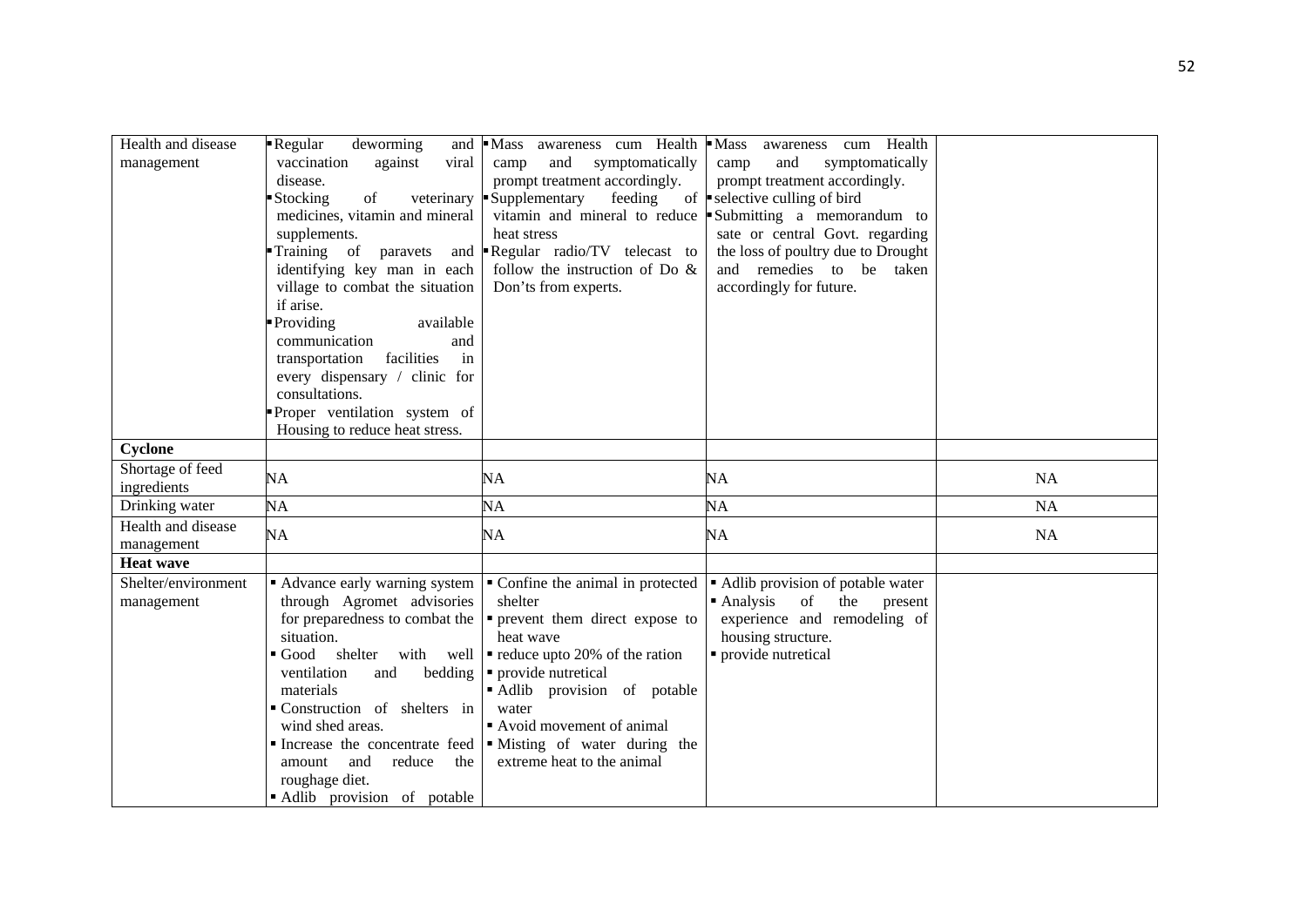| Health and disease<br>management  | deworming<br>- Regular<br>and<br>vaccination<br>viral<br>against<br>disease.<br>Stocking<br>of<br>veterinary | Mass awareness cum Health<br>symptomatically<br>and<br>camp<br>prompt treatment accordingly.<br>Supplementary<br>feeding | $\blacksquare$ Mass<br>cum Health<br>awareness<br>symptomatically<br>camp<br>and<br>prompt treatment accordingly.<br>of $\blacksquare$ selective culling of bird |           |
|-----------------------------------|--------------------------------------------------------------------------------------------------------------|--------------------------------------------------------------------------------------------------------------------------|------------------------------------------------------------------------------------------------------------------------------------------------------------------|-----------|
|                                   | medicines, vitamin and mineral<br>supplements.                                                               | vitamin and mineral to reduce<br>heat stress                                                                             | Submitting a memorandum to<br>sate or central Govt. regarding                                                                                                    |           |
|                                   | Training of paravets<br>and<br>identifying key man in each<br>village to combat the situation<br>if arise.   | Regular radio/TV telecast to<br>follow the instruction of Do $\&$<br>Don'ts from experts.                                | the loss of poultry due to Drought<br>and remedies to be taken<br>accordingly for future.                                                                        |           |
|                                   | Providing<br>available                                                                                       |                                                                                                                          |                                                                                                                                                                  |           |
|                                   | communication<br>and<br>facilities<br>in                                                                     |                                                                                                                          |                                                                                                                                                                  |           |
|                                   | transportation<br>every dispensary / clinic for                                                              |                                                                                                                          |                                                                                                                                                                  |           |
|                                   | consultations.                                                                                               |                                                                                                                          |                                                                                                                                                                  |           |
|                                   | Proper ventilation system of<br>Housing to reduce heat stress.                                               |                                                                                                                          |                                                                                                                                                                  |           |
| Cyclone                           |                                                                                                              |                                                                                                                          |                                                                                                                                                                  |           |
| Shortage of feed<br>ingredients   | <b>NA</b>                                                                                                    | NA                                                                                                                       | <b>NA</b>                                                                                                                                                        | <b>NA</b> |
| Drinking water                    | <b>NA</b>                                                                                                    | NA                                                                                                                       | NA                                                                                                                                                               | <b>NA</b> |
| Health and disease<br>management  | <b>NA</b>                                                                                                    | NA                                                                                                                       | <b>NA</b>                                                                                                                                                        | <b>NA</b> |
| <b>Heat wave</b>                  |                                                                                                              |                                                                                                                          |                                                                                                                                                                  |           |
| Shelter/environment<br>management | Advance early warning system<br>through Agromet advisories                                                   | • Confine the animal in protected<br>shelter                                                                             | • Adlib provision of potable water<br>$\blacksquare$ Analysis<br>of<br>the<br>present                                                                            |           |
|                                   | for preparedness to combat the<br>situation.                                                                 | • prevent them direct expose to<br>heat wave                                                                             | experience and remodeling of<br>housing structure.                                                                                                               |           |
|                                   | Good shelter<br>with well                                                                                    | $\blacksquare$ reduce upto 20% of the ration                                                                             | • provide nutretical                                                                                                                                             |           |
|                                   | ventilation<br>bedding<br>and<br>materials                                                                   | • provide nutretical<br>Adlib provision of potable                                                                       |                                                                                                                                                                  |           |
|                                   | Construction of shelters in<br>wind shed areas.                                                              | water<br>Avoid movement of animal                                                                                        |                                                                                                                                                                  |           |
|                                   |                                                                                                              | Increase the concentrate feed   Misting of water during the                                                              |                                                                                                                                                                  |           |
|                                   | and<br>reduce<br>amount<br>the                                                                               | extreme heat to the animal                                                                                               |                                                                                                                                                                  |           |
|                                   | roughage diet.<br>Adlib provision of potable                                                                 |                                                                                                                          |                                                                                                                                                                  |           |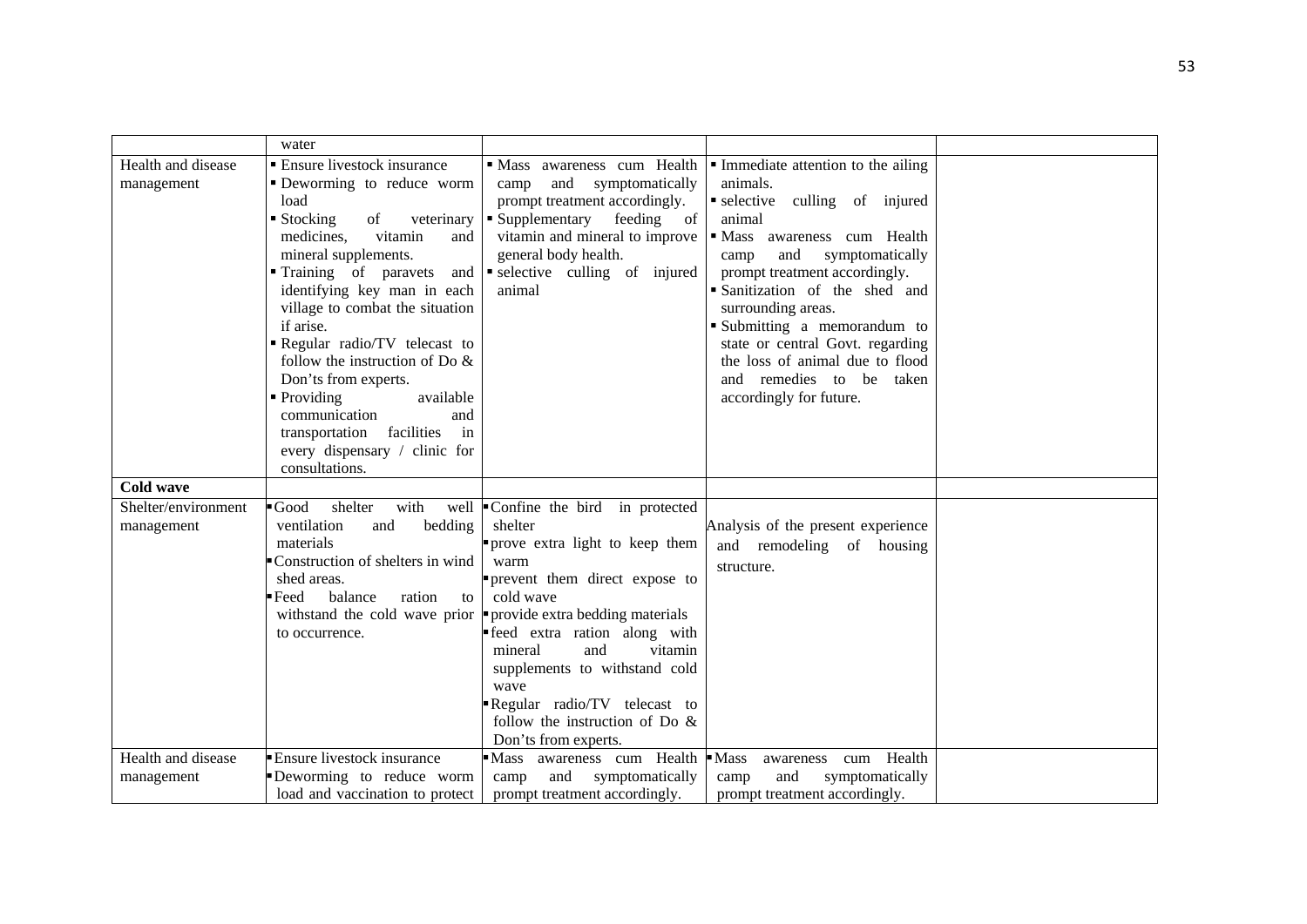|                                   | water                                                                                                                                                                                                                                                                                                                                                                                                                                                                                                                                  |                                                                                                                                                                                                                                                                                                                                                                                                                                  |                                                                                                                                                                                                                                                                                                                                                                                                                                                             |  |
|-----------------------------------|----------------------------------------------------------------------------------------------------------------------------------------------------------------------------------------------------------------------------------------------------------------------------------------------------------------------------------------------------------------------------------------------------------------------------------------------------------------------------------------------------------------------------------------|----------------------------------------------------------------------------------------------------------------------------------------------------------------------------------------------------------------------------------------------------------------------------------------------------------------------------------------------------------------------------------------------------------------------------------|-------------------------------------------------------------------------------------------------------------------------------------------------------------------------------------------------------------------------------------------------------------------------------------------------------------------------------------------------------------------------------------------------------------------------------------------------------------|--|
| Health and disease<br>management  | <b>Ensure livestock insurance</b><br>• Deworming to reduce worm<br>load<br>$\blacksquare$ Stocking<br>of<br>veterinary<br>medicines.<br>vitamin<br>and<br>mineral supplements.<br>Training of paravets<br>and<br>identifying key man in each<br>village to combat the situation<br>if arise.<br>Regular radio/TV telecast to<br>follow the instruction of Do $\&$<br>Don'ts from experts.<br>• Providing<br>available<br>communication<br>and<br>transportation<br>facilities<br>in<br>every dispensary / clinic for<br>consultations. | · Mass awareness cum Health<br>and symptomatically<br>camp<br>prompt treatment accordingly.<br>• Supplementary<br>feeding of<br>general body health.<br>selective culling of injured<br>animal                                                                                                                                                                                                                                   | $\blacksquare$ Immediate attention to the ailing<br>animals.<br>selective culling of injured<br>animal<br>vitamin and mineral to improve   Mass awareness cum Health<br>symptomatically<br>and<br>camp<br>prompt treatment accordingly.<br>· Sanitization of the shed and<br>surrounding areas.<br>Submitting a memorandum to<br>state or central Govt. regarding<br>the loss of animal due to flood<br>and remedies to be taken<br>accordingly for future. |  |
| <b>Cold wave</b>                  |                                                                                                                                                                                                                                                                                                                                                                                                                                                                                                                                        |                                                                                                                                                                                                                                                                                                                                                                                                                                  |                                                                                                                                                                                                                                                                                                                                                                                                                                                             |  |
| Shelter/environment<br>management | $\blacksquare$ Good<br>shelter<br>with<br>ventilation<br>bedding<br>and<br>materials<br>Construction of shelters in wind<br>shed areas.<br>$\blacksquare$ Feed<br>balance<br>ration<br>to<br>to occurrence.                                                                                                                                                                                                                                                                                                                            | well Confine the bird in protected<br>shelter<br>prove extra light to keep them<br>warm<br>prevent them direct expose to<br>cold wave<br>with stand the cold wave prior $\blacktriangleright$ provide extra bedding materials<br>feed extra ration along with<br>and<br>vitamin<br>mineral<br>supplements to withstand cold<br>wave<br>Regular radio/TV telecast to<br>follow the instruction of Do $\&$<br>Don'ts from experts. | Analysis of the present experience<br>and remodeling of housing<br>structure.                                                                                                                                                                                                                                                                                                                                                                               |  |
| Health and disease<br>management  | Ensure livestock insurance<br>Deworming to reduce worm<br>load and vaccination to protect                                                                                                                                                                                                                                                                                                                                                                                                                                              | Mass awareness cum Health<br>and<br>camp<br>symptomatically<br>prompt treatment accordingly.                                                                                                                                                                                                                                                                                                                                     | $-Mass$<br>Health<br>awareness<br>cum<br>and<br>symptomatically<br>camp<br>prompt treatment accordingly.                                                                                                                                                                                                                                                                                                                                                    |  |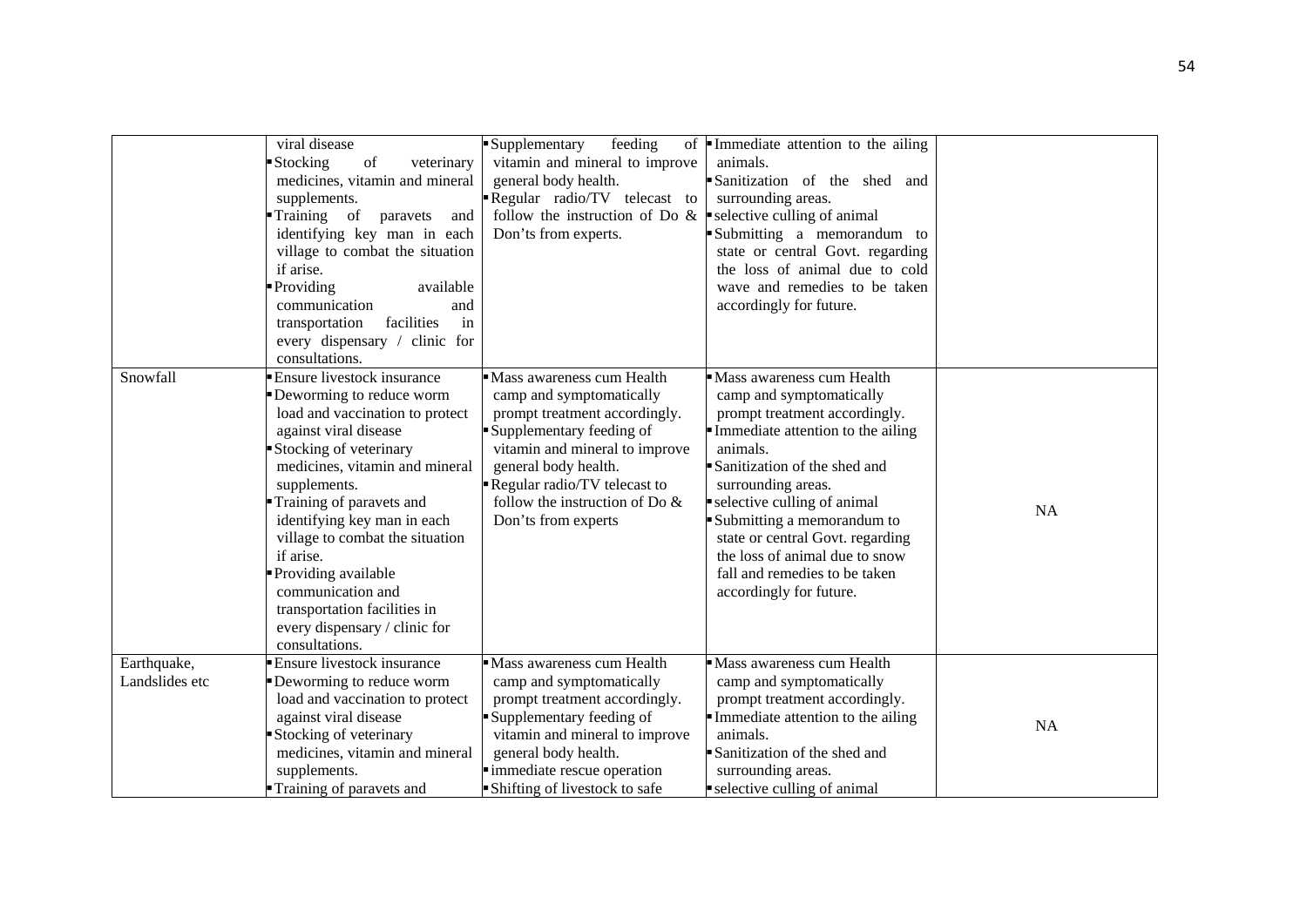|                               | viral disease<br>Stocking<br>of<br>veterinary<br>medicines, vitamin and mineral<br>supplements.<br>Training of<br>paravets<br>and<br>identifying key man in each<br>village to combat the situation<br>if arise.<br>Providing<br>available<br>communication<br>and<br>facilities<br>in<br>transportation<br>every dispensary / clinic for<br>consultations.                                                                                     | Supplementary<br>feeding<br>of<br>vitamin and mineral to improve<br>general body health.<br>Regular radio/TV telecast to<br>follow the instruction of Do $\&$   selective culling of animal<br>Don'ts from experts.                                                      | Immediate attention to the ailing<br>animals.<br>Sanitization of the shed and<br>surrounding areas.<br>Submitting a memorandum to<br>state or central Govt. regarding<br>the loss of animal due to cold<br>wave and remedies to be taken<br>accordingly for future.                                                                                                                          |           |
|-------------------------------|-------------------------------------------------------------------------------------------------------------------------------------------------------------------------------------------------------------------------------------------------------------------------------------------------------------------------------------------------------------------------------------------------------------------------------------------------|--------------------------------------------------------------------------------------------------------------------------------------------------------------------------------------------------------------------------------------------------------------------------|----------------------------------------------------------------------------------------------------------------------------------------------------------------------------------------------------------------------------------------------------------------------------------------------------------------------------------------------------------------------------------------------|-----------|
| Snowfall                      | <b>Ensure livestock insurance</b><br>Deworming to reduce worm<br>load and vaccination to protect<br>against viral disease<br>Stocking of veterinary<br>medicines, vitamin and mineral<br>supplements.<br>Training of paravets and<br>identifying key man in each<br>village to combat the situation<br>if arise.<br>Providing available<br>communication and<br>transportation facilities in<br>every dispensary / clinic for<br>consultations. | Mass awareness cum Health<br>camp and symptomatically<br>prompt treatment accordingly.<br>Supplementary feeding of<br>vitamin and mineral to improve<br>general body health.<br>Regular radio/TV telecast to<br>follow the instruction of Do $\&$<br>Don'ts from experts | Mass awareness cum Health<br>camp and symptomatically<br>prompt treatment accordingly.<br>Immediate attention to the ailing<br>animals.<br>Sanitization of the shed and<br>surrounding areas.<br>selective culling of animal<br>Submitting a memorandum to<br>state or central Govt. regarding<br>the loss of animal due to snow<br>fall and remedies to be taken<br>accordingly for future. | <b>NA</b> |
| Earthquake,<br>Landslides etc | <b>Ensure livestock insurance</b><br>Deworming to reduce worm<br>load and vaccination to protect<br>against viral disease<br>Stocking of veterinary<br>medicines, vitamin and mineral<br>supplements.<br>Training of paravets and                                                                                                                                                                                                               | Mass awareness cum Health<br>camp and symptomatically<br>prompt treatment accordingly.<br>Supplementary feeding of<br>vitamin and mineral to improve<br>general body health.<br>· immediate rescue operation<br>Shifting of livestock to safe                            | • Mass awareness cum Health<br>camp and symptomatically<br>prompt treatment accordingly.<br>Immediate attention to the ailing<br>animals.<br>Sanitization of the shed and<br>surrounding areas.<br>selective culling of animal                                                                                                                                                               | <b>NA</b> |